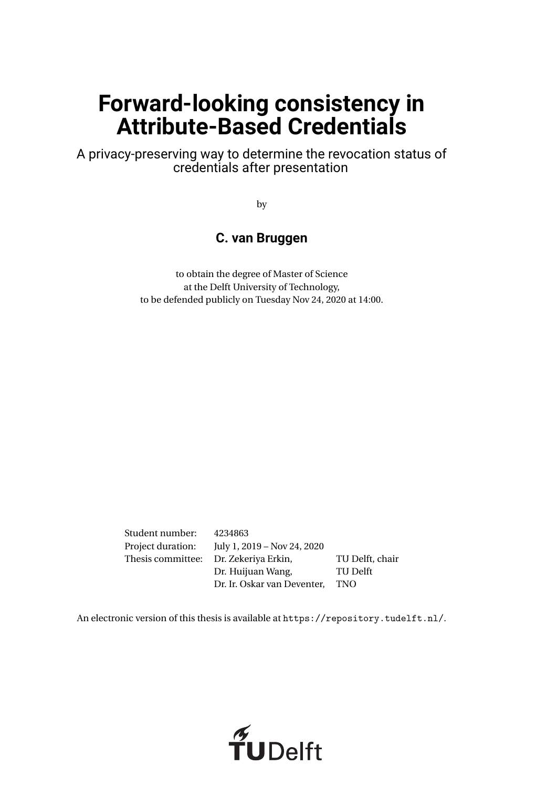## **Forward-looking consistency in Attribute-Based Credentials**

A privacy-preserving way to determine the revocation status of credentials after presentation

by

#### **C. van Bruggen**

to obtain the degree of Master of Science at the Delft University of Technology, to be defended publicly on Tuesday Nov 24, 2020 at 14:00.

Student number: 4234863 Project duration: July 1, 2019 – Nov 24, 2020 Thesis committee: Dr. Zekeriya Erkin, TU Delft, chair Dr. Huijuan Wang, TU Delft Dr. Ir. Oskar van Deventer, TNO

An electronic version of this thesis is available at <https://repository.tudelft.nl/>.

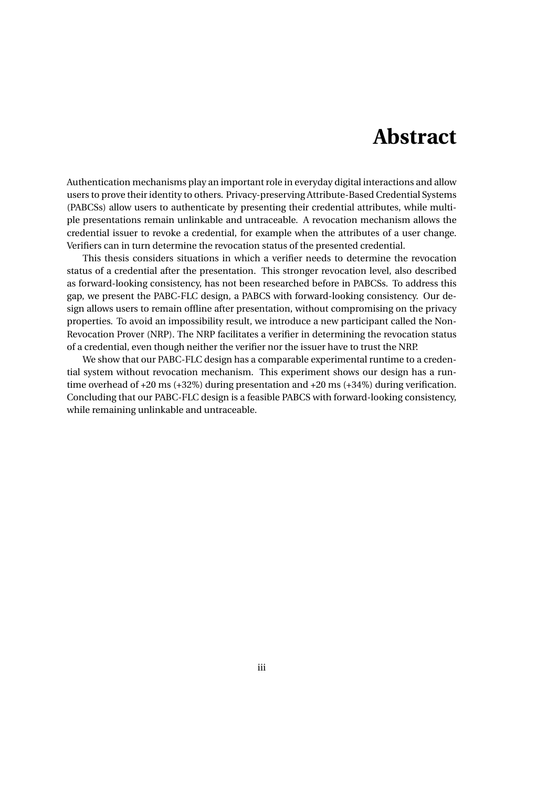### **Abstract**

<span id="page-2-0"></span>Authentication mechanisms play an important role in everyday digital interactions and allow users to prove their identity to others. Privacy-preserving Attribute-Based Credential Systems (PABCSs) allow users to authenticate by presenting their credential attributes, while multiple presentations remain unlinkable and untraceable. A revocation mechanism allows the credential issuer to revoke a credential, for example when the attributes of a user change. Verifiers can in turn determine the revocation status of the presented credential.

This thesis considers situations in which a verifier needs to determine the revocation status of a credential after the presentation. This stronger revocation level, also described as forward-looking consistency, has not been researched before in PABCSs. To address this gap, we present the PABC-FLC design, a PABCS with forward-looking consistency. Our design allows users to remain offline after presentation, without compromising on the privacy properties. To avoid an impossibility result, we introduce a new participant called the Non-Revocation Prover (NRP). The NRP facilitates a verifier in determining the revocation status of a credential, even though neither the verifier nor the issuer have to trust the NRP.

We show that our PABC-FLC design has a comparable experimental runtime to a credential system without revocation mechanism. This experiment shows our design has a runtime overhead of +20 ms (+32%) during presentation and +20 ms (+34%) during verification. Concluding that our PABC-FLC design is a feasible PABCS with forward-looking consistency, while remaining unlinkable and untraceable.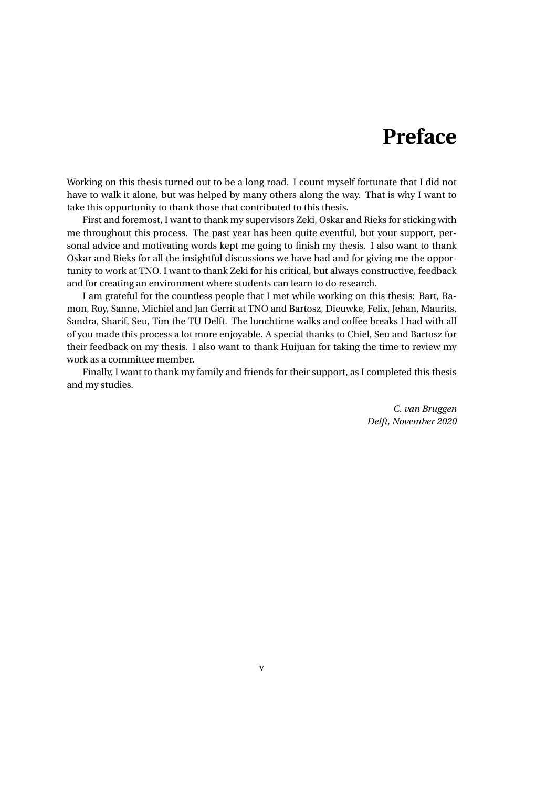## **Preface**

<span id="page-4-0"></span>Working on this thesis turned out to be a long road. I count myself fortunate that I did not have to walk it alone, but was helped by many others along the way. That is why I want to take this oppurtunity to thank those that contributed to this thesis.

First and foremost, I want to thank my supervisors Zeki, Oskar and Rieks for sticking with me throughout this process. The past year has been quite eventful, but your support, personal advice and motivating words kept me going to finish my thesis. I also want to thank Oskar and Rieks for all the insightful discussions we have had and for giving me the opportunity to work at TNO. I want to thank Zeki for his critical, but always constructive, feedback and for creating an environment where students can learn to do research.

I am grateful for the countless people that I met while working on this thesis: Bart, Ramon, Roy, Sanne, Michiel and Jan Gerrit at TNO and Bartosz, Dieuwke, Felix, Jehan, Maurits, Sandra, Sharif, Seu, Tim the TU Delft. The lunchtime walks and coffee breaks I had with all of you made this process a lot more enjoyable. A special thanks to Chiel, Seu and Bartosz for their feedback on my thesis. I also want to thank Huijuan for taking the time to review my work as a committee member.

Finally, I want to thank my family and friends for their support, as I completed this thesis and my studies.

> *C. van Bruggen Delft, November 2020*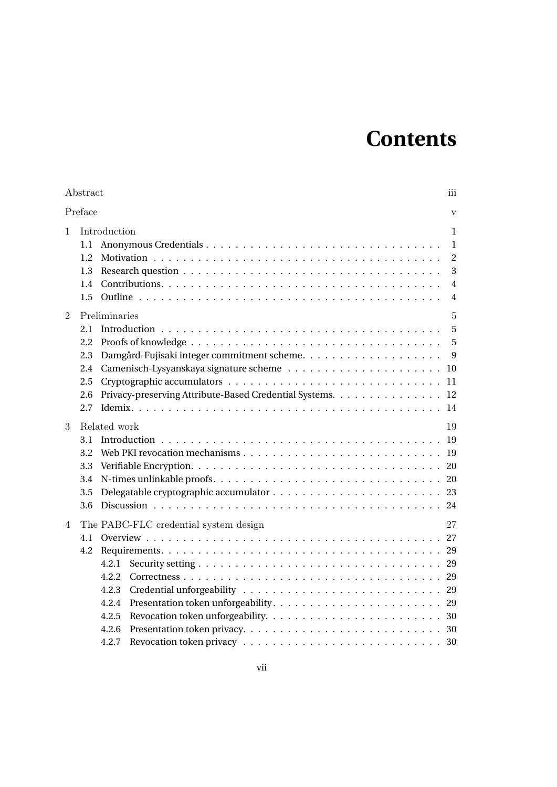## **Contents**

|         | Abstract                                                                                                                 | iii                                                               |
|---------|--------------------------------------------------------------------------------------------------------------------------|-------------------------------------------------------------------|
| Preface |                                                                                                                          | $\overline{\mathbf{V}}$                                           |
| 1       | Introduction<br>1.1<br>1.2<br>1.3<br>1.4<br>1.5                                                                          | 1<br>1<br>$\overline{2}$<br>3<br>$\overline{4}$<br>$\overline{4}$ |
| 2       | Preliminaries<br>2.1<br>2.2<br>2.3<br>2.4<br>2.5<br>Privacy-preserving Attribute-Based Credential Systems.<br>2.6<br>2.7 | $\overline{5}$<br>5<br>5<br>9<br>10<br>11<br>12<br>14             |
| 3       | Related work<br>3.1<br>Web PKI revocation mechanisms $\ldots$ , , , , , , ,<br>3.2<br>3.3<br>3.4<br>3.5<br>3.6           | 19<br>19<br>19<br>20<br>20<br>23<br>24                            |
| 4       | The PABC-FLC credential system design<br>4.1<br>4.2<br>4.2.1<br>4.2.2<br>4.2.3<br>4.2.4<br>4.2.5<br>4.2.6<br>4.2.7       | 27<br>27<br>29<br>29<br>29<br>29<br>29<br>30<br>30                |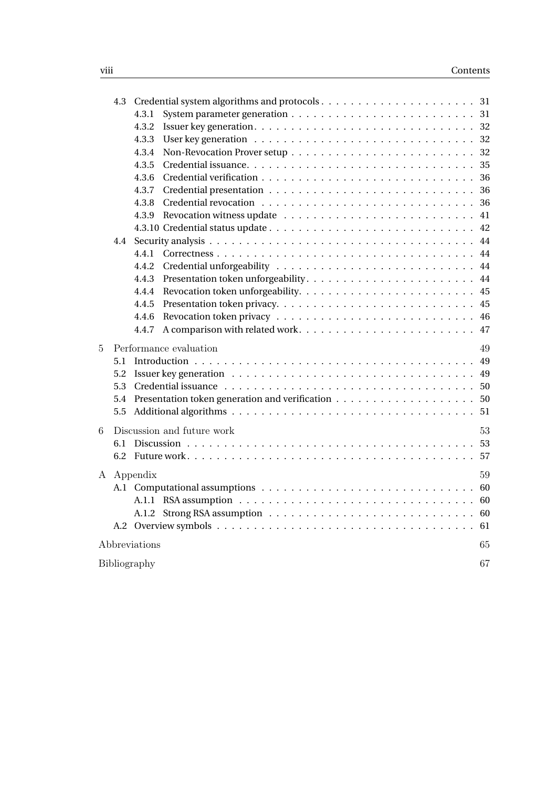|   | 4.3          |                                  |  |
|---|--------------|----------------------------------|--|
|   |              | 4.3.1                            |  |
|   |              | 4.3.2                            |  |
|   |              | 4.3.3                            |  |
|   |              | 4.3.4                            |  |
|   |              | 4.3.5                            |  |
|   |              | 4.3.6                            |  |
|   |              | 4.3.7                            |  |
|   |              | 4.3.8                            |  |
|   |              | 4.3.9                            |  |
|   |              |                                  |  |
|   | 4.4          |                                  |  |
|   |              | 4.4.1                            |  |
|   |              | 4.4.2                            |  |
|   |              | 4.4.3                            |  |
|   |              | 4.4.4                            |  |
|   |              | 4.4.5                            |  |
|   |              | 4.4.6                            |  |
|   |              | 4.4.7                            |  |
| 5 |              | Performance evaluation<br>49     |  |
|   | 5.1          |                                  |  |
|   | 5.2          |                                  |  |
|   | 5.3          |                                  |  |
|   | 5.4          |                                  |  |
|   | 5.5          |                                  |  |
|   |              |                                  |  |
| 6 |              | Discussion and future work<br>53 |  |
|   | 6.1          |                                  |  |
|   | 6.2          |                                  |  |
|   |              | A Appendix<br>59                 |  |
|   |              |                                  |  |
|   |              |                                  |  |
|   |              |                                  |  |
|   | A.2          |                                  |  |
|   |              | 65                               |  |
|   |              | Abbreviations                    |  |
|   | Bibliography | 67                               |  |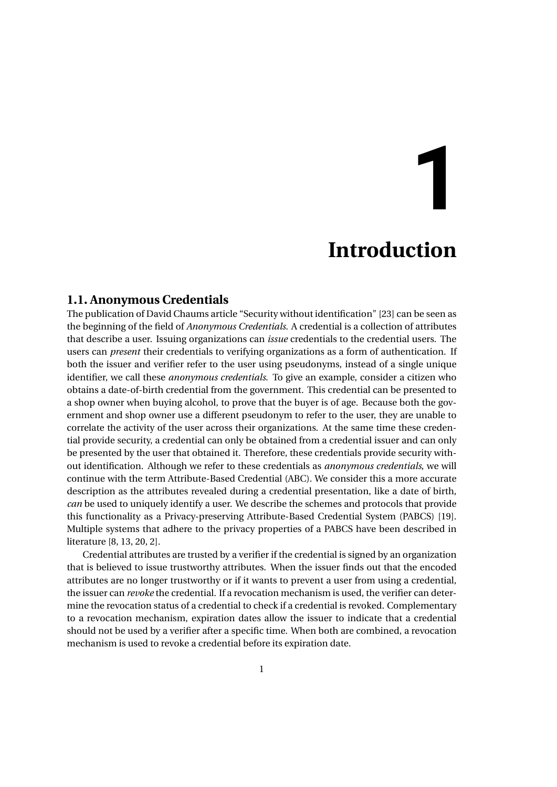# **1**

## **Introduction**

#### <span id="page-8-1"></span><span id="page-8-0"></span>**1.1. Anonymous Credentials**

The publication of David Chaums article "Security without identification" [\[23\]](#page-75-0) can be seen as the beginning of the field of *Anonymous Credentials*. A credential is a collection of attributes that describe a user. Issuing organizations can *issue* credentials to the credential users. The users can *present* their credentials to verifying organizations as a form of authentication. If both the issuer and verifier refer to the user using pseudonyms, instead of a single unique identifier, we call these *anonymous credentials*. To give an example, consider a citizen who obtains a date-of-birth credential from the government. This credential can be presented to a shop owner when buying alcohol, to prove that the buyer is of age. Because both the government and shop owner use a different pseudonym to refer to the user, they are unable to correlate the activity of the user across their organizations. At the same time these credential provide security, a credential can only be obtained from a credential issuer and can only be presented by the user that obtained it. Therefore, these credentials provide security without identification. Although we refer to these credentials as *anonymous credentials*, we will continue with the term Attribute-Based Credential (ABC). We consider this a more accurate description as the attributes revealed during a credential presentation, like a date of birth, *can* be used to uniquely identify a user. We describe the schemes and protocols that provide this functionality as a Privacy-preserving Attribute-Based Credential System (PABCS) [\[19\]](#page-75-1). Multiple systems that adhere to the privacy properties of a PABCS have been described in literature [\[8,](#page-74-1) [13,](#page-74-2) [20,](#page-75-2) [2\]](#page-74-3).

Credential attributes are trusted by a verifier if the credential is signed by an organization that is believed to issue trustworthy attributes. When the issuer finds out that the encoded attributes are no longer trustworthy or if it wants to prevent a user from using a credential, the issuer can *revoke* the credential. If a revocation mechanism is used, the verifier can determine the revocation status of a credential to check if a credential is revoked. Complementary to a revocation mechanism, expiration dates allow the issuer to indicate that a credential should not be used by a verifier after a specific time. When both are combined, a revocation mechanism is used to revoke a credential before its expiration date.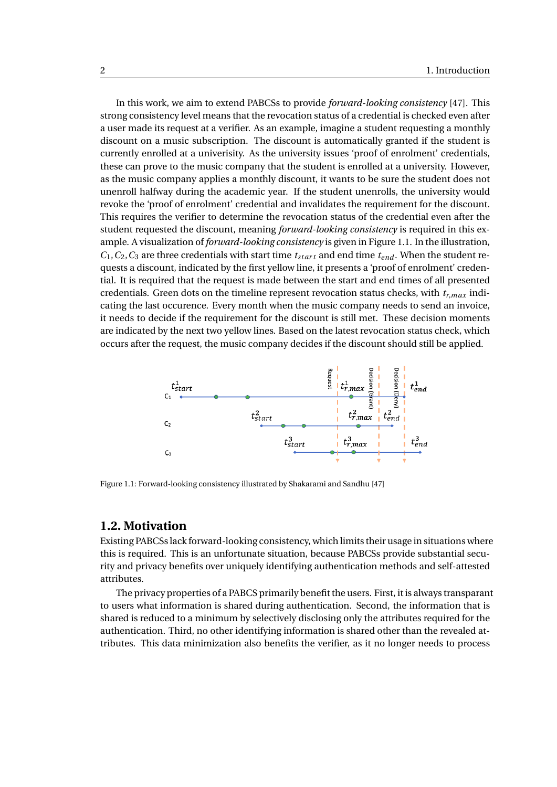In this work, we aim to extend PABCSs to provide *forward-looking consistency* [\[47\]](#page-77-0). This strong consistency level means that the revocation status of a credential is checked even after a user made its request at a verifier. As an example, imagine a student requesting a monthly discount on a music subscription. The discount is automatically granted if the student is currently enrolled at a univerisity. As the university issues 'proof of enrolment' credentials, these can prove to the music company that the student is enrolled at a university. However, as the music company applies a monthly discount, it wants to be sure the student does not unenroll halfway during the academic year. If the student unenrolls, the university would revoke the 'proof of enrolment' credential and invalidates the requirement for the discount. This requires the verifier to determine the revocation status of the credential even after the student requested the discount, meaning *forward-looking consistency* is required in this example. A visualization of *forward-looking consistency* is given in Figure [1.1.](#page-9-1) In the illustration,  $C_1, C_2, C_3$  are three credentials with start time  $t_{start}$  and end time  $t_{end}$ . When the student requests a discount, indicated by the first yellow line, it presents a 'proof of enrolment' credential. It is required that the request is made between the start and end times of all presented credentials. Green dots on the timeline represent revocation status checks, with *tr*,*max* indicating the last occurence. Every month when the music company needs to send an invoice, it needs to decide if the requirement for the discount is still met. These decision moments are indicated by the next two yellow lines. Based on the latest revocation status check, which occurs after the request, the music company decides if the discount should still be applied.

<span id="page-9-1"></span>

Figure 1.1: Forward-looking consistency illustrated by Shakarami and Sandhu [\[47\]](#page-77-0)

#### <span id="page-9-0"></span>**1.2. Motivation**

Existing PABCSs lack forward-looking consistency, which limits their usage in situations where this is required. This is an unfortunate situation, because PABCSs provide substantial security and privacy benefits over uniquely identifying authentication methods and self-attested attributes.

The privacy properties of a PABCS primarily benefit the users. First, it is always transparant to users what information is shared during authentication. Second, the information that is shared is reduced to a minimum by selectively disclosing only the attributes required for the authentication. Third, no other identifying information is shared other than the revealed attributes. This data minimization also benefits the verifier, as it no longer needs to process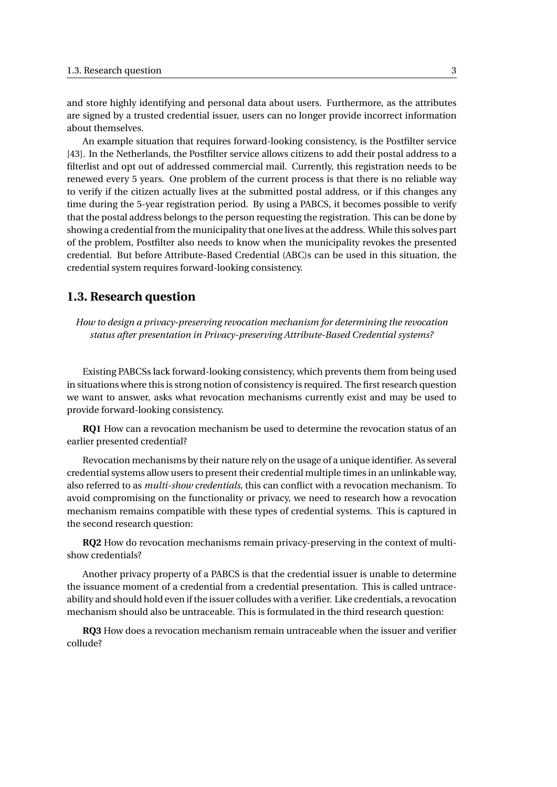and store highly identifying and personal data about users. Furthermore, as the attributes are signed by a trusted credential issuer, users can no longer provide incorrect information about themselves.

An example situation that requires forward-looking consistency, is the Postfilter service [\[43\]](#page-76-0). In the Netherlands, the Postfilter service allows citizens to add their postal address to a filterlist and opt out of addressed commercial mail. Currently, this registration needs to be renewed every 5 years. One problem of the current process is that there is no reliable way to verify if the citizen actually lives at the submitted postal address, or if this changes any time during the 5-year registration period. By using a PABCS, it becomes possible to verify that the postal address belongs to the person requesting the registration. This can be done by showing a credential from the municipality that one lives at the address. While this solves part of the problem, Postfilter also needs to know when the municipality revokes the presented credential. But before Attribute-Based Credential (ABC)s can be used in this situation, the credential system requires forward-looking consistency.

#### <span id="page-10-0"></span>**1.3. Research question**

*How to design a privacy-preserving revocation mechanism for determining the revocation status after presentation in Privacy-preserving Attribute-Based Credential systems?*

Existing PABCSs lack forward-looking consistency, which prevents them from being used in situations where this is strong notion of consistency is required. The first research question we want to answer, asks what revocation mechanisms currently exist and may be used to provide forward-looking consistency.

**RQ1** How can a revocation mechanism be used to determine the revocation status of an earlier presented credential?

Revocation mechanisms by their nature rely on the usage of a unique identifier. As several credential systems allow users to present their credential multiple times in an unlinkable way, also referred to as *multi-show credentials*, this can conflict with a revocation mechanism. To avoid compromising on the functionality or privacy, we need to research how a revocation mechanism remains compatible with these types of credential systems. This is captured in the second research question:

**RQ2** How do revocation mechanisms remain privacy-preserving in the context of multishow credentials?

Another privacy property of a PABCS is that the credential issuer is unable to determine the issuance moment of a credential from a credential presentation. This is called untraceability and should hold even if the issuer colludes with a verifier. Like credentials, a revocation mechanism should also be untraceable. This is formulated in the third research question:

**RQ3** How does a revocation mechanism remain untraceable when the issuer and verifier collude?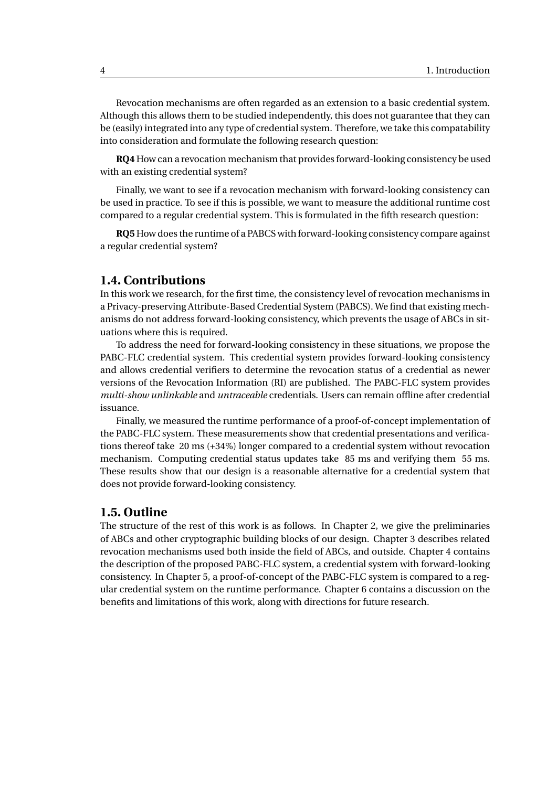Revocation mechanisms are often regarded as an extension to a basic credential system. Although this allows them to be studied independently, this does not guarantee that they can be (easily) integrated into any type of credential system. Therefore, we take this compatability into consideration and formulate the following research question:

**RQ4** How can a revocation mechanism that provides forward-looking consistency be used with an existing credential system?

Finally, we want to see if a revocation mechanism with forward-looking consistency can be used in practice. To see if this is possible, we want to measure the additional runtime cost compared to a regular credential system. This is formulated in the fifth research question:

**RQ5** How does the runtime of a PABCS with forward-looking consistency compare against a regular credential system?

#### <span id="page-11-0"></span>**1.4. Contributions**

In this work we research, for the first time, the consistency level of revocation mechanisms in a Privacy-preserving Attribute-Based Credential System (PABCS). We find that existing mechanisms do not address forward-looking consistency, which prevents the usage of ABCs in situations where this is required.

To address the need for forward-looking consistency in these situations, we propose the PABC-FLC credential system. This credential system provides forward-looking consistency and allows credential verifiers to determine the revocation status of a credential as newer versions of the Revocation Information (RI) are published. The PABC-FLC system provides *multi-show unlinkable* and *untraceable* credentials. Users can remain offline after credential issuance.

Finally, we measured the runtime performance of a proof-of-concept implementation of the PABC-FLC system. These measurements show that credential presentations and verifications thereof take 20 ms (+34%) longer compared to a credential system without revocation mechanism. Computing credential status updates take 85 ms and verifying them 55 ms. These results show that our design is a reasonable alternative for a credential system that does not provide forward-looking consistency.

#### <span id="page-11-1"></span>**1.5. Outline**

The structure of the rest of this work is as follows. In Chapter 2, we give the preliminaries of ABCs and other cryptographic building blocks of our design. Chapter 3 describes related revocation mechanisms used both inside the field of ABCs, and outside. Chapter 4 contains the description of the proposed PABC-FLC system, a credential system with forward-looking consistency. In Chapter 5, a proof-of-concept of the PABC-FLC system is compared to a regular credential system on the runtime performance. Chapter 6 contains a discussion on the benefits and limitations of this work, along with directions for future research.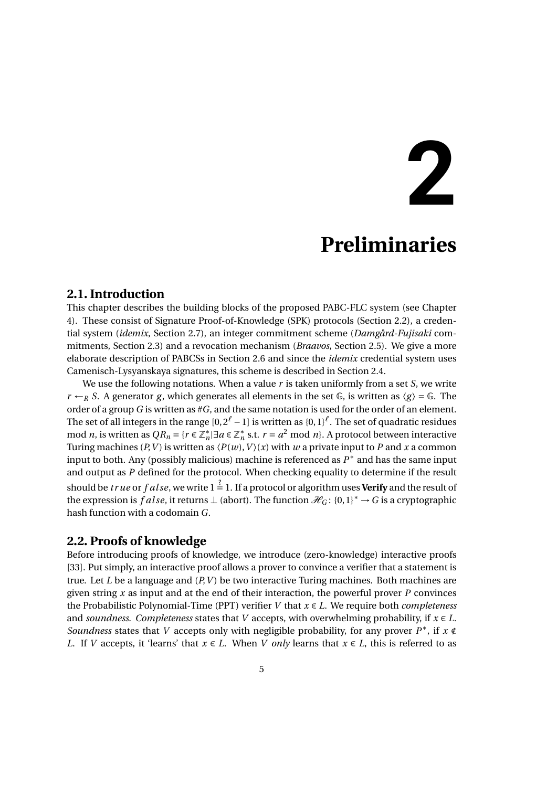## **2**

## **Preliminaries**

#### <span id="page-12-1"></span><span id="page-12-0"></span>**2.1. Introduction**

This chapter describes the building blocks of the proposed PABC-FLC system (see Chapter 4). These consist of Signature Proof-of-Knowledge (SPK) protocols (Section [2.2\)](#page-12-2), a credential system (*idemix*, Section [2.7\)](#page-21-0), an integer commitment scheme (*Damgård-Fujisaki* commitments, Section [2.3\)](#page-16-0) and a revocation mechanism (*Braavos*, Section [2.5\)](#page-18-0). We give a more elaborate description of PABCSs in Section [2.6](#page-19-0) and since the *idemix* credential system uses Camenisch-Lysyanskaya signatures, this scheme is described in Section [2.4.](#page-17-0)

We use the following notations. When a value *r* is taken uniformly from a set *S*, we write  $r \leftarrow_R S$ . A generator *g*, which generates all elements in the set  $\mathbb{G}$ , is written as  $\langle g \rangle = \mathbb{G}$ . The order of a group *G* is written as #*G*, and the same notation is used for the order of an element. The set of all integers in the range [0,2*<sup>ℓ</sup>* −1] is written as {0,1}*<sup>ℓ</sup>* . The set of quadratic residues mod *n*, is written as  $QR_n = \{r \in \mathbb{Z}_n^*\}$ *n* |∃*a* ∈ Z ∗  $n<sub>n</sub>$  s.t. *r* = *a*<sup>2</sup> mod *n*}. A protocol between interactive Turing machines (*P*, *V*) is written as  $\langle P(w), V \rangle$  (*x*) with *w* a private input to *P* and *x* a common input to both. Any (possibly malicious) machine is referenced as *P* ∗ and has the same input and output as *P* defined for the protocol. When checking equality to determine if the result should be *true* or *f alse*, we write 1  $\stackrel{?}{=}$  1. If a protocol or algorithm uses **Verify** and the result of the expression is *f alse*, it returns ⊥ (abort). The function  $\mathcal{H}_G$ : {0,1}<sup>\*</sup> → *G* is a cryptographic hash function with a codomain *G*.

#### <span id="page-12-2"></span>**2.2. Proofs of knowledge**

Before introducing proofs of knowledge, we introduce (zero-knowledge) interactive proofs [\[33\]](#page-76-1). Put simply, an interactive proof allows a prover to convince a verifier that a statement is true. Let *L* be a language and (*P*,*V* ) be two interactive Turing machines. Both machines are given string *x* as input and at the end of their interaction, the powerful prover *P* convinces the Probabilistic Polynomial-Time (PPT) verifier *V* that *x* ∈ *L*. We require both *completeness* and *soundness*. *Completeness* states that *V* accepts, with overwhelming probability, if  $x \in L$ . *Soundness* states that *V* accepts only with negligible probability, for any prover  $P^*$ , if  $x \notin \mathbb{R}$ *L*. If *V* accepts, it 'learns' that  $x \in L$ . When *V only* learns that  $x \in L$ , this is referred to as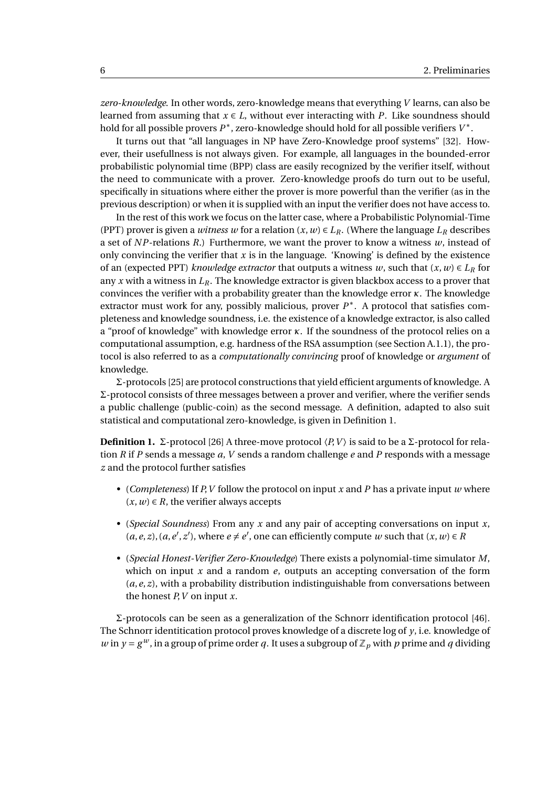*zero-knowledge*. In other words, zero-knowledge means that everything *V* learns, can also be learned from assuming that  $x \in L$ , without ever interacting with *P*. Like soundness should hold for all possible provers *P* ∗ , zero-knowledge should hold for all possible verifiers *V* ∗ .

It turns out that "all languages in NP have Zero-Knowledge proof systems" [\[32\]](#page-76-2). However, their usefullness is not always given. For example, all languages in the bounded-error probabilistic polynomial time (BPP) class are easily recognized by the verifier itself, without the need to communicate with a prover. Zero-knowledge proofs do turn out to be useful, specifically in situations where either the prover is more powerful than the verifier (as in the previous description) or when it is supplied with an input the verifier does not have access to.

In the rest of this work we focus on the latter case, where a Probabilistic Polynomial-Time (PPT) prover is given a *witness w* for a relation  $(x, w) \in L_R$ . (Where the language  $L_R$  describes a set of  $NP$ -relations  $R$ .) Furthermore, we want the prover to know a witness  $w$ , instead of only convincing the verifier that  $x$  is in the language. 'Knowing' is defined by the existence of an (expected PPT) *knowledge extractor* that outputs a witness *w*, such that  $(x, w) \in L_R$  for any *x* with a witness in *LR*. The knowledge extractor is given blackbox access to a prover that convinces the verifier with a probability greater than the knowledge error *κ*. The knowledge extractor must work for any, possibly malicious, prover  $P^*$ . A protocol that satisfies completeness and knowledge soundness, i.e. the existence of a knowledge extractor, is also called a "proof of knowledge" with knowledge error *κ*. If the soundness of the protocol relies on a computational assumption, e.g. hardness of the RSA assumption (see Section [A.1.1\)](#page-67-1), the protocol is also referred to as a *computationally convincing* proof of knowledge or *argument* of knowledge.

Σ-protocols [\[25\]](#page-75-3) are protocol constructions that yield efficient arguments of knowledge. A Σ-protocol consists of three messages between a prover and verifier, where the verifier sends a public challenge (public-coin) as the second message. A definition, adapted to also suit statistical and computational zero-knowledge, is given in Definition [1.](#page-13-0)

<span id="page-13-0"></span>**Definition 1.** Σ-protocol [\[26\]](#page-75-4) A three-move protocol  $\langle P, V \rangle$  is said to be a Σ-protocol for relation *R* if *P* sends a message *a*, *V* sends a random challenge *e* and *P* responds with a message *z* and the protocol further satisfies

- (*Completeness*) If *P*,*V* follow the protocol on input *x* and *P* has a private input *w* where  $(x, w) \in R$ , the verifier always accepts
- (*Special Soundness*) From any *x* and any pair of accepting conversations on input *x*,  $(a, e, z)$ ,  $(a, e', z')$ , where  $e \neq e'$ , one can efficiently compute *w* such that  $(x, w) \in R$
- (*Special Honest-Verifier Zero-Knowledge*) There exists a polynomial-time simulator *M*, which on input *x* and a random *e*, outputs an accepting conversation of the form (*a*,*e*, *z*), with a probability distribution indistinguishable from conversations between the honest *P*,*V* on input *x*.

Σ-protocols can be seen as a generalization of the Schnorr identification protocol [\[46\]](#page-77-1). The Schnorr identitication protocol proves knowledge of a discrete log of *y*, i.e. knowledge of *w* in  $y = g^w$ , in a group of prime order *q*. It uses a subgroup of  $\mathbb{Z}_p$  with *p* prime and *q* dividing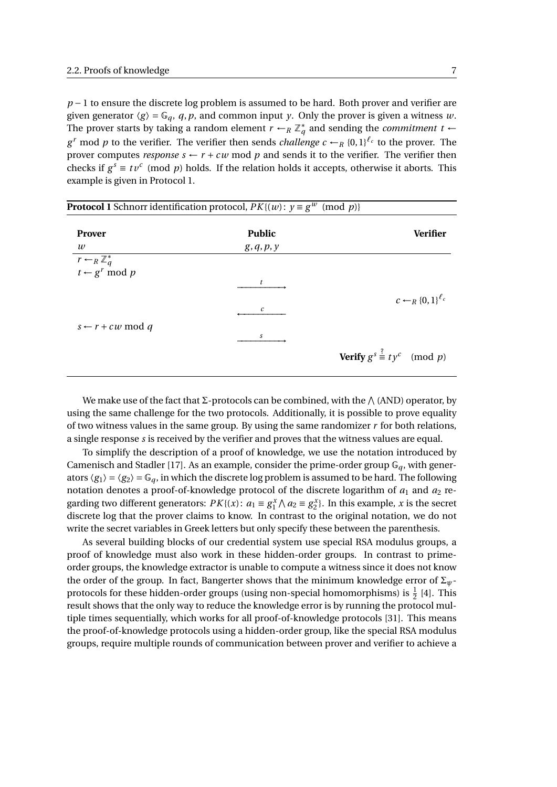*p* − 1 to ensure the discrete log problem is assumed to be hard. Both prover and verifier are given generator  $\langle g \rangle = \mathbb{G}_q$ , q, p, and common input *y*. Only the prover is given a witness *w*. The prover starts by taking a random element  $r \leftarrow_R \mathbb{Z}_q^*$  $q^*$  and sending the *commitment*  $t \leftarrow$ *g*<sup>*r*</sup> mod *p* to the verifier. The verifier then sends *challenge*  $c \leftarrow_R \{0,1\}^{\ell_c}$  to the prover. The prover computes *response*  $s \leftarrow r + cw$  mod p and sends it to the verifier. The verifier then checks if  $g^s \equiv tv^c \pmod{p}$  holds. If the relation holds it accepts, otherwise it aborts. This example is given in Protocol [1.](#page-14-0)

<span id="page-14-0"></span>

| <b>Protocol 1</b> Schnorr identification protocol, $PK{(w)}$ : $y \equiv g^w \pmod{p}$ |               |                                                   |  |  |  |  |
|----------------------------------------------------------------------------------------|---------------|---------------------------------------------------|--|--|--|--|
| <b>Prover</b>                                                                          | <b>Public</b> | <b>Verifier</b>                                   |  |  |  |  |
| $\boldsymbol{w}$                                                                       | g, q, p, y    |                                                   |  |  |  |  |
| $\overline{r -_{R} \mathbb{Z}_{q}^{*}}$<br>$t \leftarrow g^{r} \mod p$                 |               |                                                   |  |  |  |  |
|                                                                                        | t             | $c \leftarrow_R \{0,1\}^{\ell_c}$                 |  |  |  |  |
|                                                                                        | c             |                                                   |  |  |  |  |
| $s \leftarrow r + cw \mod q$                                                           | s             |                                                   |  |  |  |  |
|                                                                                        |               | <b>Verify</b> $g^s \stackrel{?}{=} ty^c \pmod{p}$ |  |  |  |  |

We make use of the fact that Σ-protocols can be combined, with the  $\wedge$  (AND) operator, by using the same challenge for the two protocols. Additionally, it is possible to prove equality of two witness values in the same group. By using the same randomizer *r* for both relations, a single response *s* is received by the verifier and proves that the witness values are equal.

To simplify the description of a proof of knowledge, we use the notation introduced by Camenisch and Stadler [\[17\]](#page-75-5). As an example, consider the prime-order group  $\mathbb{G}_q$ , with generators  $\langle g_1 \rangle = \langle g_2 \rangle = \mathbb{G}_q$ , in which the discrete log problem is assumed to be hard. The following notation denotes a proof-of-knowledge protocol of the discrete logarithm of  $a_1$  and  $a_2$  regarding two different generators:  $PK\{(x): a_1 \equiv g_1^x \land a_2 \equiv g_2^x\}$ . In this example, *x* is the secret discrete log that the prover claims to know. In contrast to the original notation, we do not write the secret variables in Greek letters but only specify these between the parenthesis.

As several building blocks of our credential system use special RSA modulus groups, a proof of knowledge must also work in these hidden-order groups. In contrast to primeorder groups, the knowledge extractor is unable to compute a witness since it does not know the order of the group. In fact, Bangerter shows that the minimum knowledge error of Σ*ψ*protocols for these hidden-order groups (using non-special homomorphisms) is  $\frac{1}{2}$  [\[4\]](#page-74-4). This result shows that the only way to reduce the knowledge error is by running the protocol multiple times sequentially, which works for all proof-of-knowledge protocols [\[31\]](#page-76-3). This means the proof-of-knowledge protocols using a hidden-order group, like the special RSA modulus groups, require multiple rounds of communication between prover and verifier to achieve a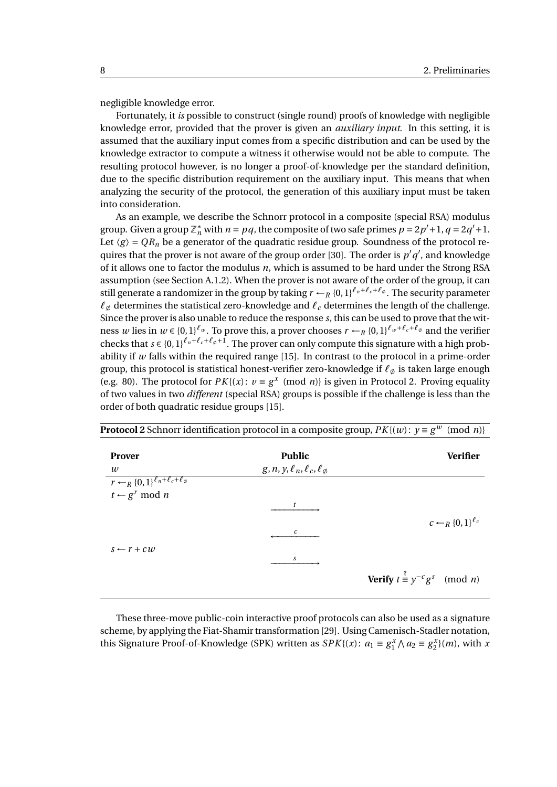$c \leftarrow R$  {0,1}<sup> $\ell_c$ </sup>

**Verify**  $t \stackrel{?}{=} y^{-c}g^s \pmod{n}$ 

negligible knowledge error.

 $s \leftarrow r + cw$ 

Fortunately, it *is* possible to construct (single round) proofs of knowledge with negligible knowledge error, provided that the prover is given an *auxiliary input*. In this setting, it is assumed that the auxiliary input comes from a specific distribution and can be used by the knowledge extractor to compute a witness it otherwise would not be able to compute. The resulting protocol however, is no longer a proof-of-knowledge per the standard definition, due to the specific distribution requirement on the auxiliary input. This means that when analyzing the security of the protocol, the generation of this auxiliary input must be taken into consideration.

As an example, we describe the Schnorr protocol in a composite (special RSA) modulus group. Given a group  $\mathbb{Z}_n^*$  with  $n = pq$ , the composite of two safe primes  $p = 2p' + 1$ ,  $q = 2q' + 1$ . Let  $\langle g \rangle = QR_n$  be a generator of the quadratic residue group. Soundness of the protocol re-quires that the prover is not aware of the group order [\[30\]](#page-76-4). The order is  $p'q'$ , and knowledge of it allows one to factor the modulus *n*, which is assumed to be hard under the Strong RSA assumption (see Section [A.1.2\)](#page-67-2). When the prover is not aware of the order of the group, it can still generate a randomizer in the group by taking  $r \leftarrow_R \{0,1\}^{\ell_n+\ell_c+\ell_\emptyset}$ . The security parameter  $\ell_{\emptyset}$  determines the statistical zero-knowledge and  $\ell_c$  determines the length of the challenge. Since the prover is also unable to reduce the response *s*, this can be used to prove that the witness *w* lies in  $w \in \{0,1\}^{\ell_w}$ . To prove this, a prover chooses  $r \leftarrow_R \{0,1\}^{\ell_w+\ell_c+\ell_\phi}$  and the verifier checks that  $s \in \{0,1\}^{\ell_n+\ell_c+\ell_{\phi}+1}$ . The prover can only compute this signature with a high probability if  $w$  falls within the required range  $[15]$ . In contrast to the protocol in a prime-order group, this protocol is statistical honest-verifier zero-knowledge if  $\ell_{\emptyset}$  is taken large enough (e.g. 80). The protocol for  $PK{(x)}$ :  $v \equiv g^x \pmod{n}$  is given in Protocol [2.](#page-15-0) Proving equality of two values in two *different* (special RSA) groups is possible if the challenge is less than the order of both quadratic residue groups [\[15\]](#page-75-6).

|                                                    |                                      | ັ |  | - 0 | $\sim$<br>. . |
|----------------------------------------------------|--------------------------------------|---|--|-----|---------------|
| <b>Prover</b>                                      | <b>Public</b>                        |   |  |     | Verifier      |
| w                                                  | $g, n, y, \ell_n, \ell_c, \ell_\phi$ |   |  |     |               |
| $r \leftarrow_R \{0,1\}^{\ell_n+\ell_c+\ell_\phi}$ |                                      |   |  |     |               |
| $t \leftarrow g^r \mod n$                          |                                      |   |  |     |               |
|                                                    |                                      |   |  |     |               |

 $-$ <del> $\longrightarrow$ </del>

*s* 

*<sup>c</sup>* ←−−−−−−−−−

<span id="page-15-0"></span>**Protocol 2** Schnorr identification protocol in a composite group,  $PK{(w)}$ :  $y \equiv g^w \pmod{n}$ 

These three-move public-coin interactive proof protocols can also be used as a signature scheme, by applying the Fiat-Shamir transformation [\[29\]](#page-76-5). Using Camenisch-Stadler notation, this Signature Proof-of-Knowledge (SPK) written as  $SPK{(x): a_1 \equiv g_1^x \land a_2 \equiv g_2^x}(m)$ , with *x*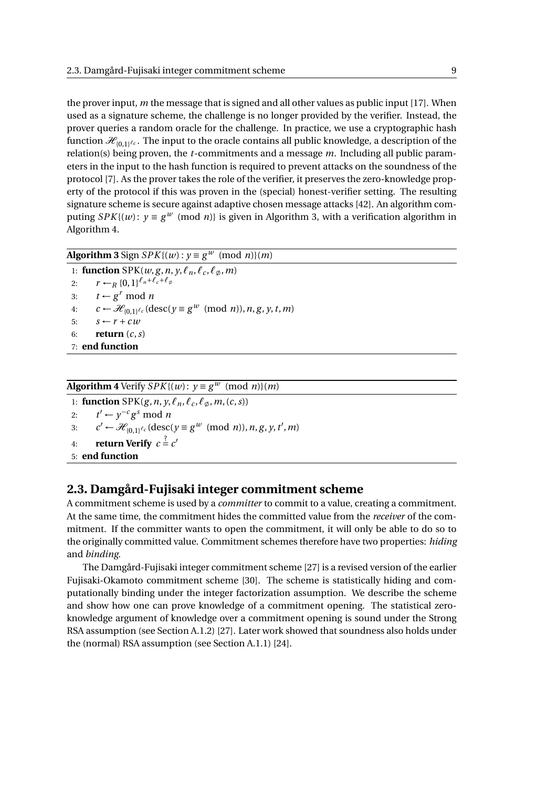the prover input, *m* the message that is signed and all other values as public input [\[17\]](#page-75-5). When used as a signature scheme, the challenge is no longer provided by the verifier. Instead, the prover queries a random oracle for the challenge. In practice, we use a cryptographic hash function  $\mathcal{H}_{0,1}$ <sup>*lc*</sup>. The input to the oracle contains all public knowledge, a description of the relation(s) being proven, the *t*-commitments and a message *m*. Including all public parameters in the input to the hash function is required to prevent attacks on the soundness of the protocol [\[7\]](#page-74-5). As the prover takes the role of the verifier, it preserves the zero-knowledge property of the protocol if this was proven in the (special) honest-verifier setting. The resulting signature scheme is secure against adaptive chosen message attacks [\[42\]](#page-76-6). An algorithm computing *SPK*{ $(w)$ :  $y \equiv g^w \pmod{n}$ } is given in Algorithm [3,](#page-16-1) with a verification algorithm in Algorithm [4.](#page-16-2)

#### <span id="page-16-1"></span>**Algorithm 3** Sign  $SPK{(w): y \equiv g^w \pmod{n}(m)}$

1: **function** SPK( $w$ ,  $g$ ,  $n$ ,  $y$ ,  $\ell_n$ ,  $\ell_c$ ,  $\ell_{\phi}$ ,  $m$ ) 2:  $r \leftarrow_R \{0,1\}^{\ell_n+\ell_c+\ell_{\emptyset}}$ 3:  $t \leftarrow g^r \mod n$ 4:  $c \leftarrow \mathcal{H}_{\{0,1\}^{\ell_c}}(\text{desc}(y \equiv g^w \pmod{n}), n, g, y, t, m)$ 5:  $s \leftarrow r + cw$ 6: **return** (*c*,*s*) 7: **end function**

#### <span id="page-16-2"></span>**Algorithm 4** Verify *SPK*{(*w*):  $y \equiv g^w \pmod{n}$ }(*m*)

1: **function** SPK( $g, n, y, \ell_n, \ell_c, \ell_\emptyset, m, (c, s)$ ) 2: *t*  $y'$  ←  $y^{-c}g^s$  mod *n* 3:  $c' \leftarrow \mathcal{H}_{\{0,1\}^{\ell_c}}(\text{desc}(y \equiv g^w \pmod{n}), n, g, y, t', m)$ 4: **return Verify**  $c = c'$ 5: **end function**

#### <span id="page-16-0"></span>**2.3. Damgård-Fujisaki integer commitment scheme**

A commitment scheme is used by a *committer* to commit to a value, creating a commitment. At the same time, the commitment hides the committed value from the *receiver* of the commitment. If the committer wants to open the commitment, it will only be able to do so to the originally committed value. Commitment schemes therefore have two properties: *hiding* and *binding*.

The Damgård-Fujisaki integer commitment scheme [\[27\]](#page-75-7) is a revised version of the earlier Fujisaki-Okamoto commitment scheme [\[30\]](#page-76-4). The scheme is statistically hiding and computationally binding under the integer factorization assumption. We describe the scheme and show how one can prove knowledge of a commitment opening. The statistical zeroknowledge argument of knowledge over a commitment opening is sound under the Strong RSA assumption (see Section [A.1.2\)](#page-67-2) [\[27\]](#page-75-7). Later work showed that soundness also holds under the (normal) RSA assumption (see Section [A.1.1\)](#page-67-1) [\[24\]](#page-75-8).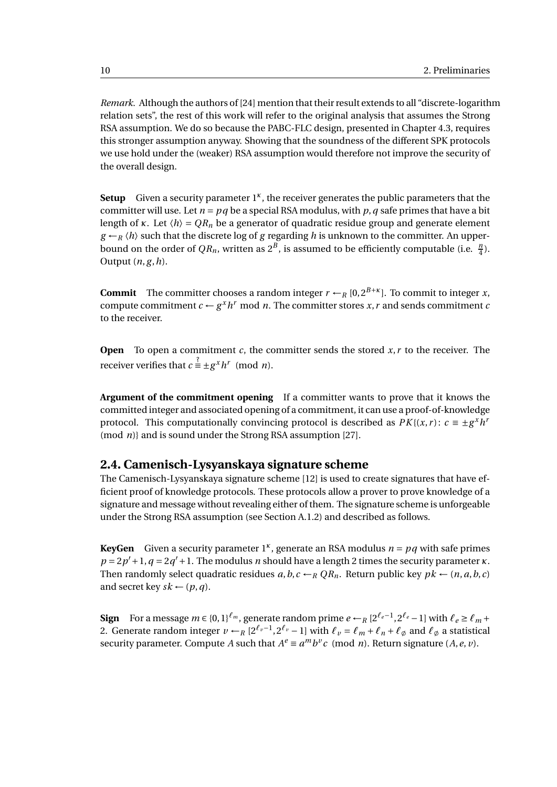*Remark.* Although the authors of [\[24\]](#page-75-8) mention that their result extends to all "discrete-logarithm relation sets", the rest of this work will refer to the original analysis that assumes the Strong RSA assumption. We do so because the PABC-FLC design, presented in Chapter [4.3,](#page-38-0) requires this stronger assumption anyway. Showing that the soundness of the different SPK protocols we use hold under the (weaker) RSA assumption would therefore not improve the security of the overall design.

Setup Given a security parameter 1<sup>k</sup>, the receiver generates the public parameters that the committer will use. Let  $n = pq$  be a special RSA modulus, with  $p, q$  safe primes that have a bit length of *κ*. Let  $\langle h \rangle = QR_n$  be a generator of quadratic residue group and generate element  $g \leftarrow_R \langle h \rangle$  such that the discrete log of *g* regarding *h* is unknown to the committer. An upperbound on the order of  $QR_n$ , written as  $2^B$ , is assumed to be efficiently computable (i.e.  $\frac{n}{4}$ ). Output  $(n, g, h)$ .

**Commit** The committer chooses a random integer  $r \leftarrow_R [0, 2^{B+\kappa}]$ . To commit to integer *x*, compute commitment  $c \leftarrow g^x h^r \mod n$ . The committer stores *x*, *r* and sends commitment *c* to the receiver.

**Open** To open a commitment *c*, the committer sends the stored *x*, *r* to the receiver. The receiver verifies that  $c \stackrel{?}{=} \pm g^x h^r \pmod{n}$ .

**Argument of the commitment opening** If a committer wants to prove that it knows the committed integer and associated opening of a commitment, it can use a proof-of-knowledge protocol. This computationally convincing protocol is described as  $PK{(x, r)}$ :  $c \equiv \pm g^x h^t$ (mod *n*)} and is sound under the Strong RSA assumption [\[27\]](#page-75-7).

#### <span id="page-17-0"></span>**2.4. Camenisch-Lysyanskaya signature scheme**

The Camenisch-Lysyanskaya signature scheme [\[12\]](#page-74-6) is used to create signatures that have efficient proof of knowledge protocols. These protocols allow a prover to prove knowledge of a signature and message without revealing either of them. The signature scheme is unforgeable under the Strong RSA assumption (see Section [A.1.2\)](#page-67-2) and described as follows.

**KeyGen** Given a security parameter  $1^k$ , generate an RSA modulus  $n = pq$  with safe primes  $p = 2p' + 1$ ,  $q = 2q' + 1$ . The modulus *n* should have a length 2 times the security parameter *κ*. Then randomly select quadratic residues  $a, b, c \leftarrow_R QR_n$ . Return public key  $pk \leftarrow (n, a, b, c)$ and secret key  $sk \leftarrow (p, q)$ .

**Sign** For a message  $m \in \{0,1\}^{\ell_m}$ , generate random prime  $e \leftarrow_R [2^{\ell_e-1}, 2^{\ell_e}-1]$  with  $\ell_e \geq \ell_m + 1$ 2. Generate random integer  $v \leftarrow_R [2^{\ell_v-1}, 2^{\ell_v} - 1]$  with  $\ell_v = \ell_m + \ell_n + \ell_\phi$  and  $\ell_\phi$  a statistical security parameter. Compute *A* such that  $A^e \equiv a^m b^v c \pmod{n}$ . Return signature  $(A, e, v)$ .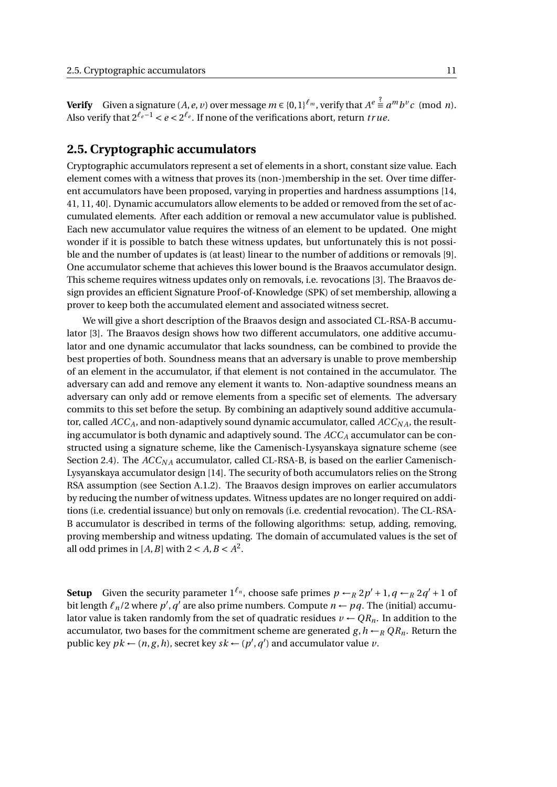**Verify** Given a signature  $(A, e, v)$  over message  $m \in \{0,1\}^{\ell_m}$ , verify that  $A^e \stackrel{\text{\rm ?}}{=} a^m b^v c \pmod{n}$ . Also verify that  $2^{\ell_e - 1} < e < 2^{\ell_e}$ . If none of the verifications abort, return *true*.

#### <span id="page-18-0"></span>**2.5. Cryptographic accumulators**

Cryptographic accumulators represent a set of elements in a short, constant size value. Each element comes with a witness that proves its (non-)membership in the set. Over time different accumulators have been proposed, varying in properties and hardness assumptions [\[14,](#page-75-9) [41,](#page-76-7) [11,](#page-74-7) [40\]](#page-76-8). Dynamic accumulators allow elements to be added or removed from the set of accumulated elements. After each addition or removal a new accumulator value is published. Each new accumulator value requires the witness of an element to be updated. One might wonder if it is possible to batch these witness updates, but unfortunately this is not possible and the number of updates is (at least) linear to the number of additions or removals [\[9\]](#page-74-8). One accumulator scheme that achieves this lower bound is the Braavos accumulator design. This scheme requires witness updates only on removals, i.e. revocations [\[3\]](#page-74-9). The Braavos design provides an efficient Signature Proof-of-Knowledge (SPK) of set membership, allowing a prover to keep both the accumulated element and associated witness secret.

We will give a short description of the Braavos design and associated CL-RSA-B accumulator [\[3\]](#page-74-9). The Braavos design shows how two different accumulators, one additive accumulator and one dynamic accumulator that lacks soundness, can be combined to provide the best properties of both. Soundness means that an adversary is unable to prove membership of an element in the accumulator, if that element is not contained in the accumulator. The adversary can add and remove any element it wants to. Non-adaptive soundness means an adversary can only add or remove elements from a specific set of elements. The adversary commits to this set before the setup. By combining an adaptively sound additive accumulator, called  $ACC_A$ , and non-adaptively sound dynamic accumulator, called  $ACC_{NA}$ , the resulting accumulator is both dynamic and adaptively sound. The *ACC<sup>A</sup>* accumulator can be constructed using a signature scheme, like the Camenisch-Lysyanskaya signature scheme (see Section [2.4\)](#page-17-0). The *ACC<sub>NA</sub>* accumulator, called CL-RSA-B, is based on the earlier Camenisch-Lysyanskaya accumulator design [\[14\]](#page-75-9). The security of both accumulators relies on the Strong RSA assumption (see Section [A.1.2\)](#page-67-2). The Braavos design improves on earlier accumulators by reducing the number of witness updates. Witness updates are no longer required on additions (i.e. credential issuance) but only on removals (i.e. credential revocation). The CL-RSA-B accumulator is described in terms of the following algorithms: setup, adding, removing, proving membership and witness updating. The domain of accumulated values is the set of all odd primes in  $[A, B]$  with  $2 < A, B < A^2$ .

**Setup** Given the security parameter  $1^{\ell_n}$ , choose safe primes  $p \leftarrow_R 2p' + 1$ ,  $q \leftarrow_R 2q' + 1$  of bit length  $\ell_n/2$  where  $p', q'$  are also prime numbers. Compute  $n \leftarrow pq$ . The (initial) accumulator value is taken randomly from the set of quadratic residues  $v \leftarrow QR_n$ . In addition to the accumulator, two bases for the commitment scheme are generated  $g, h \leftarrow_R QR_n$ . Return the public key  $pk \leftarrow (n, g, h)$ , secret key  $sk \leftarrow (p', q')$  and accumulator value  $v$ .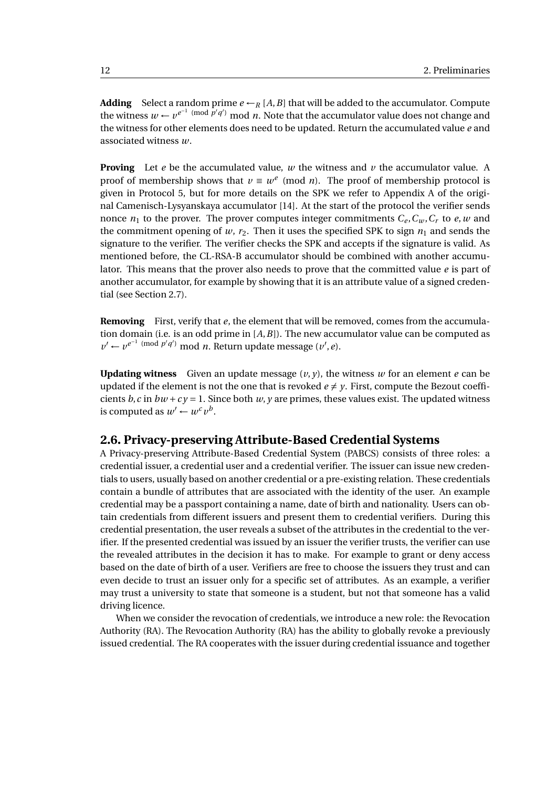**Adding** Select a random prime  $e \leftarrow_R [A, B]$  that will be added to the accumulator. Compute the witness  $w \leftarrow v^{e^{-1} \pmod{p'q'}}$  mod *n*. Note that the accumulator value does not change and the witness for other elements does need to be updated. Return the accumulated value *e* and associated witness *w*.

**Proving** Let *e* be the accumulated value, *w* the witness and *v* the accumulator value. A proof of membership shows that  $v \equiv w^e \pmod{n}$ . The proof of membership protocol is given in Protocol [5,](#page-20-0) but for more details on the SPK we refer to Appendix A of the original Camenisch-Lysyanskaya accumulator [\[14\]](#page-75-9). At the start of the protocol the verifier sends nonce  $n_1$  to the prover. The prover computes integer commitments  $C_e$ ,  $C_w$ ,  $C_r$  to  $e$ ,  $w$  and the commitment opening of  $w$ ,  $r_2$ . Then it uses the specified SPK to sign  $n_1$  and sends the signature to the verifier. The verifier checks the SPK and accepts if the signature is valid. As mentioned before, the CL-RSA-B accumulator should be combined with another accumulator. This means that the prover also needs to prove that the committed value *e* is part of another accumulator, for example by showing that it is an attribute value of a signed credential (see Section [2.7\)](#page-21-0).

**Removing** First, verify that *e*, the element that will be removed, comes from the accumulation domain (i.e. is an odd prime in [*A*,*B*]). The new accumulator value can be computed as  $v' \leftarrow v^{e^{-1} \pmod{p'q'}}$  mod *n*. Return update message  $(v', e)$ .

**Updating witness** Given an update message  $(v, v)$ , the witness w for an element e can be updated if the element is not the one that is revoked  $e \neq y$ . First, compute the Bezout coefficients  $b$ ,  $c$  in  $bw + cy = 1$ . Since both  $w$ ,  $y$  are primes, these values exist. The updated witness is computed as  $w' \leftarrow w^c v^b$ .

#### <span id="page-19-0"></span>**2.6. Privacy-preserving Attribute-Based Credential Systems**

A Privacy-preserving Attribute-Based Credential System (PABCS) consists of three roles: a credential issuer, a credential user and a credential verifier. The issuer can issue new credentials to users, usually based on another credential or a pre-existing relation. These credentials contain a bundle of attributes that are associated with the identity of the user. An example credential may be a passport containing a name, date of birth and nationality. Users can obtain credentials from different issuers and present them to credential verifiers. During this credential presentation, the user reveals a subset of the attributes in the credential to the verifier. If the presented credential was issued by an issuer the verifier trusts, the verifier can use the revealed attributes in the decision it has to make. For example to grant or deny access based on the date of birth of a user. Verifiers are free to choose the issuers they trust and can even decide to trust an issuer only for a specific set of attributes. As an example, a verifier may trust a university to state that someone is a student, but not that someone has a valid driving licence.

When we consider the revocation of credentials, we introduce a new role: the Revocation Authority (RA). The Revocation Authority (RA) has the ability to globally revoke a previously issued credential. The RA cooperates with the issuer during credential issuance and together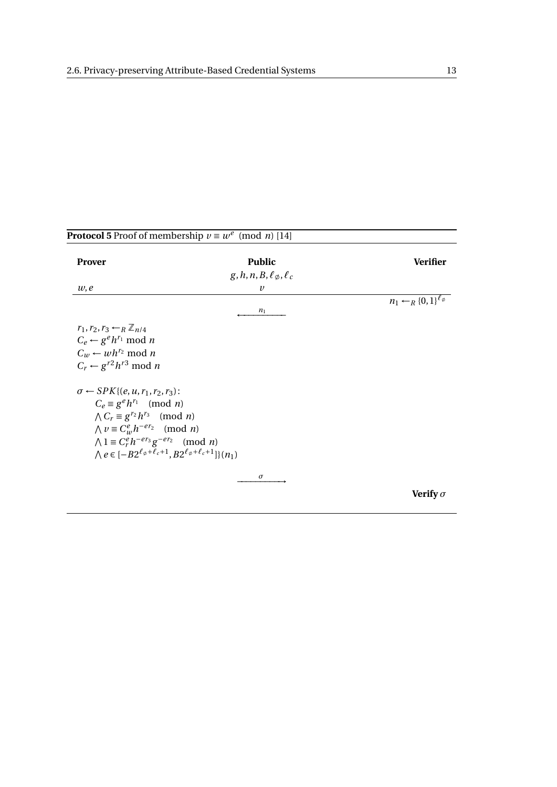<span id="page-20-0"></span>

| <b>Prover</b>                                                                       | <b>Public</b>                            | <b>Verifier</b>                             |
|-------------------------------------------------------------------------------------|------------------------------------------|---------------------------------------------|
|                                                                                     | $g, h, n, B, \ell_{\emptyset}, \ell_{c}$ |                                             |
| w, e                                                                                | $\boldsymbol{\nu}$                       |                                             |
|                                                                                     | $n_1$                                    | $n_1 \leftarrow_R \{0,1\}^{\ell_\emptyset}$ |
|                                                                                     |                                          |                                             |
| $r_1, r_2, r_3 \leftarrow_R \mathbb{Z}_{n/4}$                                       |                                          |                                             |
| $C_e \leftarrow g^e h^{r_1} \bmod n$                                                |                                          |                                             |
| $C_w \leftarrow wh^{r_2} \mod n$                                                    |                                          |                                             |
| $C_r \leftarrow g^{r2} h^{r3} \mod n$                                               |                                          |                                             |
|                                                                                     |                                          |                                             |
| $\sigma \leftarrow SPK$ { $(e, u, r_1, r_2, r_3)$ :                                 |                                          |                                             |
| $C_e \equiv g^e h^{r_1} \pmod{n}$                                                   |                                          |                                             |
| $\bigwedge C_r \equiv g^{r_2} h^{r_3} \pmod{n}$                                     |                                          |                                             |
| $\bigwedge v \equiv C_w^e h^{-er_2} \pmod{n}$                                       |                                          |                                             |
| $\bigwedge 1 \equiv C_r^e h^{-er_3} g^{-er_2} \pmod{n}$                             |                                          |                                             |
| $\wedge e \in [-B2^{\ell_{\phi}+\ell_{c}+1}, B2^{\ell_{\phi}+\ell_{c}+1}]\}(n_{1})$ |                                          |                                             |
|                                                                                     |                                          |                                             |
|                                                                                     | $\sigma$                                 |                                             |
|                                                                                     |                                          | Verify $\sigma$                             |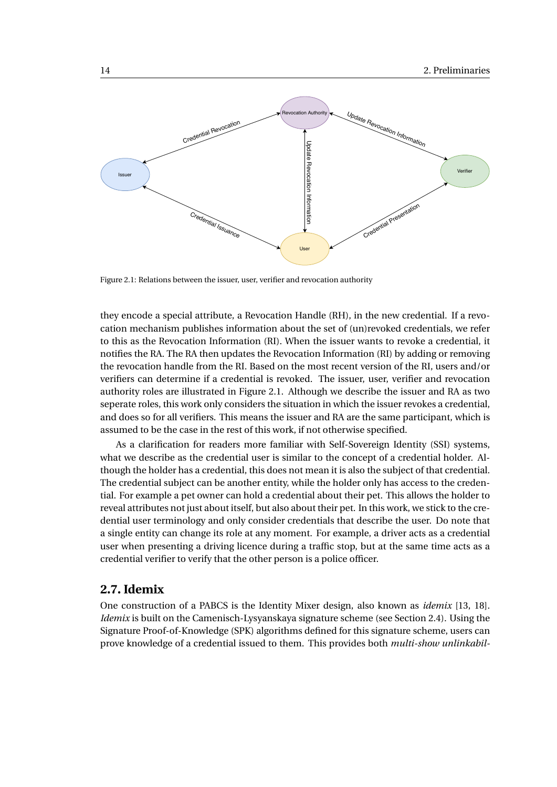<span id="page-21-1"></span>

Figure 2.1: Relations between the issuer, user, verifier and revocation authority

they encode a special attribute, a Revocation Handle (RH), in the new credential. If a revocation mechanism publishes information about the set of (un)revoked credentials, we refer to this as the Revocation Information (RI). When the issuer wants to revoke a credential, it notifies the RA. The RA then updates the Revocation Information (RI) by adding or removing the revocation handle from the RI. Based on the most recent version of the RI, users and/or verifiers can determine if a credential is revoked. The issuer, user, verifier and revocation authority roles are illustrated in Figure [2.1.](#page-21-1) Although we describe the issuer and RA as two seperate roles, this work only considers the situation in which the issuer revokes a credential, and does so for all verifiers. This means the issuer and RA are the same participant, which is assumed to be the case in the rest of this work, if not otherwise specified.

As a clarification for readers more familiar with Self-Sovereign Identity (SSI) systems, what we describe as the credential user is similar to the concept of a credential holder. Although the holder has a credential, this does not mean it is also the subject of that credential. The credential subject can be another entity, while the holder only has access to the credential. For example a pet owner can hold a credential about their pet. This allows the holder to reveal attributes not just about itself, but also about their pet. In this work, we stick to the credential user terminology and only consider credentials that describe the user. Do note that a single entity can change its role at any moment. For example, a driver acts as a credential user when presenting a driving licence during a traffic stop, but at the same time acts as a credential verifier to verify that the other person is a police officer.

#### <span id="page-21-0"></span>**2.7. Idemix**

One construction of a PABCS is the Identity Mixer design, also known as *idemix* [\[13,](#page-74-2) [18\]](#page-75-10). *Idemix* is built on the Camenisch-Lysyanskaya signature scheme (see Section [2.4\)](#page-17-0). Using the Signature Proof-of-Knowledge (SPK) algorithms defined for this signature scheme, users can prove knowledge of a credential issued to them. This provides both *multi-show unlinkabil-*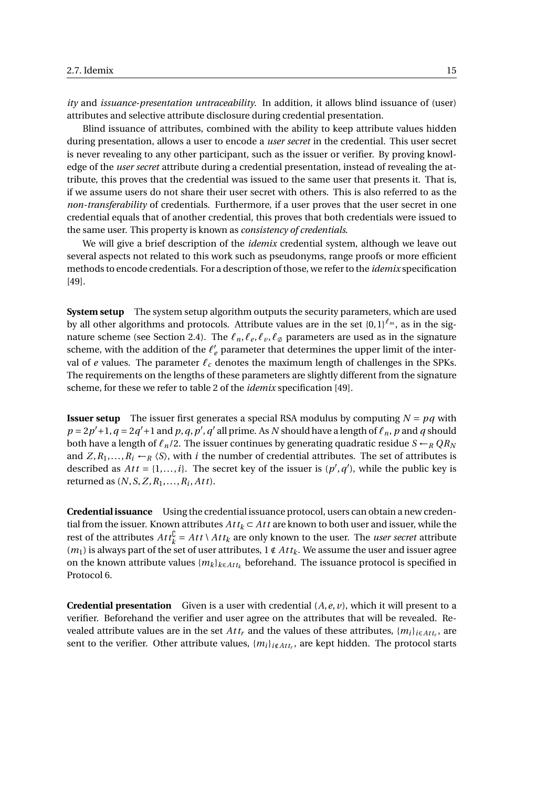*ity* and *issuance-presentation untraceability*. In addition, it allows blind issuance of (user) attributes and selective attribute disclosure during credential presentation.

Blind issuance of attributes, combined with the ability to keep attribute values hidden during presentation, allows a user to encode a *user secret* in the credential. This user secret is never revealing to any other participant, such as the issuer or verifier. By proving knowledge of the *user secret* attribute during a credential presentation, instead of revealing the attribute, this proves that the credential was issued to the same user that presents it. That is, if we assume users do not share their user secret with others. This is also referred to as the *non-transferability* of credentials. Furthermore, if a user proves that the user secret in one credential equals that of another credential, this proves that both credentials were issued to the same user. This property is known as *consistency of credentials*.

We will give a brief description of the *idemix* credential system, although we leave out several aspects not related to this work such as pseudonyms, range proofs or more efficient methods to encode credentials. For a description of those, we refer to the *idemix* specification [\[49\]](#page-77-2).

**System setup** The system setup algorithm outputs the security parameters, which are used by all other algorithms and protocols. Attribute values are in the set {0,1}*ℓ<sup>m</sup>* , as in the sig-nature scheme (see Section [2.4\)](#page-17-0). The  $\ell_n, \ell_e, \ell_v, \ell_\phi$  parameters are used as in the signature scheme, with the addition of the  $\ell'_e$  parameter that determines the upper limit of the interval of *e* values. The parameter *ℓ<sup>c</sup>* denotes the maximum length of challenges in the SPKs. The requirements on the lengths of these parameters are slightly different from the signature scheme, for these we refer to table 2 of the *idemix* specification [\[49\]](#page-77-2).

**Issuer setup** The issuer first generates a special RSA modulus by computing  $N = pq$  with  $p = 2p' + 1$ ,  $q = 2q' + 1$  and  $p$ ,  $q$ ,  $p'$ ,  $q'$  all prime. As *N* should have a length of  $\ell_n$ ,  $p$  and  $q$  should both have a length of *ℓn*/2. The issuer continues by generating quadratic residue *S* ←*<sup>R</sup> QR<sup>N</sup>* and  $Z, R_1, \ldots, R_i \leftarrow_R \langle S \rangle$ , with *i* the number of credential attributes. The set of attributes is described as  $Att = \{1, ..., i\}$ . The secret key of the issuer is  $(p', q')$ , while the public key is returned as (*N*,*S*,*Z*,*R*1,...,*R<sup>i</sup>* , *At t*).

**Credential issuance** Using the credential issuance protocol, users can obtain a new credential from the issuer. Known attributes  $Att_k \subset Att$  are known to both user and issuer, while the rest of the attributes  $Att^{\mathbb{C}}_k = Att \setminus Att_k$  are only known to the user. The *user secret* attribute  $(m_1)$  is always part of the set of user attributes,  $1 \notin Att_k$ . We assume the user and issuer agree on the known attribute values {*m<sup>k</sup>* }*k*∈*At t<sup>k</sup>* beforehand. The issuance protocol is specified in Protocol [6.](#page-23-0)

**Credential presentation** Given is a user with credential  $(A, e, v)$ , which it will present to a verifier. Beforehand the verifier and user agree on the attributes that will be revealed. Revealed attribute values are in the set  $Att_r$  and the values of these attributes,  $\{m_i\}_{i \in Att_r}$ , are sent to the verifier. Other attribute values,  $\{m_i\}_{i \notin Att_r}$ , are kept hidden. The protocol starts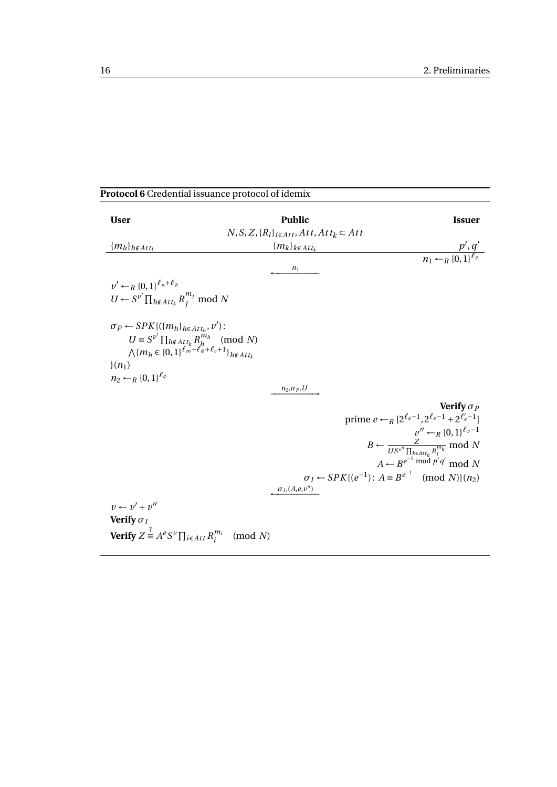#### <span id="page-23-0"></span>**Protocol 6** Credential issuance protocol of idemix

| <b>User</b>                                                                                                                                                                                                                         | <b>Public</b>                                          | <b>Issuer</b>                                                                                  |
|-------------------------------------------------------------------------------------------------------------------------------------------------------------------------------------------------------------------------------------|--------------------------------------------------------|------------------------------------------------------------------------------------------------|
|                                                                                                                                                                                                                                     | $N, S, Z, \{R_i\}_{i \in Att}, Att, Att_k \subset Att$ |                                                                                                |
| ${m_h}_{h \notin Att_k}$                                                                                                                                                                                                            | ${m_k}_{k \in Att_k}$                                  | $\frac{p', q'}{n_1 \leftarrow_R \{0, 1\}^{\ell_{\emptyset}}}$                                  |
|                                                                                                                                                                                                                                     | $n_1$                                                  |                                                                                                |
| $v' \leftarrow_B \{0,1\}^{\ell_n+\ell_\emptyset}$<br>$U \leftarrow S^{\nu'} \prod_{h \notin Att_k} R_i^{m_j} \text{ mod } N$                                                                                                        |                                                        |                                                                                                |
| $\sigma_P \leftarrow SPK \{ (\{m_h\}_{h \in Att_h}, v') :$<br>$U \equiv S^{\nu'} \prod_{h \notin Att_k} R_h^{m_h} \pmod{N}$<br>$\bigwedge \{m_h \in \{0,1\}^{\ell_m + \ell_{\varphi}^* + \ell_c + 1}\}_{h \notin Att_k}$<br>$(n_1)$ |                                                        |                                                                                                |
| $n_2 \leftarrow_R \{0,1\}^{\ell_\emptyset}$                                                                                                                                                                                         | $n_2,\sigma_P,U$                                       |                                                                                                |
|                                                                                                                                                                                                                                     |                                                        | Verify $\sigma_P$<br>prime $e \leftarrow_R [2^{\ell_e - 1}, 2^{\ell_e - 1} + 2^{\ell'_e - 1}]$ |
|                                                                                                                                                                                                                                     |                                                        | $v'' \leftarrow_R \{0,1\}^{\ell_v-1}$                                                          |
|                                                                                                                                                                                                                                     |                                                        | $B \leftarrow \frac{Z}{US^{\nu''}\prod_{k \in Att_k} R_i^{m_k}} \mod N$                        |
|                                                                                                                                                                                                                                     |                                                        | $A \leftarrow B^{e^{-1} \bmod p' q'} \bmod N$                                                  |
|                                                                                                                                                                                                                                     | $\sigma_I$ , $(A,e,v'')$                               | $\sigma_I \leftarrow SPK{(e^{-1})}$ : $A \equiv B^{e^{-1}} \pmod{N}(n_2)$                      |
| $v \leftarrow v' + v''$                                                                                                                                                                                                             |                                                        |                                                                                                |
| Verify $\sigma_I$                                                                                                                                                                                                                   |                                                        |                                                                                                |
| <b>Verify</b> $Z \stackrel{?}{=} A^e S^v \prod_{i \in Att} R_i^{m_i} \pmod{N}$                                                                                                                                                      |                                                        |                                                                                                |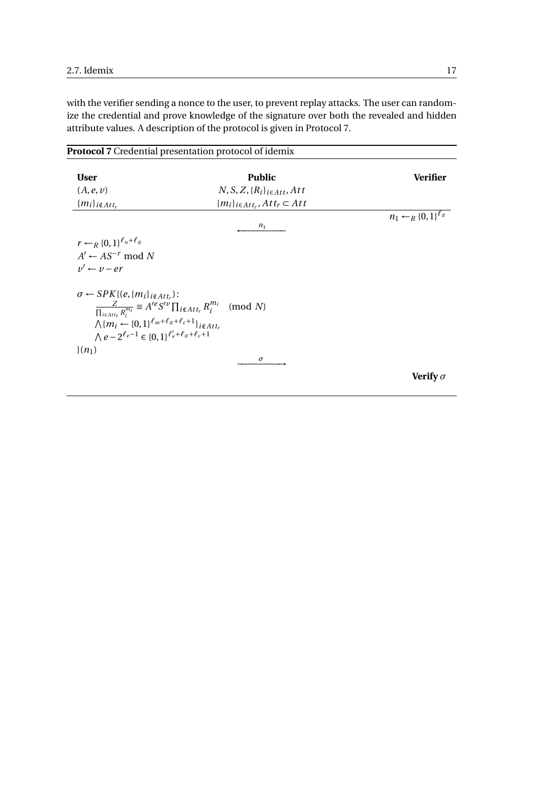with the verifier sending a nonce to the user, to prevent replay attacks. The user can randomize the credential and prove knowledge of the signature over both the revealed and hidden attribute values. A description of the protocol is given in Protocol [7.](#page-24-0)

<span id="page-24-0"></span>

|                                                                                                                                                                                                                                          | <b>Protocol 7</b> Credential presentation protocol of idemix                                                       |                                             |
|------------------------------------------------------------------------------------------------------------------------------------------------------------------------------------------------------------------------------------------|--------------------------------------------------------------------------------------------------------------------|---------------------------------------------|
| <b>User</b>                                                                                                                                                                                                                              | <b>Public</b>                                                                                                      | Verifier                                    |
| (A, e, v)                                                                                                                                                                                                                                | $N, S, Z, \{R_i\}_{i \in Att}, Att$                                                                                |                                             |
| ${m_i}_{i \notin Att_r}$                                                                                                                                                                                                                 | ${m_i}_{i \in Att_r}, Att_r \subset Att$                                                                           |                                             |
|                                                                                                                                                                                                                                          | $n_1$                                                                                                              | $n_1 \leftarrow_R \{0,1\}^{\ell_\emptyset}$ |
| $r \leftarrow_R \{0,1\}^{\ell_n+\ell_\emptyset}$                                                                                                                                                                                         |                                                                                                                    |                                             |
| $A' \leftarrow AS^{-r} \mod N$                                                                                                                                                                                                           |                                                                                                                    |                                             |
| $v' \leftarrow v - er$                                                                                                                                                                                                                   |                                                                                                                    |                                             |
| $\sigma \leftarrow SPK\{(e, \{m_i\}_{i \notin Att_r})\}$<br>$\bigwedge \{m_i \leftarrow \{0,1\}^{\ell_m + \ell_{\phi} + \ell_c + 1}\}_{i \notin Att_r}$<br>$\bigwedge e - 2^{\ell_e - 1} \in \{0,1\}^{\ell'_e + \ell_\phi + \ell_c + 1}$ | $\frac{Z}{\prod_{i\in \mathit{Attr}_i}R_i^{m_i}}\equiv A^{ie}S'^{v}\prod_{i\notin \mathit{Att}_r}R_i^{m_i}\pmod N$ |                                             |
| $(n_1)$                                                                                                                                                                                                                                  |                                                                                                                    |                                             |
|                                                                                                                                                                                                                                          | $\sigma$                                                                                                           | Verify $\sigma$                             |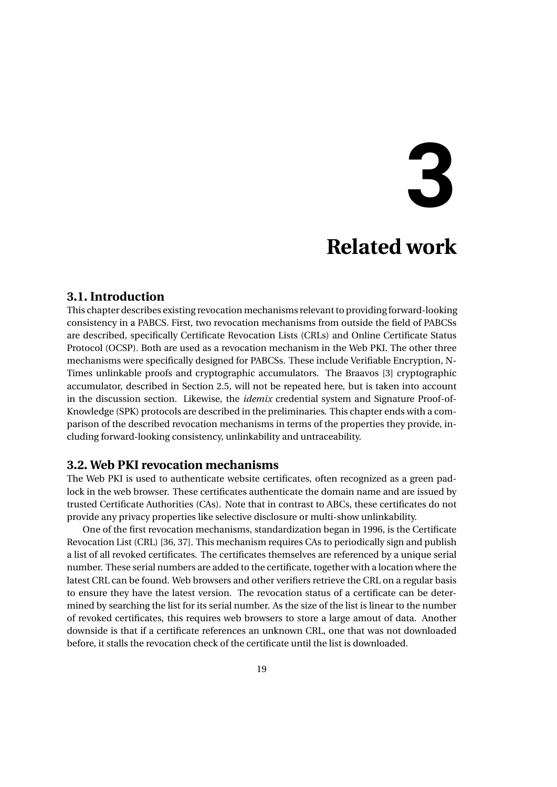## **3**

## **Related work**

#### <span id="page-26-1"></span><span id="page-26-0"></span>**3.1. Introduction**

This chapter describes existing revocation mechanisms relevant to providing forward-looking consistency in a PABCS. First, two revocation mechanisms from outside the field of PABCSs are described, specifically Certificate Revocation Lists (CRLs) and Online Certificate Status Protocol (OCSP). Both are used as a revocation mechanism in the Web PKI. The other three mechanisms were specifically designed for PABCSs. These include Verifiable Encryption, N-Times unlinkable proofs and cryptographic accumulators. The Braavos [\[3\]](#page-74-9) cryptographic accumulator, described in Section [2.5,](#page-18-0) will not be repeated here, but is taken into account in the discussion section. Likewise, the *idemix* credential system and Signature Proof-of-Knowledge (SPK) protocols are described in the preliminaries. This chapter ends with a comparison of the described revocation mechanisms in terms of the properties they provide, including forward-looking consistency, unlinkability and untraceability.

#### <span id="page-26-2"></span>**3.2. Web PKI revocation mechanisms**

The Web PKI is used to authenticate website certificates, often recognized as a green padlock in the web browser. These certificates authenticate the domain name and are issued by trusted Certificate Authorities (CAs). Note that in contrast to ABCs, these certificates do not provide any privacy properties like selective disclosure or multi-show unlinkability.

One of the first revocation mechanisms, standardization began in 1996, is the Certificate Revocation List (CRL) [\[36,](#page-76-9) [37\]](#page-76-10). This mechanism requires CAs to periodically sign and publish a list of all revoked certificates. The certificates themselves are referenced by a unique serial number. These serial numbers are added to the certificate, together with a location where the latest CRL can be found. Web browsers and other verifiers retrieve the CRL on a regular basis to ensure they have the latest version. The revocation status of a certificate can be determined by searching the list for its serial number. As the size of the list is linear to the number of revoked certificates, this requires web browsers to store a large amout of data. Another downside is that if a certificate references an unknown CRL, one that was not downloaded before, it stalls the revocation check of the certificate until the list is downloaded.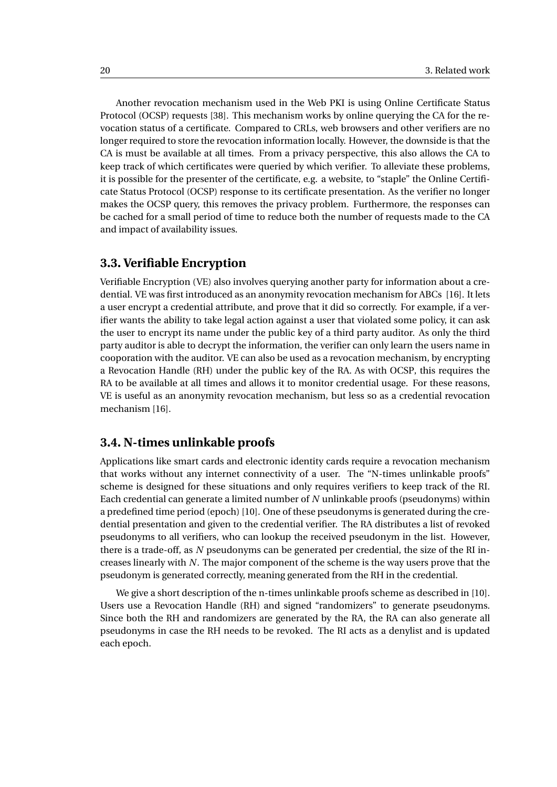Another revocation mechanism used in the Web PKI is using Online Certificate Status Protocol (OCSP) requests [\[38\]](#page-76-11). This mechanism works by online querying the CA for the revocation status of a certificate. Compared to CRLs, web browsers and other verifiers are no longer required to store the revocation information locally. However, the downside is that the CA is must be available at all times. From a privacy perspective, this also allows the CA to keep track of which certificates were queried by which verifier. To alleviate these problems, it is possible for the presenter of the certificate, e.g. a website, to "staple" the Online Certificate Status Protocol (OCSP) response to its certificate presentation. As the verifier no longer makes the OCSP query, this removes the privacy problem. Furthermore, the responses can be cached for a small period of time to reduce both the number of requests made to the CA and impact of availability issues.

#### <span id="page-27-0"></span>**3.3. Verifiable Encryption**

Verifiable Encryption (VE) also involves querying another party for information about a credential. VE was first introduced as an anonymity revocation mechanism for ABCs [\[16\]](#page-75-11). It lets a user encrypt a credential attribute, and prove that it did so correctly. For example, if a verifier wants the ability to take legal action against a user that violated some policy, it can ask the user to encrypt its name under the public key of a third party auditor. As only the third party auditor is able to decrypt the information, the verifier can only learn the users name in cooporation with the auditor. VE can also be used as a revocation mechanism, by encrypting a Revocation Handle (RH) under the public key of the RA. As with OCSP, this requires the RA to be available at all times and allows it to monitor credential usage. For these reasons, VE is useful as an anonymity revocation mechanism, but less so as a credential revocation mechanism [\[16\]](#page-75-11).

#### <span id="page-27-1"></span>**3.4. N-times unlinkable proofs**

Applications like smart cards and electronic identity cards require a revocation mechanism that works without any internet connectivity of a user. The "N-times unlinkable proofs" scheme is designed for these situations and only requires verifiers to keep track of the RI. Each credential can generate a limited number of *N* unlinkable proofs (pseudonyms) within a predefined time period (epoch) [\[10\]](#page-74-10). One of these pseudonyms is generated during the credential presentation and given to the credential verifier. The RA distributes a list of revoked pseudonyms to all verifiers, who can lookup the received pseudonym in the list. However, there is a trade-off, as *N* pseudonyms can be generated per credential, the size of the RI increases linearly with *N*. The major component of the scheme is the way users prove that the pseudonym is generated correctly, meaning generated from the RH in the credential.

We give a short description of the n-times unlinkable proofs scheme as described in [\[10\]](#page-74-10). Users use a Revocation Handle (RH) and signed "randomizers" to generate pseudonyms. Since both the RH and randomizers are generated by the RA, the RA can also generate all pseudonyms in case the RH needs to be revoked. The RI acts as a denylist and is updated each epoch.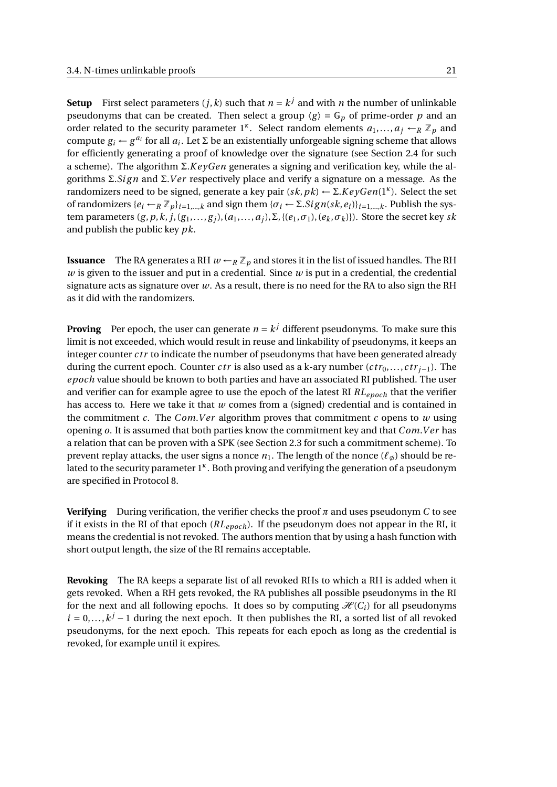**Setup** First select parameters  $(j, k)$  such that  $n = k^j$  and with  $n$  the number of unlinkable pseudonyms that can be created. Then select a group  $\langle g \rangle = \mathbb{G}_p$  of prime-order p and an order related to the security parameter 1<sup>*κ*</sup>. Select random elements  $a_1, ..., a_j \leftarrow_R \mathbb{Z}_p$  and compute  $g_i \leftarrow g^{a_i}$  for all  $a_i$ . Let  $\Sigma$  be an existentially unforgeable signing scheme that allows for efficiently generating a proof of knowledge over the signature (see Section [2.4](#page-17-0) for such a scheme). The algorithm Σ.*K e yGen* generates a signing and verification key, while the algorithms Σ.*Sign* and Σ.*Ver* respectively place and verify a signature on a message. As the randomizers need to be signed, generate a key pair  $(sk, pk) \leftarrow \Sigma$ *.KeyGen*(1<sup>*κ*</sup>). Select the set of randomizers  $\{e_i \leftarrow_R \mathbb{Z}_p\}_{i=1,\dots,k}$  and sign them  $\{\sigma_i \leftarrow \Sigma \cdot Sign(sk, e_i)\}_{i=1,\dots,k}$ . Publish the system parameters  $(g, p, k, j, (g_1, \ldots, g_j), (a_1, \ldots, a_j), \Sigma, \{(e_1, \sigma_1), (e_k, \sigma_k)\}\)$ . Store the secret key *sk* and publish the public key *pk*.

**Issuance** The RA generates a RH  $w \leftarrow_R \mathbb{Z}_p$  and stores it in the list of issued handles. The RH *w* is given to the issuer and put in a credential. Since *w* is put in a credential, the credential signature acts as signature over *w*. As a result, there is no need for the RA to also sign the RH as it did with the randomizers.

**Proving** Per epoch, the user can generate  $n = k^j$  different pseudonyms. To make sure this limit is not exceeded, which would result in reuse and linkability of pseudonyms, it keeps an integer counter *ctr* to indicate the number of pseudonyms that have been generated already during the current epoch. Counter *ctr* is also used as a k-ary number  $(ctr_0, \ldots, ctr_{i-1})$ . The *epoch* value should be known to both parties and have an associated RI published. The user and verifier can for example agree to use the epoch of the latest RI *RLepoch* that the verifier has access to. Here we take it that *w* comes from a (signed) credential and is contained in the commitment  $c$ . The *Com.Ver* algorithm proves that commitment  $c$  opens to  $w$  using opening *o*. It is assumed that both parties know the commitment key and that *Com*.*V er* has a relation that can be proven with a SPK (see Section [2.3](#page-16-0) for such a commitment scheme). To prevent replay attacks, the user signs a nonce  $n_1$ . The length of the nonce  $(\ell_{\alpha})$  should be related to the security parameter 1<sup>k</sup>. Both proving and verifying the generation of a pseudonym are specified in Protocol [8.](#page-29-0)

**Verifying** During verification, the verifier checks the proof  $\pi$  and uses pseudonym *C* to see if it exists in the RI of that epoch (*RLepoch*). If the pseudonym does not appear in the RI, it means the credential is not revoked. The authors mention that by using a hash function with short output length, the size of the RI remains acceptable.

**Revoking** The RA keeps a separate list of all revoked RHs to which a RH is added when it gets revoked. When a RH gets revoked, the RA publishes all possible pseudonyms in the RI for the next and all following epochs. It does so by computing  $\mathcal{H}(C_i)$  for all pseudonyms  $i = 0, \ldots, k^j - 1$  during the next epoch. It then publishes the RI, a sorted list of all revoked pseudonyms, for the next epoch. This repeats for each epoch as long as the credential is revoked, for example until it expires.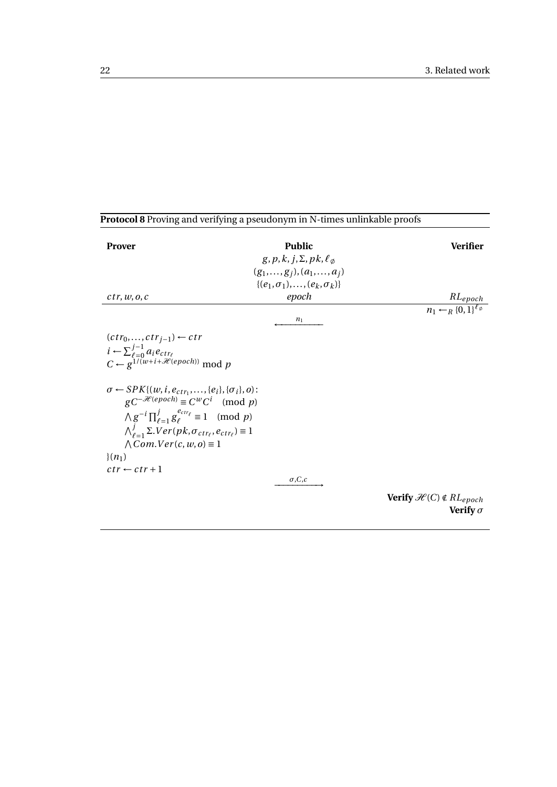<span id="page-29-0"></span>

| Protocol 8 Proving and verifying a pseudonym in N-times unlinkable proofs                                                                                                                                                                                                                                                                         |                                                             |                                                                     |
|---------------------------------------------------------------------------------------------------------------------------------------------------------------------------------------------------------------------------------------------------------------------------------------------------------------------------------------------------|-------------------------------------------------------------|---------------------------------------------------------------------|
| <b>Prover</b>                                                                                                                                                                                                                                                                                                                                     | <b>Public</b><br>$g, p, k, j, \Sigma, pk, \ell_{\emptyset}$ | <b>Verifier</b>                                                     |
|                                                                                                                                                                                                                                                                                                                                                   | $(g_1,,g_j),(a_1,,a_j)$                                     |                                                                     |
|                                                                                                                                                                                                                                                                                                                                                   | $\{(e_1,\sigma_1),,(e_k,\sigma_k)\}\$                       |                                                                     |
| ctr, w, o, c                                                                                                                                                                                                                                                                                                                                      | epoch                                                       | $\frac{RL_{epoch}}{n_1 \leftarrow_R \{0, 1\}^{\ell_{\phi}}}$        |
|                                                                                                                                                                                                                                                                                                                                                   | $n_1$                                                       |                                                                     |
| $(ctr_0,,ctr_{j-1}) \leftarrow ctr$<br>$i \leftarrow \sum_{\ell=0}^{j-1} a_i e_{ctr_{\ell}}$<br>$C \leftarrow g^{1/(w+i+\mathcal{H}(epoch))}$ mod p                                                                                                                                                                                               |                                                             |                                                                     |
| $\sigma \leftarrow SPK\{(w, i, e_{ctr_1}, \ldots, \{e_i\}, \{\sigma_i\}, o):$<br>$gC^{-\mathcal{H}(epoch)} \equiv C^{w}C^{i} \pmod{p}$<br>$\wedge g^{-i} \prod_{\ell=1}^{j} g_{\ell}^{e_{ctr_{\ell}}} \equiv 1 \pmod{p}$<br>$\bigwedge_{\ell=1}^j \Sigma Ver(pk, \sigma_{ctr_\ell}, e_{ctr_\ell}) \equiv 1$<br>$\wedge Com.Ver(c, w, o) \equiv 1$ |                                                             |                                                                     |
| $(n_1)$                                                                                                                                                                                                                                                                                                                                           |                                                             |                                                                     |
| $ctr \leftarrow ctr+1$                                                                                                                                                                                                                                                                                                                            |                                                             |                                                                     |
|                                                                                                                                                                                                                                                                                                                                                   | $\sigma$ ,C,c                                               |                                                                     |
|                                                                                                                                                                                                                                                                                                                                                   |                                                             | <b>Verify</b> $\mathcal{H}(C) \notin RL_{epoch}$<br>Verify $\sigma$ |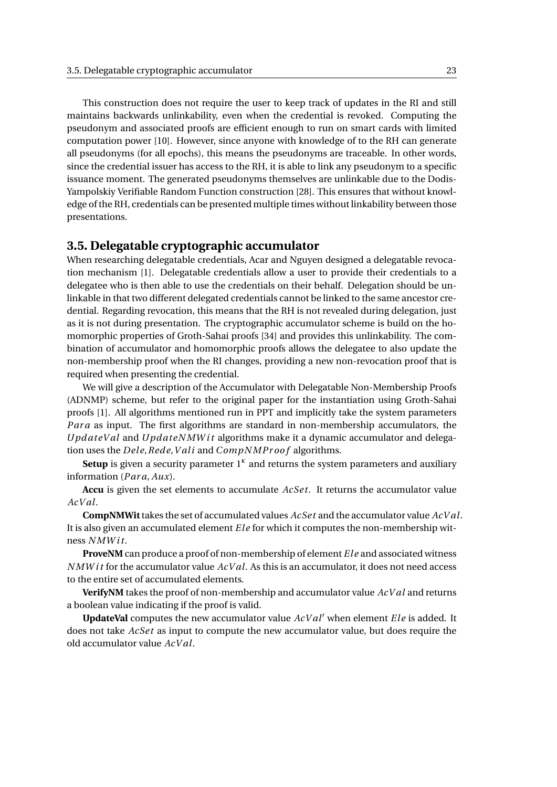This construction does not require the user to keep track of updates in the RI and still maintains backwards unlinkability, even when the credential is revoked. Computing the pseudonym and associated proofs are efficient enough to run on smart cards with limited computation power [\[10\]](#page-74-10). However, since anyone with knowledge of to the RH can generate all pseudonyms (for all epochs), this means the pseudonyms are traceable. In other words, since the credential issuer has access to the RH, it is able to link any pseudonym to a specific issuance moment. The generated pseudonyms themselves are unlinkable due to the Dodis-Yampolskiy Verifiable Random Function construction [\[28\]](#page-75-12). This ensures that without knowledge of the RH, credentials can be presented multiple times without linkability between those presentations.

#### <span id="page-30-0"></span>**3.5. Delegatable cryptographic accumulator**

When researching delegatable credentials, Acar and Nguyen designed a delegatable revocation mechanism [\[1\]](#page-74-11). Delegatable credentials allow a user to provide their credentials to a delegatee who is then able to use the credentials on their behalf. Delegation should be unlinkable in that two different delegated credentials cannot be linked to the same ancestor credential. Regarding revocation, this means that the RH is not revealed during delegation, just as it is not during presentation. The cryptographic accumulator scheme is build on the homomorphic properties of Groth-Sahai proofs [\[34\]](#page-76-12) and provides this unlinkability. The combination of accumulator and homomorphic proofs allows the delegatee to also update the non-membership proof when the RI changes, providing a new non-revocation proof that is required when presenting the credential.

We will give a description of the Accumulator with Delegatable Non-Membership Proofs (ADNMP) scheme, but refer to the original paper for the instantiation using Groth-Sahai proofs [\[1\]](#page-74-11). All algorithms mentioned run in PPT and implicitly take the system parameters *Par a* as input. The first algorithms are standard in non-membership accumulators, the *Upd ateV al* and *Upd ateN MW i t* algorithms make it a dynamic accumulator and delegation uses the *Dele*, *Rede*, *Vali* and *CompNMProof* algorithms.

Setup is given a security parameter 1<sup>k</sup> and returns the system parameters and auxiliary information (*Par a*, *Aux*).

**Accu** is given the set elements to accumulate *AcSet*. It returns the accumulator value *AcV al*.

**CompNMWit**takes the set of accumulated values *AcSet* and the accumulator value *AcV al*. It is also given an accumulated element *Ele* for which it computes the non-membership witness *N MW i t*.

**ProveNM** can produce a proof of non-membership of element *Ele* and associated witness *N MW i t* for the accumulator value *AcV al*. As this is an accumulator, it does not need access to the entire set of accumulated elements.

**VerifyNM** takes the proof of non-membership and accumulator value *AcV al* and returns a boolean value indicating if the proof is valid.

**UpdateVal** computes the new accumulator value *AcV al*′ when element *El e* is added. It does not take *AcSet* as input to compute the new accumulator value, but does require the old accumulator value *AcV al*.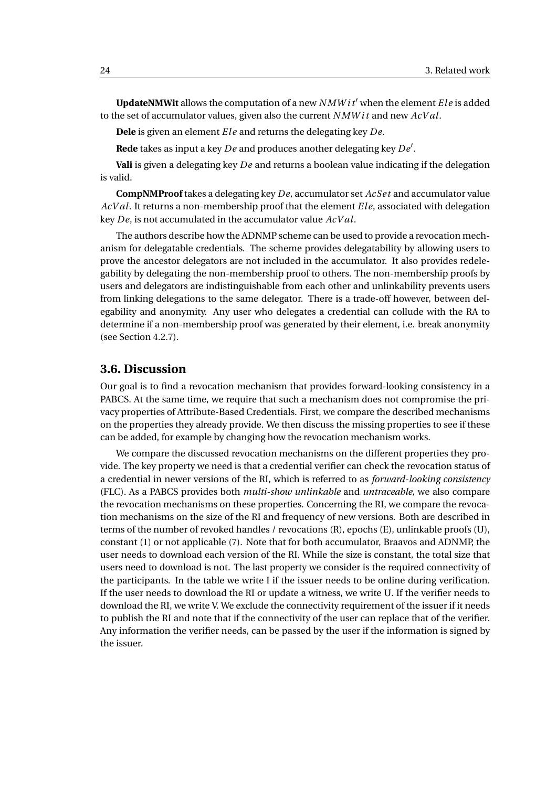**UpdateNMWit** allows the computation of a new *N MW i t*′ when the element *El e* is added to the set of accumulator values, given also the current *N MW i t* and new *AcV al*.

**Dele** is given an element *El e* and returns the delegating key *De*.

**Rede** takes as input a key *De* and produces another delegating key *De*′ .

**Vali** is given a delegating key *De* and returns a boolean value indicating if the delegation is valid.

**CompNMProof** takes a delegating key *De*, accumulator set *AcSet* and accumulator value *AcV al*. It returns a non-membership proof that the element *El e*, associated with delegation key *De*, is not accumulated in the accumulator value *AcV al*.

The authors describe how the ADNMP scheme can be used to provide a revocation mechanism for delegatable credentials. The scheme provides delegatability by allowing users to prove the ancestor delegators are not included in the accumulator. It also provides redelegability by delegating the non-membership proof to others. The non-membership proofs by users and delegators are indistinguishable from each other and unlinkability prevents users from linking delegations to the same delegator. There is a trade-off however, between delegability and anonymity. Any user who delegates a credential can collude with the RA to determine if a non-membership proof was generated by their element, i.e. break anonymity (see Section [4.2.7\)](#page-37-2).

#### <span id="page-31-0"></span>**3.6. Discussion**

Our goal is to find a revocation mechanism that provides forward-looking consistency in a PABCS. At the same time, we require that such a mechanism does not compromise the privacy properties of Attribute-Based Credentials. First, we compare the described mechanisms on the properties they already provide. We then discuss the missing properties to see if these can be added, for example by changing how the revocation mechanism works.

We compare the discussed revocation mechanisms on the different properties they provide. The key property we need is that a credential verifier can check the revocation status of a credential in newer versions of the RI, which is referred to as *forward-looking consistency* (FLC). As a PABCS provides both *multi-show unlinkable* and *untraceable*, we also compare the revocation mechanisms on these properties. Concerning the RI, we compare the revocation mechanisms on the size of the RI and frequency of new versions. Both are described in terms of the number of revoked handles / revocations (R), epochs (E), unlinkable proofs (U), constant (1) or not applicable (7). Note that for both accumulator, Braavos and ADNMP, the user needs to download each version of the RI. While the size is constant, the total size that users need to download is not. The last property we consider is the required connectivity of the participants. In the table we write I if the issuer needs to be online during verification. If the user needs to download the RI or update a witness, we write U. If the verifier needs to download the RI, we write V. We exclude the connectivity requirement of the issuer if it needs to publish the RI and note that if the connectivity of the user can replace that of the verifier. Any information the verifier needs, can be passed by the user if the information is signed by the issuer.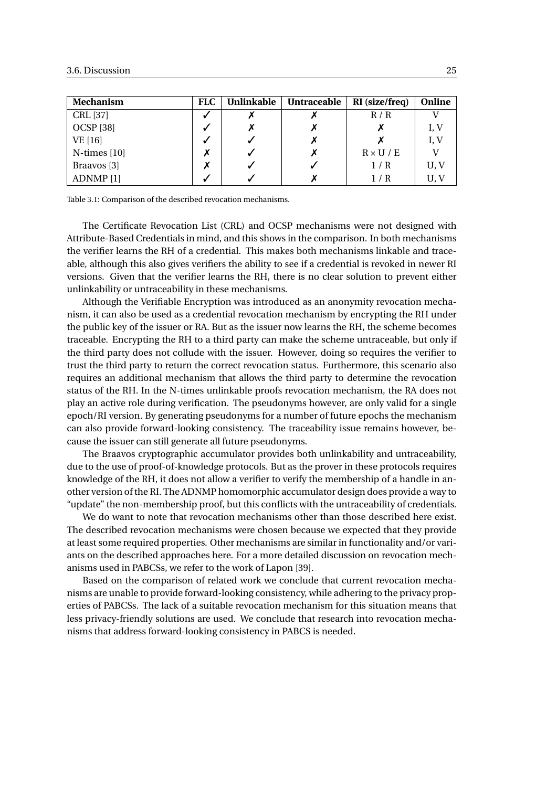| <b>Mechanism</b>     | <b>FLC</b> | <b>Unlinkable</b> | <b>Untraceable</b> | RI (size/freq)   | Online |
|----------------------|------------|-------------------|--------------------|------------------|--------|
| CRL [37]             | √          |                   |                    | R / R            |        |
| <b>OCSP</b> [38]     | V          |                   |                    |                  | I, V   |
| VE [16]              | √          |                   |                    |                  | I, V   |
| $N$ -times [10]      |            |                   | Х                  | $R \times U / E$ |        |
| Braavos [3]          |            |                   |                    | 1/R              | U, V   |
| ADNMP <sup>[1]</sup> |            |                   |                    | / R              | U, V   |

Table 3.1: Comparison of the described revocation mechanisms.

The Certificate Revocation List (CRL) and OCSP mechanisms were not designed with Attribute-Based Credentials in mind, and this shows in the comparison. In both mechanisms the verifier learns the RH of a credential. This makes both mechanisms linkable and traceable, although this also gives verifiers the ability to see if a credential is revoked in newer RI versions. Given that the verifier learns the RH, there is no clear solution to prevent either unlinkability or untraceability in these mechanisms.

Although the Verifiable Encryption was introduced as an anonymity revocation mechanism, it can also be used as a credential revocation mechanism by encrypting the RH under the public key of the issuer or RA. But as the issuer now learns the RH, the scheme becomes traceable. Encrypting the RH to a third party can make the scheme untraceable, but only if the third party does not collude with the issuer. However, doing so requires the verifier to trust the third party to return the correct revocation status. Furthermore, this scenario also requires an additional mechanism that allows the third party to determine the revocation status of the RH. In the N-times unlinkable proofs revocation mechanism, the RA does not play an active role during verification. The pseudonyms however, are only valid for a single epoch/RI version. By generating pseudonyms for a number of future epochs the mechanism can also provide forward-looking consistency. The traceability issue remains however, because the issuer can still generate all future pseudonyms.

The Braavos cryptographic accumulator provides both unlinkability and untraceability, due to the use of proof-of-knowledge protocols. But as the prover in these protocols requires knowledge of the RH, it does not allow a verifier to verify the membership of a handle in another version of the RI. The ADNMP homomorphic accumulator design does provide a way to "update" the non-membership proof, but this conflicts with the untraceability of credentials.

We do want to note that revocation mechanisms other than those described here exist. The described revocation mechanisms were chosen because we expected that they provide at least some required properties. Other mechanisms are similar in functionality and/or variants on the described approaches here. For a more detailed discussion on revocation mechanisms used in PABCSs, we refer to the work of Lapon [\[39\]](#page-76-13).

Based on the comparison of related work we conclude that current revocation mechanisms are unable to provide forward-looking consistency, while adhering to the privacy properties of PABCSs. The lack of a suitable revocation mechanism for this situation means that less privacy-friendly solutions are used. We conclude that research into revocation mechanisms that address forward-looking consistency in PABCS is needed.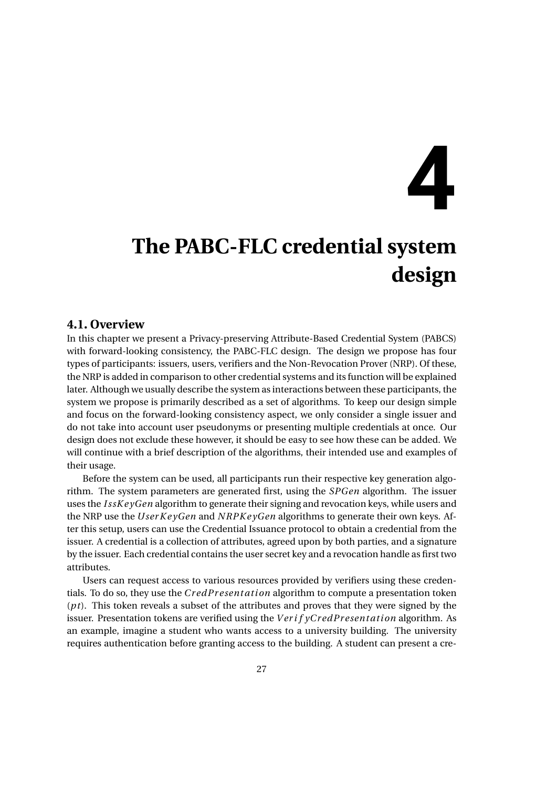# **4**

## <span id="page-34-0"></span>**The PABC-FLC credential system design**

#### <span id="page-34-1"></span>**4.1. Overview**

In this chapter we present a Privacy-preserving Attribute-Based Credential System (PABCS) with forward-looking consistency, the PABC-FLC design. The design we propose has four types of participants: issuers, users, verifiers and the Non-Revocation Prover (NRP). Of these, the NRP is added in comparison to other credential systems and its function will be explained later. Although we usually describe the system as interactions between these participants, the system we propose is primarily described as a set of algorithms. To keep our design simple and focus on the forward-looking consistency aspect, we only consider a single issuer and do not take into account user pseudonyms or presenting multiple credentials at once. Our design does not exclude these however, it should be easy to see how these can be added. We will continue with a brief description of the algorithms, their intended use and examples of their usage.

Before the system can be used, all participants run their respective key generation algorithm. The system parameters are generated first, using the *SPGen* algorithm. The issuer uses the *I ssK e yGen* algorithm to generate their signing and revocation keys, while users and the NRP use the *User KeyGen* and *NRPKeyGen* algorithms to generate their own keys. After this setup, users can use the Credential Issuance protocol to obtain a credential from the issuer. A credential is a collection of attributes, agreed upon by both parties, and a signature by the issuer. Each credential contains the user secret key and a revocation handle as first two attributes.

Users can request access to various resources provided by verifiers using these credentials. To do so, they use the *Cr edPr esent ati on* algorithm to compute a presentation token (*pt*). This token reveals a subset of the attributes and proves that they were signed by the issuer. Presentation tokens are verified using the *Verif yCredPresentation* algorithm. As an example, imagine a student who wants access to a university building. The university requires authentication before granting access to the building. A student can present a cre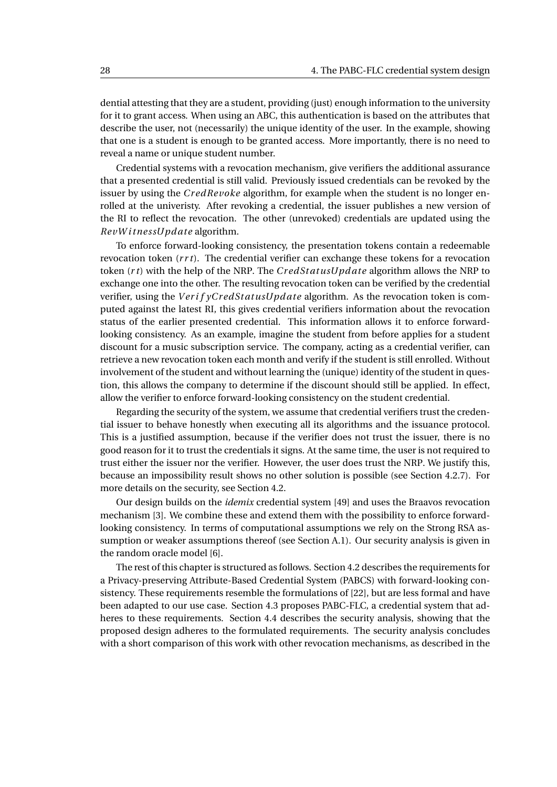dential attesting that they are a student, providing (just) enough information to the university for it to grant access. When using an ABC, this authentication is based on the attributes that describe the user, not (necessarily) the unique identity of the user. In the example, showing that one is a student is enough to be granted access. More importantly, there is no need to reveal a name or unique student number.

Credential systems with a revocation mechanism, give verifiers the additional assurance that a presented credential is still valid. Previously issued credentials can be revoked by the issuer by using the *Cr edRevoke* algorithm, for example when the student is no longer enrolled at the univeristy. After revoking a credential, the issuer publishes a new version of the RI to reflect the revocation. The other (unrevoked) credentials are updated using the *RevW i tnessUpd ate* algorithm.

To enforce forward-looking consistency, the presentation tokens contain a redeemable revocation token (*r r t*). The credential verifier can exchange these tokens for a revocation token (*r t*) with the help of the NRP. The *Cr edSt atusUpd ate* algorithm allows the NRP to exchange one into the other. The resulting revocation token can be verified by the credential verifier, using the *Verif yCredStatusUpdate* algorithm. As the revocation token is computed against the latest RI, this gives credential verifiers information about the revocation status of the earlier presented credential. This information allows it to enforce forwardlooking consistency. As an example, imagine the student from before applies for a student discount for a music subscription service. The company, acting as a credential verifier, can retrieve a new revocation token each month and verify if the student is still enrolled. Without involvement of the student and without learning the (unique) identity of the student in question, this allows the company to determine if the discount should still be applied. In effect, allow the verifier to enforce forward-looking consistency on the student credential.

Regarding the security of the system, we assume that credential verifiers trust the credential issuer to behave honestly when executing all its algorithms and the issuance protocol. This is a justified assumption, because if the verifier does not trust the issuer, there is no good reason for it to trust the credentials it signs. At the same time, the user is not required to trust either the issuer nor the verifier. However, the user does trust the NRP. We justify this, because an impossibility result shows no other solution is possible (see Section [4.2.7\)](#page-37-2). For more details on the security, see Section [4.2.](#page-36-0)

Our design builds on the *idemix* credential system [\[49\]](#page-77-2) and uses the Braavos revocation mechanism [\[3\]](#page-74-9). We combine these and extend them with the possibility to enforce forwardlooking consistency. In terms of computational assumptions we rely on the Strong RSA assumption or weaker assumptions thereof (see Section [A.1\)](#page-67-0). Our security analysis is given in the random oracle model [\[6\]](#page-74-12).

The rest of this chapter is structured as follows. Section [4.2](#page-36-0) describes the requirements for a Privacy-preserving Attribute-Based Credential System (PABCS) with forward-looking consistency. These requirements resemble the formulations of [\[22\]](#page-75-13), but are less formal and have been adapted to our use case. Section [4.3](#page-38-0) proposes PABC-FLC, a credential system that adheres to these requirements. Section [4.4](#page-51-0) describes the security analysis, showing that the proposed design adheres to the formulated requirements. The security analysis concludes with a short comparison of this work with other revocation mechanisms, as described in the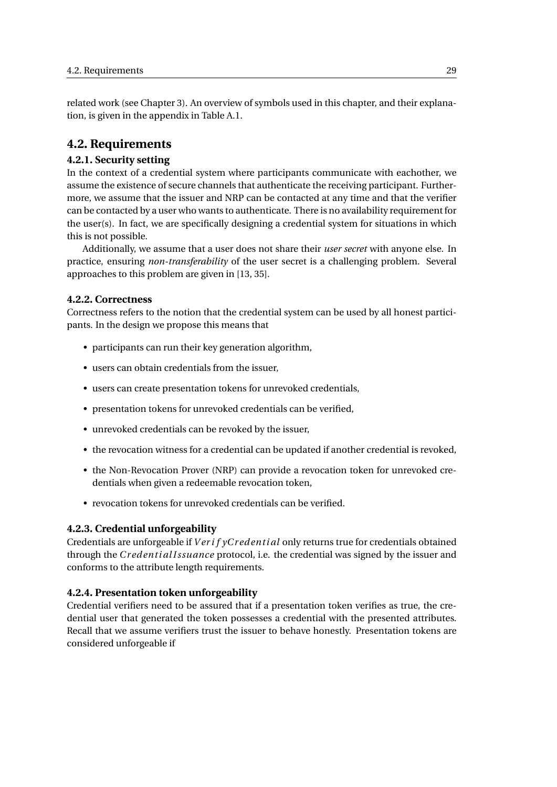related work (see Chapter [3\)](#page-26-0). An overview of symbols used in this chapter, and their explanation, is given in the appendix in Table [A.1.](#page-68-0)

#### **4.2. Requirements**

#### **4.2.1. Security setting**

In the context of a credential system where participants communicate with eachother, we assume the existence of secure channels that authenticate the receiving participant. Furthermore, we assume that the issuer and NRP can be contacted at any time and that the verifier can be contacted by a user who wants to authenticate. There is no availability requirement for the user(s). In fact, we are specifically designing a credential system for situations in which this is not possible.

Additionally, we assume that a user does not share their *user secret* with anyone else. In practice, ensuring *non-transferability* of the user secret is a challenging problem. Several approaches to this problem are given in [\[13,](#page-74-0) [35\]](#page-76-0).

#### **4.2.2. Correctness**

Correctness refers to the notion that the credential system can be used by all honest participants. In the design we propose this means that

- participants can run their key generation algorithm,
- users can obtain credentials from the issuer,
- users can create presentation tokens for unrevoked credentials,
- presentation tokens for unrevoked credentials can be verified,
- unrevoked credentials can be revoked by the issuer,
- the revocation witness for a credential can be updated if another credential is revoked,
- the Non-Revocation Prover (NRP) can provide a revocation token for unrevoked credentials when given a redeemable revocation token,
- revocation tokens for unrevoked credentials can be verified.

#### **4.2.3. Credential unforgeability**

Credentials are unforgeable if *Verif yCredential* only returns true for credentials obtained through the *Cr edenti al I ssuance* protocol, i.e. the credential was signed by the issuer and conforms to the attribute length requirements.

#### **4.2.4. Presentation token unforgeability**

Credential verifiers need to be assured that if a presentation token verifies as true, the credential user that generated the token possesses a credential with the presented attributes. Recall that we assume verifiers trust the issuer to behave honestly. Presentation tokens are considered unforgeable if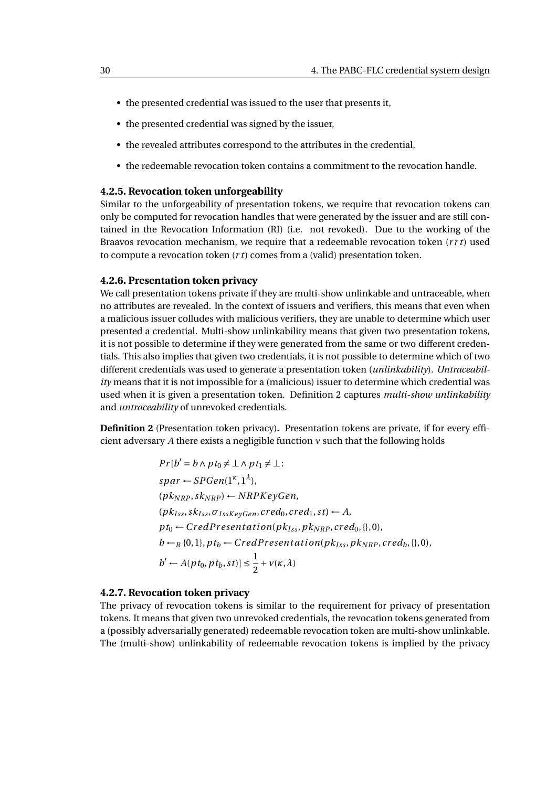- the presented credential was issued to the user that presents it,
- the presented credential was signed by the issuer,
- the revealed attributes correspond to the attributes in the credential,
- the redeemable revocation token contains a commitment to the revocation handle.

#### **4.2.5. Revocation token unforgeability**

Similar to the unforgeability of presentation tokens, we require that revocation tokens can only be computed for revocation handles that were generated by the issuer and are still contained in the Revocation Information (RI) (i.e. not revoked). Due to the working of the Braavos revocation mechanism, we require that a redeemable revocation token (*r r t*) used to compute a revocation token (*r t*) comes from a (valid) presentation token.

#### **4.2.6. Presentation token privacy**

We call presentation tokens private if they are multi-show unlinkable and untraceable, when no attributes are revealed. In the context of issuers and verifiers, this means that even when a malicious issuer colludes with malicious verifiers, they are unable to determine which user presented a credential. Multi-show unlinkability means that given two presentation tokens, it is not possible to determine if they were generated from the same or two different credentials. This also implies that given two credentials, it is not possible to determine which of two different credentials was used to generate a presentation token (*unlinkability*). *Untraceability* means that it is not impossible for a (malicious) issuer to determine which credential was used when it is given a presentation token. Definition [2](#page-37-0) captures *multi-show unlinkability* and *untraceability* of unrevoked credentials.

<span id="page-37-0"></span>**Definition 2** (Presentation token privacy)**.** Presentation tokens are private, if for every efficient adversary *A* there exists a negligible function *ν* such that the following holds

$$
Pr[b' = b \land pt_0 \neq \bot \land pt_1 \neq \bot:
$$
  
\n
$$
spar \leftarrow SPGen(1^{\kappa}, 1^{\lambda}),
$$
  
\n
$$
(pk_{NRP}, sk_{NRP}) \leftarrow NRPKeyGen,
$$
  
\n
$$
(pk_{Iss}, sk_{Iss}, \sigma_{IssKeyGen}, cred_0, cred_1, st) \leftarrow A,
$$
  
\n
$$
pt_0 \leftarrow CredPresentation(pk_{Iss}, pk_{NRP}, cred_0, \{\}, 0),
$$
  
\n
$$
b \leftarrow_R \{0, 1\}, pt_b \leftarrow CredPresentation(pk_{Iss}, pk_{NRP}, cred_b, \{\}, 0),
$$
  
\n
$$
b' \leftarrow A(pt_0, pt_b, st)] \leq \frac{1}{2} + v(\kappa, \lambda)
$$

#### <span id="page-37-1"></span>**4.2.7. Revocation token privacy**

The privacy of revocation tokens is similar to the requirement for privacy of presentation tokens. It means that given two unrevoked credentials, the revocation tokens generated from a (possibly adversarially generated) redeemable revocation token are multi-show unlinkable. The (multi-show) unlinkability of redeemable revocation tokens is implied by the privacy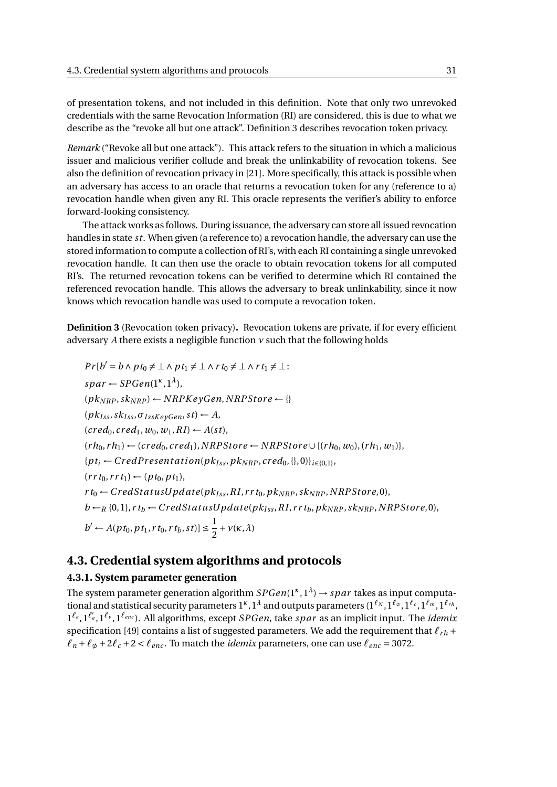of presentation tokens, and not included in this definition. Note that only two unrevoked credentials with the same Revocation Information (RI) are considered, this is due to what we describe as the "revoke all but one attack". Definition [3](#page-38-0) describes revocation token privacy.

*Remark* ("Revoke all but one attack")*.* This attack refers to the situation in which a malicious issuer and malicious verifier collude and break the unlinkability of revocation tokens. See also the definition of revocation privacy in [\[21\]](#page-75-0). More specifically, this attack is possible when an adversary has access to an oracle that returns a revocation token for any (reference to a) revocation handle when given any RI. This oracle represents the verifier's ability to enforce forward-looking consistency.

The attack works as follows. During issuance, the adversary can store all issued revocation handles in state *st*. When given (a reference to) a revocation handle, the adversary can use the stored information to compute a collection of RI's, with each RI containing a single unrevoked revocation handle. It can then use the oracle to obtain revocation tokens for all computed RI's. The returned revocation tokens can be verified to determine which RI contained the referenced revocation handle. This allows the adversary to break unlinkability, since it now knows which revocation handle was used to compute a revocation token.

<span id="page-38-0"></span>**Definition 3** (Revocation token privacy)**.** Revocation tokens are private, if for every efficient adversary *A* there exists a negligible function *ν* such that the following holds

 $Pr[b' = b \land pt_0 \neq \bot \land pt_1 \neq \bot \land rt_0 \neq \bot \land rt_1 \neq \bot$ :  $span \leftarrow SPGen(1^{\kappa}, 1^{\lambda}),$  $(pk_{NRP}, sk_{NRP}) \leftarrow NRPKeyGen, NRPStore \leftarrow \{\}$  $(pk_{Iss}, sk_{Iss}, \sigma_{IssKevGen}, st) \leftarrow A$  $(\text{cred}_0, \text{cred}_1, w_0, w_1, R I) \leftarrow A(st),$  $(r h_0, rh_1) \leftarrow (cred_0, cred_1), NRPStore \leftarrow NRPStore \cup \{(rh_0, w_0), (rh_1, w_1)\},$  ${p_t}_i \leftarrow CredPresentation(p_{K_{ISS}}, pk_{NRP}, cred_0, \{\}, 0\}$ *i*<sub> ${ \in \{0,1\} }$ </sub>  $(r r t_0, r r t_1) \leftarrow (p t_0, p t_1),$  $r t_0 \leftarrow CredStatusUpdate(pk_{Iss}, RI, r r t_0, pk_{NRP}, sk_{NRP}, NRPStore,0),$  $b \leftarrow_R \{0,1\}, r t_b \leftarrow CredStatusUpdate(p k_{Iss}, R I, r r t_b, p k_{NRP}, sk_{NRP}, NRPStore, 0),$  $b' \leftarrow A(pt_0, pt_1, rt_0, rt_b, st)] \leq \frac{1}{2}$  $\frac{1}{2} + v(\kappa, \lambda)$ 

#### **4.3. Credential system algorithms and protocols**

#### **4.3.1. System parameter generation**

The system parameter generation algorithm  $SPGen(1^{\kappa},1^{\lambda}) \to sprar$  takes as input computational and statistical security parameters 1<sup>κ</sup> , 1<sup>λ</sup> and outputs parameters (1<sup>ℓ</sup><sub>N</sub> , 1<sup>ℓ</sup><sub>°</sub> , 1<sup>ℓ</sup><sub>″</sub> , 1<sup>ℓ</sup><sub>″</sub>, 1<sup>ℓ</sup><sub>″</sub>, 1 *ℓe* ,1*<sup>ℓ</sup>* ′ *<sup>e</sup>* ,1*ℓ<sup>v</sup>* ,1*ℓenc* ). All algorithms, except *SPGen*, take *spar* as an implicit input. The *idemix* specification [\[49\]](#page-77-0) contains a list of suggested parameters. We add the requirement that  $\ell_{rh}$  +  $\ell_n + \ell_{\phi} + 2\ell_c + 2 < \ell_{enc}$ . To match the *idemix* parameters, one can use  $\ell_{enc} = 3072$ .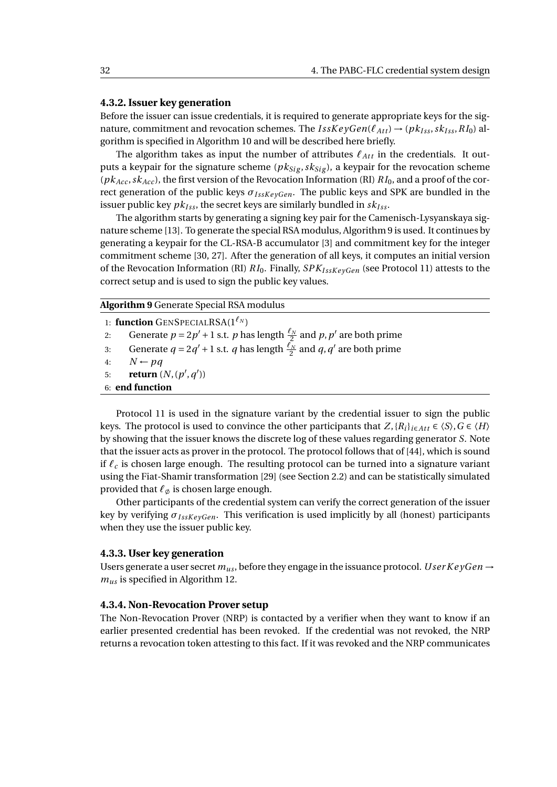#### **4.3.2. Issuer key generation**

Before the issuer can issue credentials, it is required to generate appropriate keys for the signature, commitment and revocation schemes. The  $I$ ssKe $\gamma Gen(\ell_{Att}) \rightarrow (pk_{Iss}, sk_{Iss}, RI_0)$  algorithm is specified in Algorithm [10](#page-40-0) and will be described here briefly.

The algorithm takes as input the number of attributes  $\ell_{Att}$  in the credentials. It outputs a keypair for the signature scheme ( $pk_{Sig}$ ,  $sk_{Sig}$ ), a keypair for the revocation scheme  $(pk_{Acc}, sk_{Acc})$ , the first version of the Revocation Information (RI)  $RI_0$ , and a proof of the correct generation of the public keys  $\sigma_{IssKevGen}$ . The public keys and SPK are bundled in the issuer public key  $pk_{Iss}$ , the secret keys are similarly bundled in  $sk_{Iss}$ .

The algorithm starts by generating a signing key pair for the Camenisch-Lysyanskaya signature scheme [\[13\]](#page-74-0). To generate the special RSA modulus, Algorithm [9](#page-39-0) is used. It continues by generating a keypair for the CL-RSA-B accumulator [\[3\]](#page-74-1) and commitment key for the integer commitment scheme [\[30,](#page-76-1) [27\]](#page-75-1). After the generation of all keys, it computes an initial version of the Revocation Information (RI) *RI*0. Finally, *SPKI ssK e yGen* (see Protocol [11\)](#page-41-0) attests to the correct setup and is used to sign the public key values.

<span id="page-39-0"></span>**Algorithm 9** Generate Special RSA modulus

1: **function** GENSPECIALRSA( $1^{\ell_N}$ ) 2: Generate  $p = 2p' + 1$  s.t.  $p$  has length  $\frac{\ell_N}{2}$  and  $p, p'$  are both prime 3: Generate  $q = 2q' + 1$  s.t. *q* has length  $\frac{\ell_N}{2}$  and *q*, *q'* are both prime 4:  $N \leftarrow pq$ 5: **return**  $(N, (p', q'))$ 6: **end function**

Protocol [11](#page-41-0) is used in the signature variant by the credential issuer to sign the public keys. The protocol is used to convince the other participants that  $Z, \{R_i\}_{i \in Att} \in \langle S \rangle, G \in \langle H \rangle$ by showing that the issuer knows the discrete log of these values regarding generator *S*. Note that the issuer acts as prover in the protocol. The protocol follows that of [\[44\]](#page-77-1), which is sound if *ℓ<sup>c</sup>* is chosen large enough. The resulting protocol can be turned into a signature variant using the Fiat-Shamir transformation [\[29\]](#page-76-2) (see Section [2.2\)](#page-15-0) and can be statistically simulated provided that *ℓ*∅ is chosen large enough.

Other participants of the credential system can verify the correct generation of the issuer key by verifying  $σ_{IssKeyGen}$ . This verification is used implicitly by all (honest) participants when they use the issuer public key.

#### **4.3.3. User key generation**

Users generate a user secret  $m_{us}$ , before they engage in the issuance protocol. *User KeyGen*  $\rightarrow$ *mus* is specified in Algorithm [12.](#page-41-1)

#### **4.3.4. Non-Revocation Prover setup**

The Non-Revocation Prover (NRP) is contacted by a verifier when they want to know if an earlier presented credential has been revoked. If the credential was not revoked, the NRP returns a revocation token attesting to this fact. If it was revoked and the NRP communicates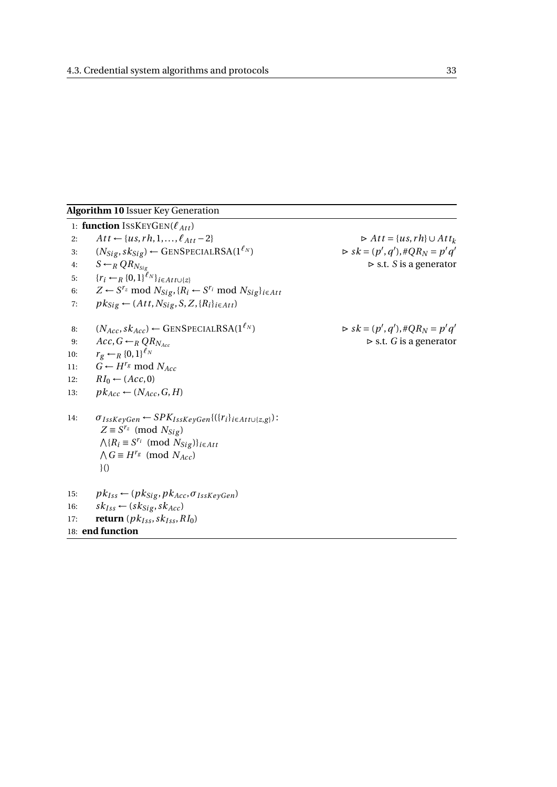#### <span id="page-40-0"></span>**Algorithm 10** Issuer Key Generation

1: **function** ISSKEYGEN( $\ell_{Att}$ ) 2:  $At t \leftarrow \{us, rh, 1, ..., \ell_{Att} - 2\}$   $\triangleright At t = \{us, rh\} \cup Att_k$ 3:  $(N_{Sig}, sk_{Sig}) \leftarrow \text{GENSPECIALRSA}(1^{\ell_N})$  $(v', q'), \#QR_N = p'q'$ 4:  $S \leftarrow_R Q R_{N_{\text{Si}}},$   $\triangleright$  s.t. *S* is a generator 5:  ${r_i \leftarrow_R \{0,1\}^{\ell_N}\}_{i \in Att \cup \{z\}}$ 6:  $Z \leftarrow S^{r_z} \text{ mod } N_{Sig}, \{R_i \leftarrow S^{r_i} \text{ mod } N_{Sig}\}_{i \in Att}$ 7:  $pk_{Sig} \leftarrow (Att, N_{Sig}, S, Z, \{R_i\}_{i \in Att})$ 8:  $(N_{Acc}, sk_{Acc}) \leftarrow$  GENSPECIALRSA(1<sup> $\ell_N$ </sup>)  $(v', q'), \#QR_N = p'q'$ 9:  $Acc, G \leftarrow_R QR_{N_{Acc}}$   $\triangleright$  s.t. *G* is a generator 10:  $r_g \leftarrow_R \{0,1\}^{\ell_N}$ 11:  $G \leftarrow H^{r_g} \text{ mod } N_{Acc}$ 12:  $RI_0 \leftarrow (Acc, 0)$ 13:  $pk_{Acc} \leftarrow (N_{Acc}, G, H)$ 14:  $\sigma_{IssKeyGen} \leftarrow SPK_{IssKeyGen}\{(\{r_i\}_{i \in Att\cup\{z,g\}}):$  $Z ≡ S<sup>r<sub>z</sub></sup>$  (mod *N*<sub>Sig</sub>)  $\bigwedge$ { $R_i \equiv S^{r_i} \pmod{N_{Sig}}$ }*i*∈*Att*  $\bigwedge G \equiv H^{r_g} \pmod{N_{Acc}}$ }() 15:  $pk_{Iss} \leftarrow (pk_{Sig}, pk_{Acc}, \sigma_{IssKeyGen})$ 16:  $sk_{Iss} \leftarrow (sk_{Sig}, sk_{Acc})$ 17: **return**  $(pk_{Iss}, sk_{Iss}, RI_0)$ 18: **end function**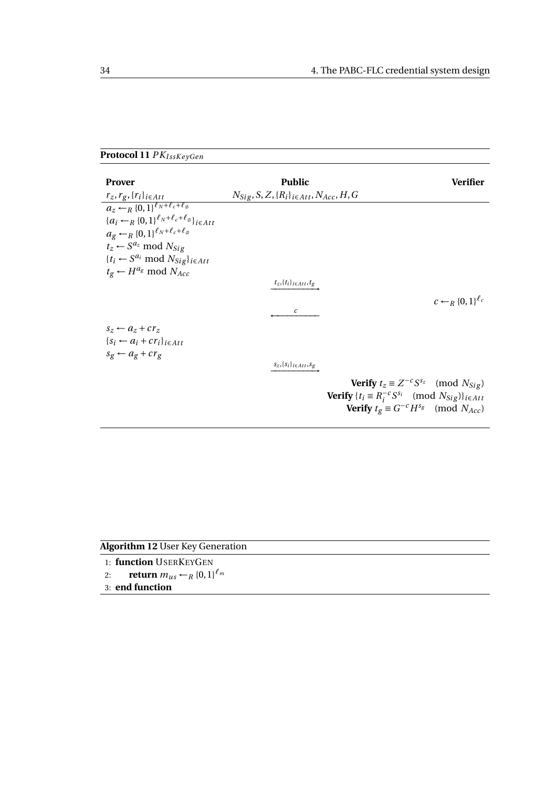### <span id="page-41-0"></span>**Protocol 11** *PKI ssK e yGen*

| <b>Prover</b>                                                                | <b>Public</b>                                                     | Verifier                                                                   |
|------------------------------------------------------------------------------|-------------------------------------------------------------------|----------------------------------------------------------------------------|
| $r_z, r_g, \{r_i\}_{i \in Att}$                                              | $N_{Sig}$ , S, Z, $\{R_i\}_{i \in Att}$ , N <sub>Acc</sub> , H, G |                                                                            |
| $a_z \leftarrow_B \{0,1\}^{\ell_N + \ell_c + \ell_\phi}$                     |                                                                   |                                                                            |
| ${a_i \leftarrow_R \{0,1\}^{\ell_N + \ell_c + \ell_\emptyset} }_{i \in Att}$ |                                                                   |                                                                            |
| $a_{g} \leftarrow_R \{0,1\}^{\ell_N + \ell_c + \ell_\emptyset}$              |                                                                   |                                                                            |
| $t_z \leftarrow S^{a_z} \text{ mod } N_{\text{Sig}}$                         |                                                                   |                                                                            |
| $\{t_i \leftarrow S^{a_i} \text{ mod } N_{Sig}\}_{i \in Att}$                |                                                                   |                                                                            |
| $t_g \leftarrow H^{a_g} \text{ mod } N_{Acc}$                                |                                                                   |                                                                            |
|                                                                              | $t_z, \{t_i\}_{i \in Att}, t_g$                                   |                                                                            |
|                                                                              |                                                                   | $c \leftarrow_R \{0,1\}^{\ell_c}$                                          |
|                                                                              | $\mathcal{C}$                                                     |                                                                            |
| $s_z \leftarrow a_z + c r_z$                                                 |                                                                   |                                                                            |
| $\{S_i \leftarrow a_i + c r_i\}_{i \in Att}$                                 |                                                                   |                                                                            |
| $s_g \leftarrow a_g + c r_g$                                                 |                                                                   |                                                                            |
|                                                                              | $s_z, \{s_i\}_{i \in Att}, s_g$                                   |                                                                            |
|                                                                              |                                                                   | <b>Verify</b> $t_z \equiv Z^{-c} S^{s_z} \pmod{N_{Sig}}$                   |
|                                                                              |                                                                   | <b>Verify</b> $\{t_i \equiv R_i^{-c} S^{s_i} \pmod{N_{Sig}}\}_{i \in Att}$ |
|                                                                              |                                                                   | <b>Verify</b> $t_g \equiv G^{-c} H^{s_g} \pmod{N_{Acc}}$                   |
|                                                                              |                                                                   |                                                                            |

<span id="page-41-1"></span>

| <b>Algorithm 12 User Key Generation</b>                    |  |
|------------------------------------------------------------|--|
| 1: function USERKEYGEN                                     |  |
| <b>return</b> $m_{us} \leftarrow_R \{0,1\}^{\ell_m}$<br>2: |  |
| 3: end function                                            |  |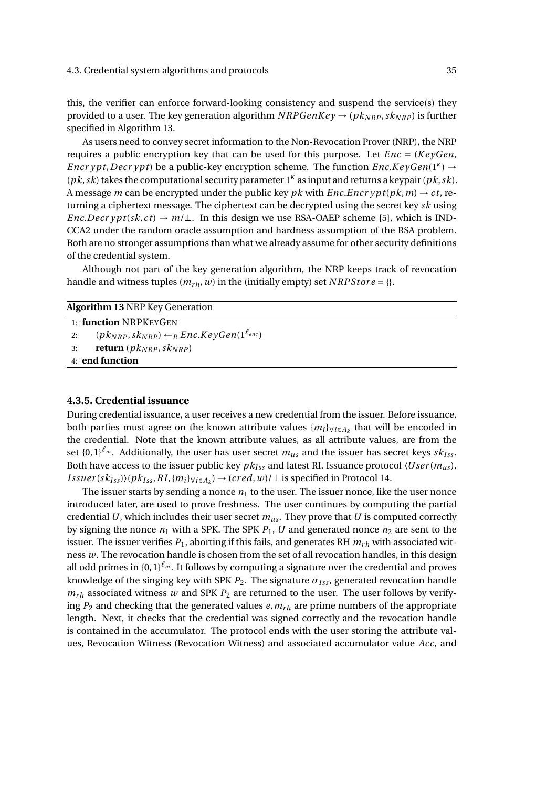this, the verifier can enforce forward-looking consistency and suspend the service(s) they provided to a user. The key generation algorithm  $NRPGenKey \rightarrow (pk_{NRP}, sk_{NRP})$  is further specified in Algorithm [13.](#page-42-0)

As users need to convey secret information to the Non-Revocation Prover (NRP), the NRP requires a public encryption key that can be used for this purpose. Let *Enc* = (*K e yGen*, *Encr ypt*,*Decr ypt*) be a public-key encryption scheme. The function *Enc*.*KeyGen*(1<sup>*κ*</sup>) → (*pk*,*sk*) takes the computational security parameter 1*<sup>κ</sup>* as input and returns a keypair (*pk*,*sk*). A message *m* can be encrypted under the public key *pk* with *Enc*.*Encr ypt*(*pk*, *m*)  $\rightarrow$  *ct*, returning a ciphertext message. The ciphertext can be decrypted using the secret key *sk* using *Enc.Decr ypt*( $sk, ct$ )  $\rightarrow m/\perp$ . In this design we use RSA-OAEP scheme [\[5\]](#page-74-2), which is IND-CCA2 under the random oracle assumption and hardness assumption of the RSA problem. Both are no stronger assumptions than what we already assume for other security definitions of the credential system.

Although not part of the key generation algorithm, the NRP keeps track of revocation handle and witness tuples  $(m_{rh}, w)$  in the (initially empty) set *NRPStore* = {}.

<span id="page-42-0"></span>

| <b>Algorithm 13 NRP Key Generation</b>                               |  |  |
|----------------------------------------------------------------------|--|--|
| 1: <b>function</b> NRPKEYGEN                                         |  |  |
| $(pk_{NRP}, sk_{NRP}) \leftarrow_R Enc.KeyGen(1^{\ell_{enc}})$<br>2: |  |  |
| <b>return</b> $(pk_{NRP}, sk_{NRP})$<br>3:                           |  |  |
| $4:$ end function                                                    |  |  |
|                                                                      |  |  |

#### <span id="page-42-1"></span>**4.3.5. Credential issuance**

During credential issuance, a user receives a new credential from the issuer. Before issuance, both parties must agree on the known attribute values {*mi*}∀*i*∈*A<sup>k</sup>* that will be encoded in the credential. Note that the known attribute values, as all attribute values, are from the set  $\{0,1\}^{\ell_m}$ . Additionally, the user has user secret  $m_{us}$  and the issuer has secret keys  $sk_{Iss}$ . Both have access to the issuer public key  $pk_{Iss}$  and latest RI. Issuance protocol  $\langle User(m_{us}),$  $Issuer(sk_{Iss})\rangle (pk_{Iss},RI,\{m_i\}_{\forall i\in A_k}) \rightarrow (cred,w)/\bot$  is specified in Protocol [14.](#page-44-0)

The issuer starts by sending a nonce  $n_1$  to the user. The issuer nonce, like the user nonce introduced later, are used to prove freshness. The user continues by computing the partial credential *U*, which includes their user secret  $m_{\mu s}$ . They prove that *U* is computed correctly by signing the nonce  $n_1$  with a SPK. The SPK  $P_1$ ,  $U$  and generated nonce  $n_2$  are sent to the issuer. The issuer verifies  $P_1$ , aborting if this fails, and generates RH  $m_{rh}$  with associated witness *w*. The revocation handle is chosen from the set of all revocation handles, in this design all odd primes in  ${0,1}^{\ell_m}$ . It follows by computing a signature over the credential and proves knowledge of the singing key with SPK  $P_2$ . The signature  $σ_{Iss}$ , generated revocation handle  $m_{rh}$  associated witness  $w$  and SPK  $P_2$  are returned to the user. The user follows by verifying  $P_2$  and checking that the generated values *e*,  $m_{rh}$  are prime numbers of the appropriate length. Next, it checks that the credential was signed correctly and the revocation handle is contained in the accumulator. The protocol ends with the user storing the attribute values, Revocation Witness (Revocation Witness) and associated accumulator value *Acc*, and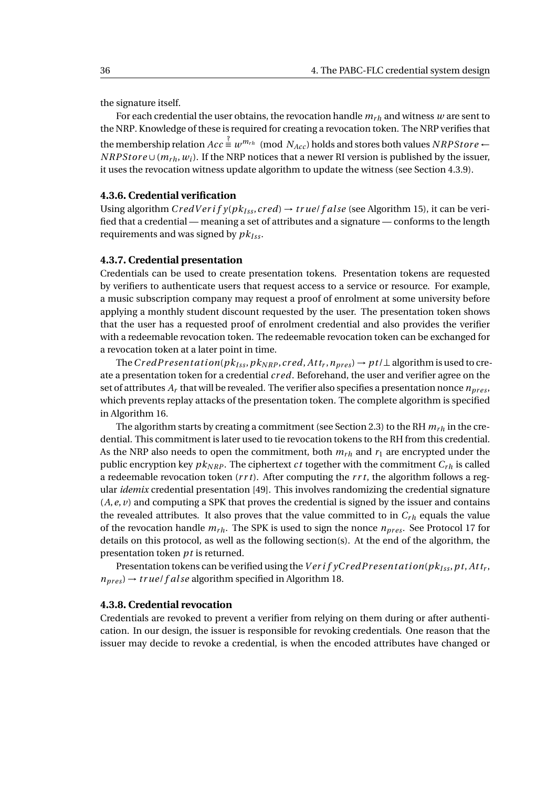the signature itself.

For each credential the user obtains, the revocation handle  $m_{rh}$  and witness  $w$  are sent to the NRP. Knowledge of these is required for creating a revocation token. The NRP verifies that the membership relation  $Acc \stackrel{?}{\equiv} w^{m_{rh}} \pmod{N_{Acc}}$  holds and stores both values  $NRPStore \leftarrow$ *NRPStore* ∪ ( $m_r$ <sub>*h*</sub>,  $w_i$ ). If the NRP notices that a newer RI version is published by the issuer, it uses the revocation witness update algorithm to update the witness (see Section [4.3.9\)](#page-48-0).

#### **4.3.6. Credential verification**

Using algorithm  $CredVerify(pk_{Iss}, cred) \rightarrow true / false$  (see Algorithm [15\)](#page-45-0), it can be verified that a credential — meaning a set of attributes and a signature — conforms to the length requirements and was signed by  $pk_{Iss}$ .

#### **4.3.7. Credential presentation**

Credentials can be used to create presentation tokens. Presentation tokens are requested by verifiers to authenticate users that request access to a service or resource. For example, a music subscription company may request a proof of enrolment at some university before applying a monthly student discount requested by the user. The presentation token shows that the user has a requested proof of enrolment credential and also provides the verifier with a redeemable revocation token. The redeemable revocation token can be exchanged for a revocation token at a later point in time.

The  $Cred \,P \, resolution(pk_{Iss}, pk_{NRP}, cred, Att_r, n_{pres}) \rightarrow pt/\perp$  algorithm is used to create a presentation token for a credential *cr ed*. Beforehand, the user and verifier agree on the set of attributes  $A_r$  that will be revealed. The verifier also specifies a presentation nonce  $n_{pres}$ , which prevents replay attacks of the presentation token. The complete algorithm is specified in Algorithm [16.](#page-46-0)

The algorithm starts by creating a commitment (see Section [2.3\)](#page-16-0) to the RH  $m_{rh}$  in the credential. This commitment is later used to tie revocation tokens to the RH from this credential. As the NRP also needs to open the commitment, both  $m_{rh}$  and  $r_1$  are encrypted under the public encryption key  $pk_{NRP}$ . The ciphertext *ct* together with the commitment  $C_{rh}$  is called a redeemable revocation token (*r r t*). After computing the *r r t*, the algorithm follows a regular *idemix* credential presentation [\[49\]](#page-77-0). This involves randomizing the credential signature (*A*,*e*, *v*) and computing a SPK that proves the credential is signed by the issuer and contains the revealed attributes. It also proves that the value committed to in  $C_{rh}$  equals the value of the revocation handle  $m_{rh}$ . The SPK is used to sign the nonce  $n_{pres}$ . See Protocol [17](#page-47-0) for details on this protocol, as well as the following section(s). At the end of the algorithm, the presentation token *pt* is returned.

Presentation tokens can be verified using the*V er i f yCr edPr esent ati on*(*pkI ss*,*pt*, *At t<sup>r</sup>* ,  $n_{pres}$   $\rightarrow$  *true f alse* algorithm specified in Algorithm [18.](#page-47-1)

#### **4.3.8. Credential revocation**

Credentials are revoked to prevent a verifier from relying on them during or after authentication. In our design, the issuer is responsible for revoking credentials. One reason that the issuer may decide to revoke a credential, is when the encoded attributes have changed or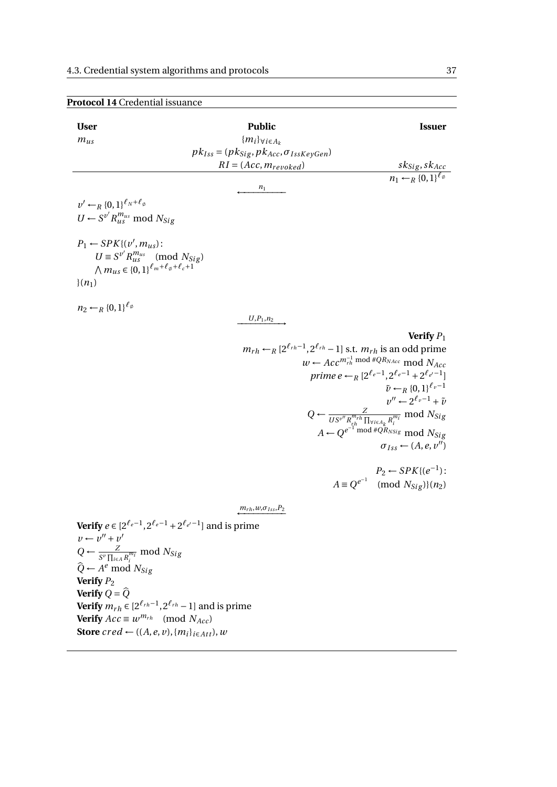**Verify**  $Acc \equiv w^{m_{rh}} \pmod{N_{Acc}}$ **Store**  $\text{cred} \leftarrow ((A, e, v), \{m_i\}_{i \in Att}), w$ 

<span id="page-44-0"></span>

| <b>User</b>                                                                     | <b>Public</b>                                                                            | <b>Issuer</b>                                                                                         |
|---------------------------------------------------------------------------------|------------------------------------------------------------------------------------------|-------------------------------------------------------------------------------------------------------|
| $m_{us}$                                                                        | ${m_i\}_{\forall i \in A_k}$                                                             |                                                                                                       |
|                                                                                 | $pk_{Iss} = (pk_{Sig}, pk_{Acc}, \sigma_{IssKeyGen})$                                    |                                                                                                       |
|                                                                                 | $RI = (Acc, m_{revoked})$                                                                | $\frac{sk_{Sig}, sk_{Acc}}{n_1 \leftarrow_R \{0,1\}^{\ell_\emptyset}}$                                |
|                                                                                 |                                                                                          |                                                                                                       |
|                                                                                 | $n_1$                                                                                    |                                                                                                       |
| $v' \leftarrow_R \{0,1\}^{\ell_N + \ell_\emptyset}$                             |                                                                                          |                                                                                                       |
| $U \leftarrow S^{v'} R_{us}^{m_{us}} \text{ mod } N_{Sig}$                      |                                                                                          |                                                                                                       |
|                                                                                 |                                                                                          |                                                                                                       |
| $P_1 \leftarrow SPK \{ (v', m_{\mu s}) :$                                       |                                                                                          |                                                                                                       |
| $U \equiv S^{v'} R_{us}^{m_{us}} \pmod{N_{Sig}}$                                |                                                                                          |                                                                                                       |
| $\bigwedge m_{us} \in \{0,1\}^{\ell_m + \ell_{\phi} + \ell_c + 1}$              |                                                                                          |                                                                                                       |
| $(n_1)$                                                                         |                                                                                          |                                                                                                       |
|                                                                                 |                                                                                          |                                                                                                       |
| $n_2 \leftarrow_R \{0,1\}^{\ell_\emptyset}$                                     |                                                                                          |                                                                                                       |
|                                                                                 | $U,P_1,n_2$                                                                              |                                                                                                       |
|                                                                                 |                                                                                          | Verify $P_1$                                                                                          |
|                                                                                 | $m_{rh} \leftarrow_R [2^{\ell_{rh}-1}, 2^{\ell_{rh}} - 1]$ s.t. $m_{rh}$ is an odd prime |                                                                                                       |
|                                                                                 |                                                                                          | $w \leftarrow Acc^{m_{rh}^{-1} \mod #QR_{NAcc}} \mod N_{Acc}$                                         |
|                                                                                 |                                                                                          | prime $e \leftarrow_R [2^{\ell_e-1}, 2^{\ell_e-1} + 2^{\ell_e-1}]$                                    |
|                                                                                 |                                                                                          | $\tilde{\nu} \leftarrow_R \{0,1\}^{\ell_v-1}$                                                         |
|                                                                                 |                                                                                          | $v'' \leftarrow 2^{\ell_v - 1} + \tilde{\nu}$                                                         |
|                                                                                 |                                                                                          | $Q \leftarrow \frac{Z}{US^{v''}R_{rh}^{m_{rh}}\prod_{\forall i\in A_k}R_i^{m_i}}\text{ mod } N_{Sig}$ |
|                                                                                 |                                                                                          | $A \leftarrow Q^{e^{-1}}$ mod # $Q_{RNSig}^{k}$ mod $N_{Sig}$                                         |
|                                                                                 |                                                                                          | $\sigma_{Iss} \leftarrow (A, e, v'')$                                                                 |
|                                                                                 |                                                                                          |                                                                                                       |
|                                                                                 |                                                                                          | $P_2 \leftarrow SPK{(e^{-1})}$ :                                                                      |
|                                                                                 |                                                                                          | $A \equiv Q^{e^{-1}} \pmod{N_{Sig}}{(n_2)}$                                                           |
|                                                                                 |                                                                                          |                                                                                                       |
|                                                                                 | $m_{rh}, w, \sigma_{Iss}, P_2$                                                           |                                                                                                       |
| <b>Verify</b> $e \in [2^{\ell_e-1}, 2^{\ell_e-1} + 2^{\ell_e-1}]$ and is prime  |                                                                                          |                                                                                                       |
| $v \leftarrow v'' + v'$                                                         |                                                                                          |                                                                                                       |
| $Q \leftarrow \frac{Z}{S^{\nu} \prod_{i \in A} R_i^{m_i}} \text{ mod } N_{Sig}$ |                                                                                          |                                                                                                       |
| $\widehat{Q} \leftarrow A^e \text{ mod } N_{Sig}$                               |                                                                                          |                                                                                                       |
| Verify $P_2$                                                                    |                                                                                          |                                                                                                       |
| Verify $Q = \widehat{Q}$                                                        |                                                                                          |                                                                                                       |
| <b>Verify</b> $m_{rh} \in [2^{\ell_{rh}-1}, 2^{\ell_{rh}} - 1]$ and is prime    |                                                                                          |                                                                                                       |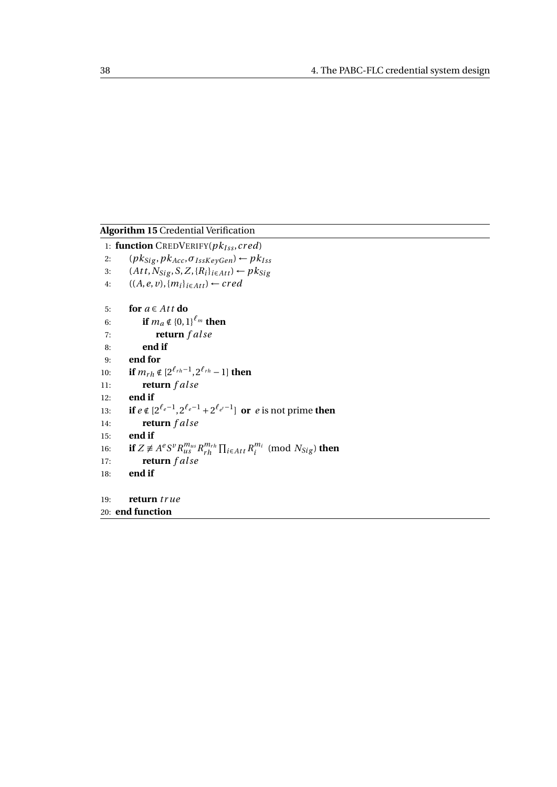<span id="page-45-0"></span>**Algorithm 15** Credential Verification

1: **function** CREDVERIFY( $pk_{Iss}$ , cred) 2:  $(pk_{Sig}, pk_{Acc}, \sigma_{IssKeyGen}) \leftarrow pk_{Iss}$ 3:  $(At t, N_{Sig}, S, Z, \{R_i\}_{i \in Att}) \leftarrow pk_{Sig}$ 4:  $((A, e, v), {m_i}_{i \in Att}) \leftarrow \text{cred}$ 5: **for**  $a \in Att$  **do** 6: **if**  $m_a \notin \{0,1\}^{\ell_m}$  then 7: **return** *f al se* 8: **end if** 9: **end for** 10: **if**  $m_{rh} \notin [2^{\ell_{rh}-1}, 2^{\ell_{rh}} - 1]$  then 11: **return** *f al se* 12: **end if** 13: **if**  $e \notin [2^{\ell_e-1}, 2^{\ell_e-1} + 2^{\ell_e-1}]$  or  $e$  is not prime then 14: **return** *f al se* 15: **end if** 16: **if**  $Z \neq A^e S^v R_{us}^{m_{us}} R_{rh}^{m_{rh}}$  $\prod_{i \in \text{Att}} R_i^{m_i}$  $\binom{m_i}{i}$  (mod  $N_{Sig}$ ) **then** 17: **return** *f al se* 18: **end if** 19: **return** *tr ue* 20: **end function**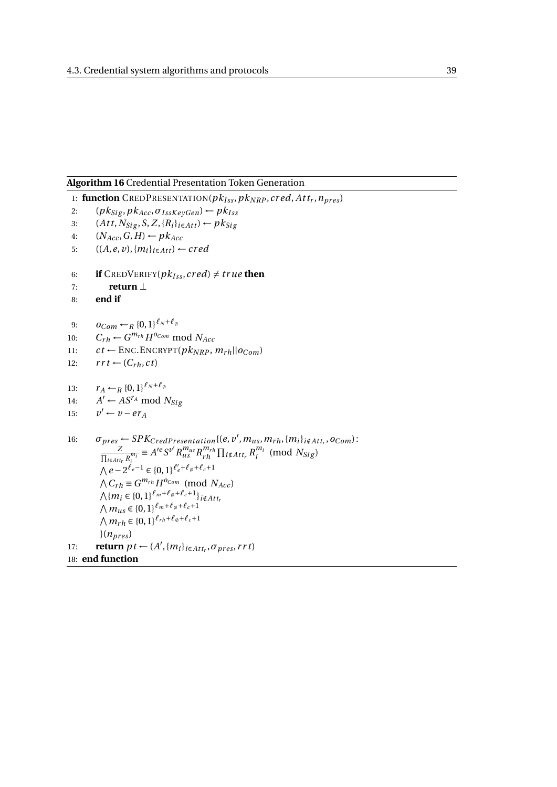#### <span id="page-46-0"></span>**Algorithm 16** Credential Presentation Token Generation

```
1: function CREDPRESENTATION(pk_{Iss}, pk_{NRP}, cred, At t<sub>r</sub>, n<sub>pres</sub>)
```
- 2:  $(pk_{Sig}, p k_{Acc}, \sigma_{IssKevGen}) \leftarrow pk_{Iss}$
- 3:  $(Att, N_{Sig}, S, Z, \{R_i\}_{i \in Att}) \leftarrow pk_{Sig}$
- 4:  $(N_{Acc}, G, H) \leftarrow p k_{Acc}$ 5:  $((A, e, v), \{m_i\}_{i \in Att}) \leftarrow cred$
- 
- 6: **if** CREDVERIFY( $pk_{Iss}$ , cred)  $\neq$  *true* then
- 7: **return** ⊥
- 8: **end if**
- 9:  $O_{Com} \leftarrow_R \{0,1\}^{\ell_N + \ell_{\emptyset}}$
- 10:  $C_{rh} \leftarrow G^{m_{rh}} H^{o_{Com}} \text{ mod } N_{Acc}$
- 11:  $ct \leftarrow \text{ENC. ENCRYPT}(pk_{NRP}, m_{rh} || o_{Com})$
- 12:  $rrt \leftarrow (C_{rh}, ct)$
- 13:  $r_A \leftarrow_R \{0,1\}^{\ell_N + \ell_\emptyset}$
- 14: *A*  $A' \leftarrow AS^{r_A} \text{ mod } N_{Sig}$
- 15: *v*  $v' \leftarrow v - er_A$

```
16: \sigma_{pres} \leftarrow SPK_{CredPresentation}{(e, v', m_{us}, m_{rh}, {m_i}<sub>i∉Att<sub>r</sub></sub>, o_{Com}):
                 Z
        \frac{Z}{\prod_{i \in \text{Attr}_r} R_i^{m_i}} \equiv A'^e S^{v'} R_{us}^{m_{us}} R_{rh}^{m_{r}}\prod_{i \in \mathcal{A}} \prod_{i \in \mathcal{A}} \prod_{i} R_i^{m_i}\int_{i}^{m_i} (mod N_{Sig})
       \bigwedge e - 2^{\ell_e - 1} ∈ {0, 1}<sup>\ell'_e + \ell_{\varphi} + \ell_c + 1</sup>
       \bigwedge C_{rh} \equiv G^{m_{rh}} H^{o_{Com}} \pmod{N_{Acc}}\bigwedge \{m_i \in \{0,1\}^{\ell_m+\ell_{\emptyset}+\ell_c+1}\}_{i \notin Att_i}∧m<sub>us</sub> ∈ {0, 1}<sup>ℓ</sup><sup>m+ℓ<sub>∅</sub>+ℓ<sub>c</sub>+1</sub></sup>
       \bigwedge m_{rh} \in \{0,1\}^{\ell_{rh}+\ell_{\emptyset}+\ell_{c}+1}(n_{pres})17: return pt \leftarrow (A', \{m_i\}_{i \in Att_r}, \sigma_{pres}, rrt)18: end function
```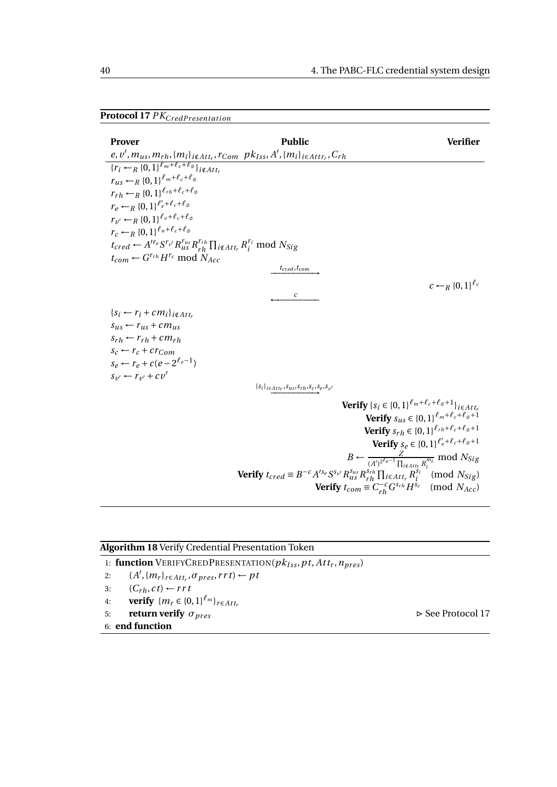### <span id="page-47-0"></span>**Protocol 17** *PK*<sub>CredPresentation</sub>

| <b>Prover</b>                                                                                                                         | <b>Public</b>                                                                                                                            | <b>Verifier</b>                                                                |
|---------------------------------------------------------------------------------------------------------------------------------------|------------------------------------------------------------------------------------------------------------------------------------------|--------------------------------------------------------------------------------|
| $e, v', m_{us}, m_{rh}, \{m_i\}_{i \notin Att_r}, r_{Com}$ $pk_{Iss}, A', \{m_i\}_{i \in Att_r}, C_{rh}$                              |                                                                                                                                          |                                                                                |
| $\overline{\{r_i \leftarrow_R \{0,1\}^{\ell_m+\ell_c+\ell_{\emptyset}}\}}$ i∉Attr                                                     |                                                                                                                                          |                                                                                |
| $r_{us} \leftarrow_R \{0,1\}^{\ell_m+\ell_c+\ell_\emptyset}$                                                                          |                                                                                                                                          |                                                                                |
| $r_{rh} \leftarrow_R \{0,1\}^{\ell_{rh} + \ell_c + \ell_{\emptyset}}$                                                                 |                                                                                                                                          |                                                                                |
| $r_e \leftarrow_R \{0,1\}^{\ell'_e + \ell_c + \ell_\emptyset}$                                                                        |                                                                                                                                          |                                                                                |
| $r_{\nu'} \leftarrow_R \{0,1\}^{\ell_{\nu}+\ell_c+\ell_{\emptyset}}$                                                                  |                                                                                                                                          |                                                                                |
| $r_c \leftarrow_R \{0,1\}^{\ell_n+\ell_c+\ell_\emptyset}$                                                                             |                                                                                                                                          |                                                                                |
| $t_{cred} \leftarrow A^{\prime r_e} S^{r_{v'}} R_{us}^{r_{us}} R_{rh}^{r_{rh}} \prod_{i \notin Att_r} R_i^{r_i} \text{ mod } N_{Sig}$ |                                                                                                                                          |                                                                                |
| $t_{com} \leftarrow G^{r_{rh}} H^{r_c} \text{ mod } N_{Acc}$                                                                          |                                                                                                                                          |                                                                                |
|                                                                                                                                       | $t_{\text{cred}}, t_{\text{com}}$                                                                                                        |                                                                                |
|                                                                                                                                       |                                                                                                                                          | $c \leftarrow_R \{0,1\}^{\ell_c}$                                              |
|                                                                                                                                       | $\mathcal{C}$                                                                                                                            |                                                                                |
| $\{s_i \leftarrow r_i + cm_i\}_{i \notin Att_r}\$                                                                                     |                                                                                                                                          |                                                                                |
| $s_{us} \leftarrow r_{us} + cm_{us}$                                                                                                  |                                                                                                                                          |                                                                                |
| $s_{rh} \leftarrow r_{rh} + c m_{rh}$                                                                                                 |                                                                                                                                          |                                                                                |
| $s_c \leftarrow r_c + c r_{Com}$                                                                                                      |                                                                                                                                          |                                                                                |
| $s_e \leftarrow r_e + c(e - 2^{\ell_e - 1})$                                                                                          |                                                                                                                                          |                                                                                |
| $s_{v'} \leftarrow r_{v'} + cv'$                                                                                                      |                                                                                                                                          |                                                                                |
|                                                                                                                                       | $\{s_i\}_{i \in Att_r}, s_{us}, s_{rh}, s_c, s_e, s_{v'}$                                                                                |                                                                                |
|                                                                                                                                       | <b>Verify</b> $\{S_i \in \{0,1\}^{\ell_m + \ell_c + \ell_{\emptyset} + 1}\}_{i \in Att_r}$                                               |                                                                                |
|                                                                                                                                       |                                                                                                                                          | <b>Verify</b> $s_{us} \in \{0, 1\}^{\ell_m + \ell_c + \ell_{\emptyset} + 1}$   |
|                                                                                                                                       |                                                                                                                                          | <b>Verify</b> $s_{rh} \in \{0,1\}^{\ell_{rh} + \ell_c + \ell_{\emptyset} + 1}$ |
|                                                                                                                                       |                                                                                                                                          | <b>Verify</b> $s_e \in \{0,1\}^{\ell'_e+\ell_c+\ell_\emptyset+1}$              |
|                                                                                                                                       | $B \leftarrow \frac{Z}{(A')^{2^{\ell_e-1}}\prod_{i\notin Attr}R_i^{m_i}} \bmod N_{Sig}$                                                  |                                                                                |
|                                                                                                                                       | <b>Verify</b> $t_{cred} \equiv B^{-c} A^{I s_e} S^{s_{v'}} R^{s_{us}}_{us} R^{s_{rh}}_{rh} \prod_{i \in Att_r} R^{s_i}_i \pmod{N_{Sig}}$ |                                                                                |
|                                                                                                                                       | <b>Verify</b> $t_{com} \equiv C_{rh}^{-c} G^{s_{rh}} H^{s_c} \pmod{N_{Acc}}$                                                             |                                                                                |
|                                                                                                                                       |                                                                                                                                          |                                                                                |

<span id="page-47-1"></span>

|    | <b>Algorithm 18 Verify Credential Presentation Token</b>                             |                                  |
|----|--------------------------------------------------------------------------------------|----------------------------------|
|    | 1: function VERIFYCREDPRESENTATION( $pk_{Iss}$ , pt, Att <sub>r</sub> , $n_{pres}$ ) |                                  |
| 2: | $(A', \{m_r\}_{r \in Att_r}, \sigma_{pres}, rrt) \leftarrow pt$                      |                                  |
| 3: | $(C_{rh}, ct) \leftarrow rrt$                                                        |                                  |
| 4: | <b>verify</b> $\{m_r \in \{0,1\}^{\ell_m}\}_{r \in Att_r}$                           |                                  |
| 5: | return verify $\sigma_{pres}$                                                        | $\triangleright$ See Protocol 17 |
|    | 6: end function                                                                      |                                  |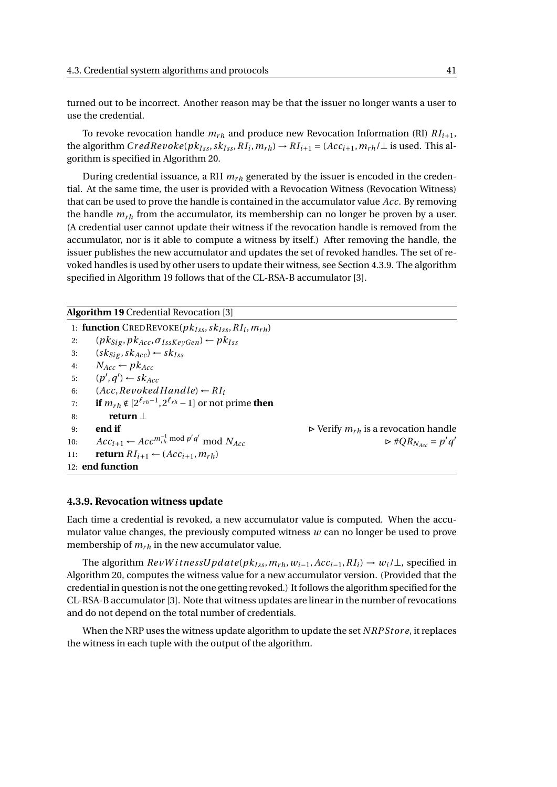turned out to be incorrect. Another reason may be that the issuer no longer wants a user to use the credential.

To revoke revocation handle  $m_{rh}$  and produce new Revocation Information (RI)  $RI_{i+1}$ , the algorithm  $CredRevolelpk<sub>lss</sub>, sk<sub>lss</sub>, R<sub>i</sub>, m<sub>rh</sub>) \rightarrow R<sub>i+1</sub> = (Acc<sub>i+1</sub>, m<sub>rh</sub>/\perp$  is used. This algorithm is specified in Algorithm [20.](#page-49-0)

During credential issuance, a RH  $m<sub>rh</sub>$  generated by the issuer is encoded in the credential. At the same time, the user is provided with a Revocation Witness (Revocation Witness) that can be used to prove the handle is contained in the accumulator value *Acc*. By removing the handle  $m_{rh}$  from the accumulator, its membership can no longer be proven by a user. (A credential user cannot update their witness if the revocation handle is removed from the accumulator, nor is it able to compute a witness by itself.) After removing the handle, the issuer publishes the new accumulator and updates the set of revoked handles. The set of revoked handles is used by other users to update their witness, see Section [4.3.9.](#page-48-0) The algorithm specified in Algorithm [19](#page-48-1) follows that of the CL-RSA-B accumulator [\[3\]](#page-74-1).

<span id="page-48-1"></span>**Algorithm 19** Credential Revocation [\[3\]](#page-74-1)

1: **function** CREDREVOKE( $pk_{Iss}$ ,  $sk_{Iss}$ ,  $RI_i$ ,  $m_{rh}$ ) 2:  $(pk_{Sig}, pk_{Acc}, \sigma_{IssKeyGen}) \leftarrow pk_{Iss}$ 3:  $(sk_{\text{Sig}}, sk_{\text{Acc}}) \leftarrow sk_{\text{Iss}}$ 4:  $N_{Acc} \leftarrow p k_{Acc}$ 5:  $(p', q') \leftarrow s k_{Acc}$ 6:  $(Acc, Revoked \, H and \, le) \leftarrow RI_i$ 7: **if**  $m_{rh} \notin [2^{\ell_{rh}-1}, 2^{\ell_{rh}} - 1]$  or not prime **then** 8: **return** ⊥ 9: **end if**  $\triangleright$  Verify  $m_{rh}$  is a revocation handle 10:  $Acc_{i+1}$  ←  $Acc^{m_{rh}^{-1} \text{ mod } p'q'}$ mod  $N_{Acc}$   $\triangleright \#QR_{N_{Acc}} = p'q'$ 11: **return**  $RI_{i+1} \leftarrow (Acc_{i+1}, m_{rh})$ 12: **end function**

#### <span id="page-48-0"></span>**4.3.9. Revocation witness update**

Each time a credential is revoked, a new accumulator value is computed. When the accumulator value changes, the previously computed witness *w* can no longer be used to prove membership of  $m_{rh}$  in the new accumulator value.

The algorithm  $RevWitnessUpdate(pk_{Iss}, m_{rh}, w_{i-1}, Acc_{i-1}, RI_i) \rightarrow w_i/\perp$ , specified in Algorithm [20,](#page-49-0) computes the witness value for a new accumulator version. (Provided that the credential in question is not the one getting revoked.) It follows the algorithm specified for the CL-RSA-B accumulator [\[3\]](#page-74-1). Note that witness updates are linear in the number of revocations and do not depend on the total number of credentials.

When the NRP uses the witness update algorithm to update the set *NRPStore*, it replaces the witness in each tuple with the output of the algorithm.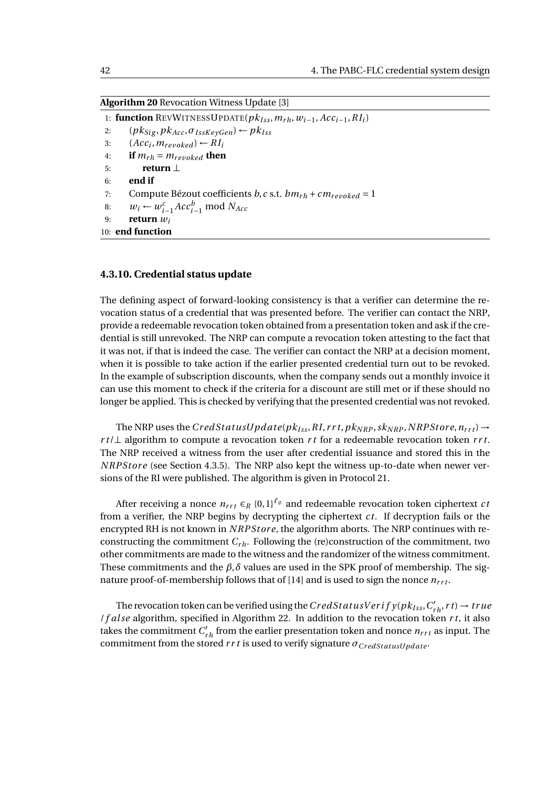<span id="page-49-0"></span>**Algorithm 20** Revocation Witness Update [\[3\]](#page-74-1)

1: **function** REVWITNESSUPDATE( $pk_{ISS}, m_{rh}, w_{i-1}, Acc_{i-1}, RI_i$ ) 2:  $(pk_{Sig}, pk_{Acc}, \sigma_{IssKeyGen}) \leftarrow pk_{Iss}$ 3:  $(Acc_i, m_{revoked}) \leftarrow RI_i$ 4: **if**  $m_{rh} = m_{revoked}$  **then** 5: **return** ⊥ 6: **end if** 7: Compute Bézout coefficients *b*, *c* s.t.  $bm_{rh} + cm_{revoked} = 1$ 8:  $w_i \leftarrow w_{i-1}^c Acc_{i-1}^b \text{ mod } N_{Acc}$ 9: **return** *w<sup>i</sup>* 10: **end function**

#### **4.3.10. Credential status update**

The defining aspect of forward-looking consistency is that a verifier can determine the revocation status of a credential that was presented before. The verifier can contact the NRP, provide a redeemable revocation token obtained from a presentation token and ask if the credential is still unrevoked. The NRP can compute a revocation token attesting to the fact that it was not, if that is indeed the case. The verifier can contact the NRP at a decision moment, when it is possible to take action if the earlier presented credential turn out to be revoked. In the example of subscription discounts, when the company sends out a monthly invoice it can use this moment to check if the criteria for a discount are still met or if these should no longer be applied. This is checked by verifying that the presented credential was not revoked.

The NRP uses the  $CredStatusUpdate(pk_{Iss}, RI, rrt, pk_{NRP}, sk_{NRP}, NRPStore, n_{rrt}) \rightarrow$ *r t*/⊥ algorithm to compute a revocation token *r t* for a redeemable revocation token *r r t*. The NRP received a witness from the user after credential issuance and stored this in the *N RPStor e* (see Section [4.3.5\)](#page-42-1). The NRP also kept the witness up-to-date when newer versions of the RI were published. The algorithm is given in Protocol [21.](#page-50-0)

After receiving a nonce  $n_{rrt} \in_R \{0,1\}^{\ell_\emptyset}$  and redeemable revocation token ciphertext *ct* from a verifier, the NRP begins by decrypting the ciphertext *ct*. If decryption fails or the encrypted RH is not known in *N RPStor e*, the algorithm aborts. The NRP continues with reconstructing the commitment  $C_{rh}$ . Following the (re)construction of the commitment, two other commitments are made to the witness and the randomizer of the witness commitment. These commitments and the  $\beta$ , $\delta$  values are used in the SPK proof of membership. The sig-nature proof-of-membership follows that of [\[14\]](#page-75-2) and is used to sign the nonce  $n_{rrt}$ .

The revocation token can be verified using the  $CredStatus Verify(pk_{lss}, C'_{rh}, rt) \rightarrow true$ /*f al se* algorithm, specified in Algorithm [22.](#page-50-1) In addition to the revocation token *r t*, it also takes the commitment  $C'_{rh}$  from the earlier presentation token and nonce  $n_{rrt}$  as input. The commitment from the stored  $rrt$  is used to verify signature  $\sigma_{CredStatusUpdate}$ .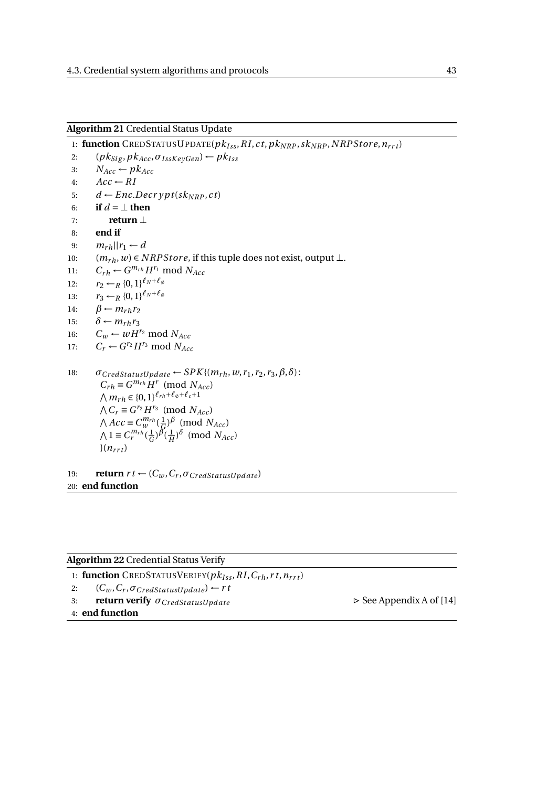<span id="page-50-0"></span>**Algorithm 21** Credential Status Update

1: **function** CREDSTATUSUPDATE( $pk_{Iss}$ , RI, ct,  $pk_{NRP}$ ,  $sk_{NRP}$ , NRPStore,  $n_{rrt}$ ) 2:  $(pk_{Sig}, pk_{Acc}, \sigma_{IssKeyGen}) \leftarrow pk_{Iss}$ 3:  $N_{Acc} \leftarrow pk_{Acc}$ 4:  $Acc \leftarrow RI$ 5:  $d \leftarrow Enc.Decrypt(sk_{NRP}, ct)$ 6: **if**  $d = \perp$  **then** 7: **return** ⊥ 8: **end if** 9:  $m_{rh}$ || $r_1 \leftarrow d$ 10:  $(m_{rh}, w) \in NRPStore$ , if this tuple does not exist, output ⊥. 11:  $C_{rh} \leftarrow G^{m_{rh}} H^{r_1} \text{ mod } N_{Acc}$ 12:  $r_2 \leftarrow_R \{0,1\}^{\ell_N + \ell_\emptyset}$ 13:  $r_3 \leftarrow_R \{0,1\}^{\ell_N + \ell_\emptyset}$ 14:  $\beta \leftarrow m_{rh}r_2$ 15:  $\delta \leftarrow m_r h r_3$ 16:  $C_w \leftarrow wH^{r_2} \text{ mod } N_{Acc}$ 17:  $C_r \leftarrow G^{r_2} H^{r_3} \text{ mod } N_{Acc}$ 18:  $\sigma_{CredStatusUpdate} \leftarrow SPK\{(m_{rh}, w, r_1, r_2, r_3, \beta, \delta)$ :  $C_{rh} \equiv G^{m_{rh}} H^r \pmod{N_{Acc}}$  $\bigwedge m_{rh} \in \{0,1\}^{\ell_{rh}+\ell_{\emptyset}+\ell_{c}+1}$  $∧ C_r ≡ G^{r_2}H^{r_3} \pmod{N_{Acc}}$  $∧$  *Acc* ≡  $C_w^{m_{rh}}$  ( $\frac{1}{6}$  $\frac{1}{6}$ <sup> $\beta$ </sup> (mod *N<sub>Acc</sub>*)  $\bigwedge 1 \equiv C_r^{m_{rh}}(\frac{1}{G})$  $\frac{1}{G}$ ) $\frac{\beta}{H}$ ( $\frac{1}{H}$  $\frac{1}{H}$ <sup> $)\delta$ </sup> (mod *N<sub>Acc</sub>*)  $(n_{rrt})$ 

19: **return**  $rt \leftarrow (C_w, C_r, \sigma_{CredStatusUpdate})$ 20: **end function**

<span id="page-50-1"></span>

| <b>Algorithm 22 Credential Status Verify</b>                               |                                         |
|----------------------------------------------------------------------------|-----------------------------------------|
| 1: function CREDSTATUSVERIFY( $pk_{Iss}$ , RI, $C_{rh}$ , r t, $n_{rrt}$ ) |                                         |
| $(C_w, C_r, \sigma_{CredStatusUpdate}) \leftarrow rt$<br>2:                |                                         |
| <b>return verify</b> $\sigma_{CredStatusUpdate}$<br>3:                     | $\triangleright$ See Appendix A of [14] |
| 4: end function                                                            |                                         |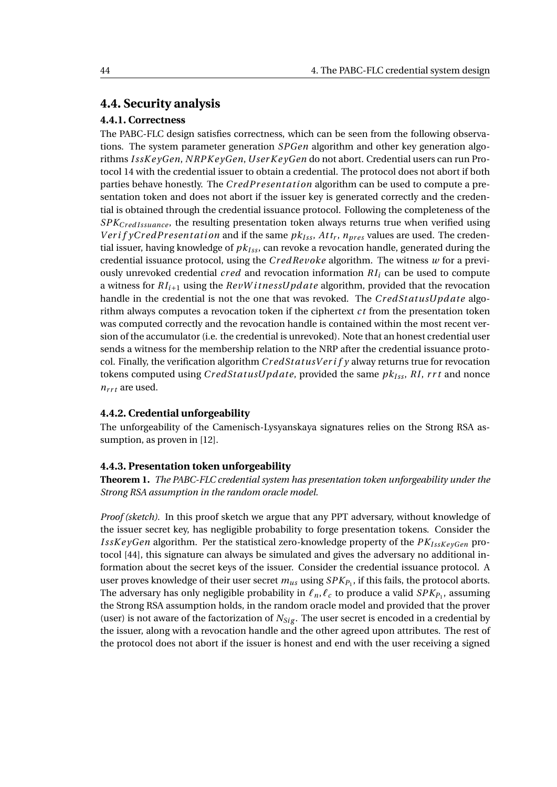#### **4.4. Security analysis**

#### **4.4.1. Correctness**

The PABC-FLC design satisfies correctness, which can be seen from the following observations. The system parameter generation *SPGen* algorithm and other key generation algorithms *I ssK e yGen*, *N RPK e yGen*, *User K e yGen* do not abort. Credential users can run Protocol [14](#page-44-0) with the credential issuer to obtain a credential. The protocol does not abort if both parties behave honestly. The *CredPresentation* algorithm can be used to compute a presentation token and does not abort if the issuer key is generated correctly and the credential is obtained through the credential issuance protocol. Following the completeness of the *SPK*<sub>CredIssuance</sub>, the resulting presentation token always returns true when verified using *VerifyCredPresentation* and if the same  $pk_{Iss}$ ,  $Att_r$ ,  $n_{pres}$  values are used. The credential issuer, having knowledge of  $pk_{Iss}$ , can revoke a revocation handle, generated during the credential issuance protocol, using the *Cr edRevoke* algorithm. The witness *w* for a previously unrevoked credential  $\text{cred}$  and revocation information  $RI_i$  can be used to compute a witness for *RIi*+<sup>1</sup> using the *RevW i tnessUpd ate* algorithm, provided that the revocation handle in the credential is not the one that was revoked. The *CredStatusUpdate* algorithm always computes a revocation token if the ciphertext *ct* from the presentation token was computed correctly and the revocation handle is contained within the most recent version of the accumulator (i.e. the credential is unrevoked). Note that an honest credential user sends a witness for the membership relation to the NRP after the credential issuance protocol. Finally, the verification algorithm *Cr edSt atusV er i f y* alway returns true for revocation tokens computed using *Cr edSt atusUpd ate*, provided the same *pkI ss*, *RI*, *r r t* and nonce  $n_{rrt}$  are used.

#### **4.4.2. Credential unforgeability**

The unforgeability of the Camenisch-Lysyanskaya signatures relies on the Strong RSA assumption, as proven in [\[12\]](#page-74-3).

#### **4.4.3. Presentation token unforgeability**

**Theorem 1.** *The PABC-FLC credential system has presentation token unforgeability under the Strong RSA assumption in the random oracle model.*

*Proof (sketch).* In this proof sketch we argue that any PPT adversary, without knowledge of the issuer secret key, has negligible probability to forge presentation tokens. Consider the *IssKeyGen* algorithm. Per the statistical zero-knowledge property of the  $PK_{IssKevGen}$  protocol [\[44\]](#page-77-1), this signature can always be simulated and gives the adversary no additional information about the secret keys of the issuer. Consider the credential issuance protocol. A user proves knowledge of their user secret  $m_{us}$  using  $SPK_{P_1}$ , if this fails, the protocol aborts. The adversary has only negligible probability in  $\ell_{\it n}, \ell_{\it c}$  to produce a valid  $SPK_{P_1},$  assuming the Strong RSA assumption holds, in the random oracle model and provided that the prover (user) is not aware of the factorization of  $N_{Si}$ . The user secret is encoded in a credential by the issuer, along with a revocation handle and the other agreed upon attributes. The rest of the protocol does not abort if the issuer is honest and end with the user receiving a signed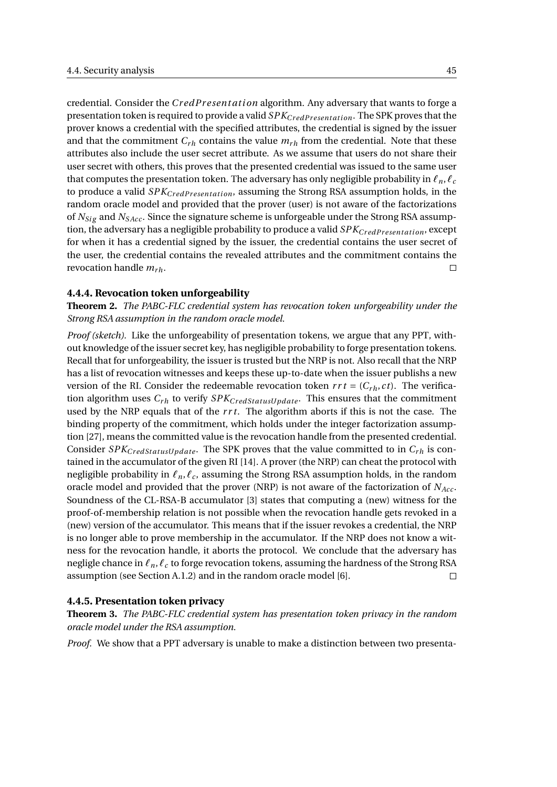credential. Consider the *CredPresentation* algorithm. Any adversary that wants to forge a presentation token is required to provide a valid *SPKCr edPr esent ati on*. The SPK proves that the prover knows a credential with the specified attributes, the credential is signed by the issuer and that the commitment  $C_{rh}$  contains the value  $m_{rh}$  from the credential. Note that these attributes also include the user secret attribute. As we assume that users do not share their user secret with others, this proves that the presented credential was issued to the same user that computes the presentation token. The adversary has only negligible probability in  $\ell_n, \ell_c$ to produce a valid *SPK*<sub>CredPresentation</sub>, assuming the Strong RSA assumption holds, in the random oracle model and provided that the prover (user) is not aware of the factorizations of  $N_{Size}$  and  $N_{SAcc}$ . Since the signature scheme is unforgeable under the Strong RSA assumption, the adversary has a negligible probability to produce a valid  $SPK_{CredPresentation}$ , except for when it has a credential signed by the issuer, the credential contains the user secret of the user, the credential contains the revealed attributes and the commitment contains the revocation handle  $m_{rh}$ .  $\Box$ 

#### **4.4.4. Revocation token unforgeability**

**Theorem 2.** *The PABC-FLC credential system has revocation token unforgeability under the Strong RSA assumption in the random oracle model.*

*Proof (sketch).* Like the unforgeability of presentation tokens, we argue that any PPT, without knowledge of the issuer secret key, has negligible probability to forge presentation tokens. Recall that for unforgeability, the issuer is trusted but the NRP is not. Also recall that the NRP has a list of revocation witnesses and keeps these up-to-date when the issuer publishs a new version of the RI. Consider the redeemable revocation token  $rrt = (C_{rh}, ct)$ . The verification algorithm uses  $C_{rh}$  to verify  $SPK_{CredStatusUpdate}$ . This ensures that the commitment used by the NRP equals that of the *r r t*. The algorithm aborts if this is not the case. The binding property of the commitment, which holds under the integer factorization assumption [\[27\]](#page-75-1), means the committed value is the revocation handle from the presented credential. Consider  $SPK_{CredStatusUpdate}$ . The SPK proves that the value committed to in  $C_{rh}$  is contained in the accumulator of the given RI [\[14\]](#page-75-2). A prover (the NRP) can cheat the protocol with negligible probability in *ℓn*,*ℓ<sup>c</sup>* , assuming the Strong RSA assumption holds, in the random oracle model and provided that the prover (NRP) is not aware of the factorization of *NAcc* . Soundness of the CL-RSA-B accumulator [\[3\]](#page-74-1) states that computing a (new) witness for the proof-of-membership relation is not possible when the revocation handle gets revoked in a (new) version of the accumulator. This means that if the issuer revokes a credential, the NRP is no longer able to prove membership in the accumulator. If the NRP does not know a witness for the revocation handle, it aborts the protocol. We conclude that the adversary has negligle chance in *ℓn*,*ℓ<sup>c</sup>* to forge revocation tokens, assuming the hardness of the Strong RSA assumption (see Section [A.1.2\)](#page-67-0) and in the random oracle model [\[6\]](#page-74-4).  $\Box$ 

#### **4.4.5. Presentation token privacy**

<span id="page-52-0"></span>**Theorem 3.** *The PABC-FLC credential system has presentation token privacy in the random oracle model under the RSA assumption.*

*Proof.* We show that a PPT adversary is unable to make a distinction between two presenta-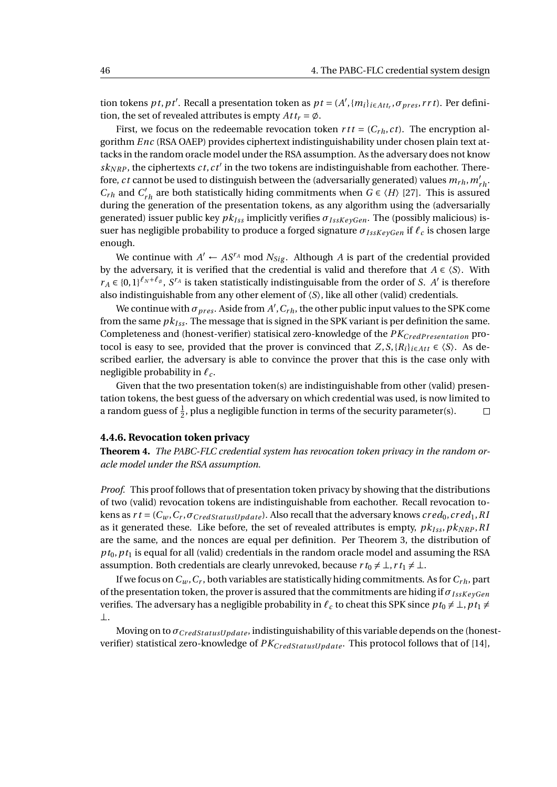tion tokens *pt*, *pt'*. Recall a presentation token as  $pt = (A', \{m_i\}_{i \in Att_r}, \sigma_{pres}, rrt)$ . Per definition, the set of revealed attributes is empty  $At t_r = \emptyset$ .

First, we focus on the redeemable revocation token  $rtt = (C_{rh}, ct)$ . The encryption algorithm *Enc* (RSA OAEP) provides ciphertext indistinguishability under chosen plain text attacks in the random oracle model under the RSA assumption. As the adversary does not know  $sk_{NRP}$ , the ciphertexts  $ct$ ,  $ct'$  in the two tokens are indistinguishable from eachother. Therefore, *ct* cannot be used to distinguish between the (adversarially generated) values  $m_{rh}$ ,  $m'_{rh}$ *C*<sub>rh</sub> and *C*<sup>'</sup><sub>*rh*</sub> are both statistically hiding commitments when  $G \in \langle H \rangle$  [\[27\]](#page-75-1). This is assured during the generation of the presentation tokens, as any algorithm using the (adversarially generated) issuer public key  $pk_{Iss}$  implicitly verifies  $\sigma_{IssKeyGen}$ . The (possibly malicious) issuer has negligible probability to produce a forged signature *σI ssK e yGen* if *ℓ<sup>c</sup>* is chosen large enough.

We continue with  $A' \leftarrow AS^{r_A} \text{ mod } N_{Sig}$ . Although *A* is part of the credential provided by the adversary, it is verified that the credential is valid and therefore that  $A \in \langle S \rangle$ . With  $r_A \in \{0,1\}^{\ell_N + \ell_\emptyset}$ ,  $S^{r_A}$  is taken statistically indistinguisable from the order of *S*. *A*<sup>'</sup> is therefore also indistinguishable from any other element of 〈*S*〉, like all other (valid) credentials.

We continue with  $\sigma_{pres}$ . Aside from  $A', C_{rh}$ , the other public input values to the SPK come from the same  $pk_{Iss}$ . The message that is signed in the SPK variant is per definition the same. Completeness and (honest-verifier) statisical zero-knowledge of the  $PK_{CredPresentation}$  protocol is easy to see, provided that the prover is convinced that  $Z, S, \{R_i\}_{i \in Att} \in \langle S \rangle$ . As described earlier, the adversary is able to convince the prover that this is the case only with negligible probability in *ℓ<sup>c</sup>* .

Given that the two presentation token(s) are indistinguishable from other (valid) presentation tokens, the best guess of the adversary on which credential was used, is now limited to a random guess of  $\frac{1}{2}$ , plus a negligible function in terms of the security parameter(s).  $\Box$ 

#### **4.4.6. Revocation token privacy**

**Theorem 4.** *The PABC-FLC credential system has revocation token privacy in the random oracle model under the RSA assumption.*

*Proof.* This proof follows that of presentation token privacy by showing that the distributions of two (valid) revocation tokens are indistinguishable from eachother. Recall revocation tokens as  $rt = (C_w, C_r, \sigma_{CredStatusUpdate})$ . Also recall that the adversary knows  $cred_0, cred_1, Rl$ as it generated these. Like before, the set of revealed attributes is empty,  $pk_{Iss}$ ,  $pk_{NRP}$ ,  $RI$ are the same, and the nonces are equal per definition. Per Theorem [3,](#page-52-0) the distribution of  $p_{t_0}, p_{t_1}$  is equal for all (valid) credentials in the random oracle model and assuming the RSA assumption. Both credentials are clearly unrevoked, because  $r t_0 \neq \bot, r t_1 \neq \bot$ .

If we focus on  $C_w$ ,  $C_r$ , both variables are statistically hiding commitments. As for  $C_{rh}$ , part of the presentation token, the prover is assured that the commitments are hiding if  $\sigma_{IssKevGen}$ verifies. The adversary has a negligible probability in  $\ell_c$  to cheat this SPK since  $p t_0 \neq \bot$ ,  $p t_1 \neq$ ⊥.

Moving on to *σ*<sub>*CredStatusUndate*, indistinguishability of this variable depends on the (honest-</sub> verifier) statistical zero-knowledge of  $PK_{CredStatusUpdate}$ . This protocol follows that of [\[14\]](#page-75-2),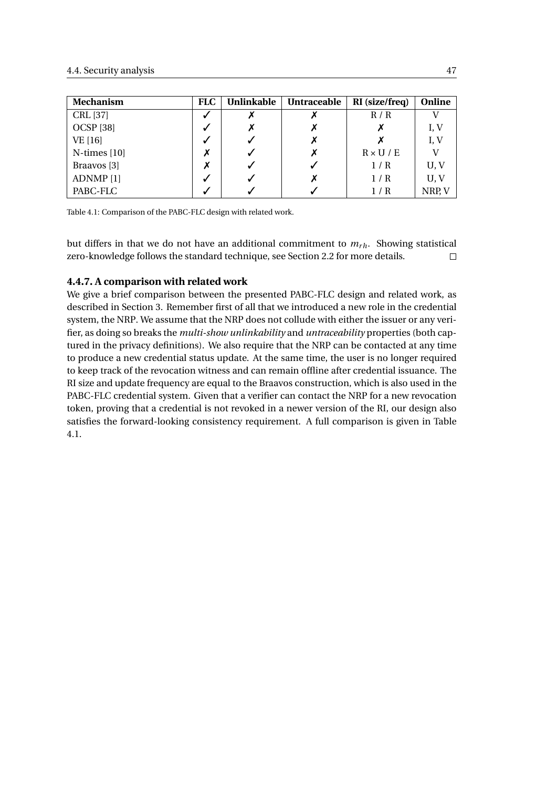<span id="page-54-0"></span>

| <b>Mechanism</b>     | <b>FLC</b> | <b>Unlinkable</b> | <b>Untraceable</b> | RI (size/freq)   | Online |
|----------------------|------------|-------------------|--------------------|------------------|--------|
| CRL [37]             | √          |                   |                    | R/R              |        |
| <b>OCSP</b> [38]     | √          |                   |                    |                  | I, V   |
| VE [16]              | √          |                   |                    |                  | I, V   |
| $N$ -times [10]      | Х          |                   | Х                  | $R \times U / E$ |        |
| Braavos [3]          |            |                   |                    | 1/R              | U, V   |
| ADNMP <sup>[1]</sup> | √          |                   |                    | 1/R              | U, V   |
| PABC-FLC             |            |                   |                    | 1 / R            | NRP, V |

Table 4.1: Comparison of the PABC-FLC design with related work.

but differs in that we do not have an additional commitment to  $m_{rh}$ . Showing statistical zero-knowledge follows the standard technique, see Section [2.2](#page-12-0) for more details.  $\Box$ 

#### **4.4.7. A comparison with related work**

We give a brief comparison between the presented PABC-FLC design and related work, as described in Section [3.](#page-26-0) Remember first of all that we introduced a new role in the credential system, the NRP. We assume that the NRP does not collude with either the issuer or any verifier, as doing so breaks the *multi-show unlinkability* and *untraceability* properties (both captured in the privacy definitions). We also require that the NRP can be contacted at any time to produce a new credential status update. At the same time, the user is no longer required to keep track of the revocation witness and can remain offline after credential issuance. The RI size and update frequency are equal to the Braavos construction, which is also used in the PABC-FLC credential system. Given that a verifier can contact the NRP for a new revocation token, proving that a credential is not revoked in a newer version of the RI, our design also satisfies the forward-looking consistency requirement. A full comparison is given in Table [4.1.](#page-54-0)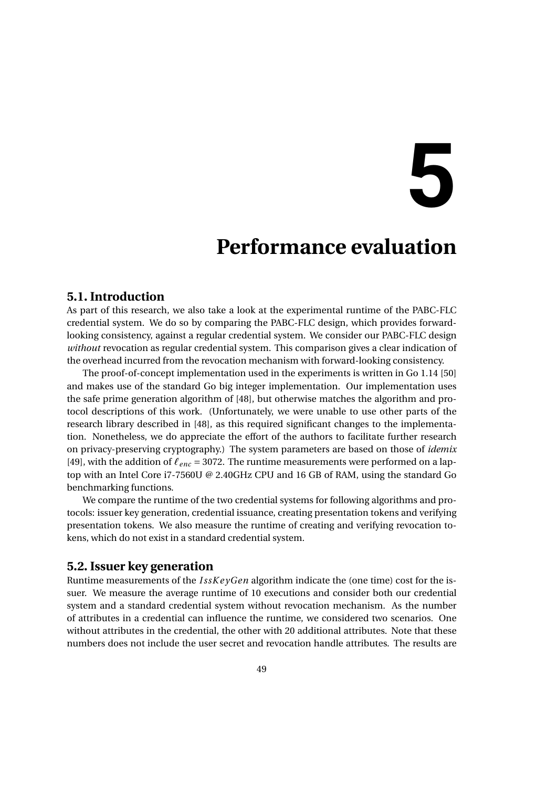# **5**

## **Performance evaluation**

#### **5.1. Introduction**

As part of this research, we also take a look at the experimental runtime of the PABC-FLC credential system. We do so by comparing the PABC-FLC design, which provides forwardlooking consistency, against a regular credential system. We consider our PABC-FLC design *without* revocation as regular credential system. This comparison gives a clear indication of the overhead incurred from the revocation mechanism with forward-looking consistency.

The proof-of-concept implementation used in the experiments is written in Go 1.14 [\[50\]](#page-77-2) and makes use of the standard Go big integer implementation. Our implementation uses the safe prime generation algorithm of [\[48\]](#page-77-3), but otherwise matches the algorithm and protocol descriptions of this work. (Unfortunately, we were unable to use other parts of the research library described in [\[48\]](#page-77-3), as this required significant changes to the implementation. Nonetheless, we do appreciate the effort of the authors to facilitate further research on privacy-preserving cryptography.) The system parameters are based on those of *idemix* [\[49\]](#page-77-0), with the addition of *ℓenc* = 3072. The runtime measurements were performed on a laptop with an Intel Core i7-7560U @ 2.40GHz CPU and 16 GB of RAM, using the standard Go benchmarking functions.

We compare the runtime of the two credential systems for following algorithms and protocols: issuer key generation, credential issuance, creating presentation tokens and verifying presentation tokens. We also measure the runtime of creating and verifying revocation tokens, which do not exist in a standard credential system.

#### **5.2. Issuer key generation**

Runtime measurements of the *I ssK e yGen* algorithm indicate the (one time) cost for the issuer. We measure the average runtime of 10 executions and consider both our credential system and a standard credential system without revocation mechanism. As the number of attributes in a credential can influence the runtime, we considered two scenarios. One without attributes in the credential, the other with 20 additional attributes. Note that these numbers does not include the user secret and revocation handle attributes. The results are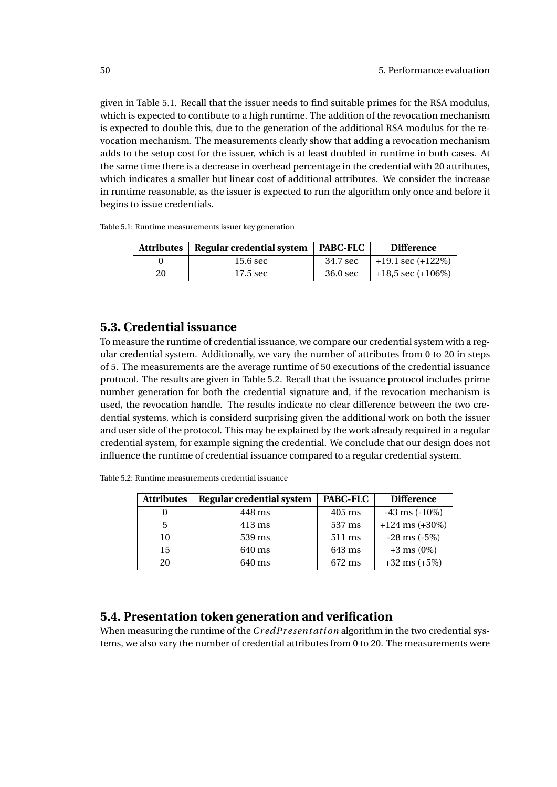given in Table [5.1.](#page-57-0) Recall that the issuer needs to find suitable primes for the RSA modulus, which is expected to contibute to a high runtime. The addition of the revocation mechanism is expected to double this, due to the generation of the additional RSA modulus for the revocation mechanism. The measurements clearly show that adding a revocation mechanism adds to the setup cost for the issuer, which is at least doubled in runtime in both cases. At the same time there is a decrease in overhead percentage in the credential with 20 attributes, which indicates a smaller but linear cost of additional attributes. We consider the increase in runtime reasonable, as the issuer is expected to run the algorithm only once and before it begins to issue credentials.

<span id="page-57-0"></span>

|  |  |  |  | Table 5.1: Runtime measurements issuer key generation |
|--|--|--|--|-------------------------------------------------------|
|--|--|--|--|-------------------------------------------------------|

| Attributes | Regular credential system | PABC-FLC | <b>Difference</b>             |
|------------|---------------------------|----------|-------------------------------|
|            | 15.6 sec                  | 34.7 sec | $+19.1 \text{ sec } (+122\%)$ |
| 20         | 17.5 sec                  | 36.0 sec | $+18.5$ sec $(+106%)$         |

#### **5.3. Credential issuance**

To measure the runtime of credential issuance, we compare our credential system with a regular credential system. Additionally, we vary the number of attributes from 0 to 20 in steps of 5. The measurements are the average runtime of 50 executions of the credential issuance protocol. The results are given in Table [5.2.](#page-57-1) Recall that the issuance protocol includes prime number generation for both the credential signature and, if the revocation mechanism is used, the revocation handle. The results indicate no clear difference between the two credential systems, which is considerd surprising given the additional work on both the issuer and user side of the protocol. This may be explained by the work already required in a regular credential system, for example signing the credential. We conclude that our design does not influence the runtime of credential issuance compared to a regular credential system.

| <b>Attributes</b> | Regular credential system | PABC-FLC         | <b>Difference</b>   |
|-------------------|---------------------------|------------------|---------------------|
|                   | 448 ms                    | $405 \text{ ms}$ | $-43$ ms $(-10\%)$  |
| 5                 | $413 \text{ ms}$          | 537 ms           | $+124$ ms $(+30\%)$ |
| 10                | 539 ms                    | 511 ms           | $-28$ ms $(-5%)$    |
| 15                | 640 ms                    | 643 ms           | $+3$ ms $(0\%)$     |
| 20                | 640 ms                    | 672 ms           | $+32$ ms $(+5%)$    |

<span id="page-57-1"></span>Table 5.2: Runtime measurements credential issuance

#### **5.4. Presentation token generation and verification**

When measuring the runtime of the *Cr edPr esent ati on* algorithm in the two credential systems, we also vary the number of credential attributes from 0 to 20. The measurements were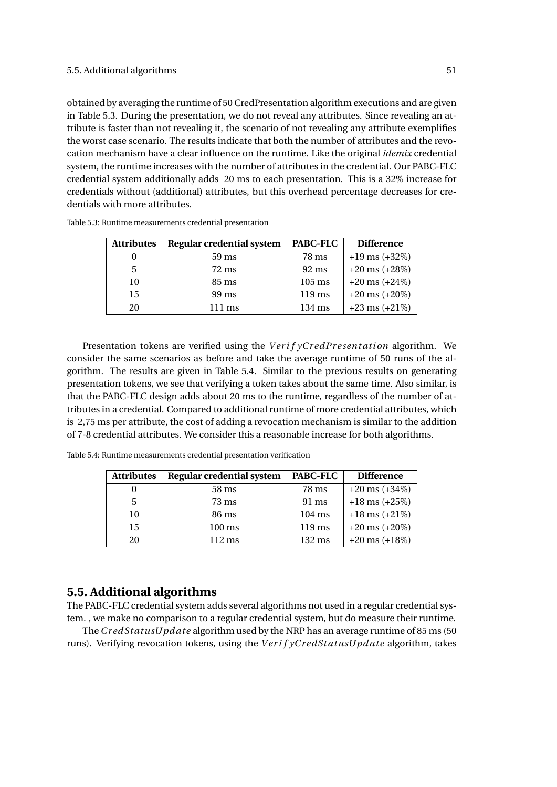obtained by averaging the runtime of 50 CredPresentation algorithm executions and are given in Table [5.3.](#page-58-0) During the presentation, we do not reveal any attributes. Since revealing an attribute is faster than not revealing it, the scenario of not revealing any attribute exemplifies the worst case scenario. The results indicate that both the number of attributes and the revocation mechanism have a clear influence on the runtime. Like the original *idemix* credential system, the runtime increases with the number of attributes in the credential. Our PABC-FLC credential system additionally adds 20 ms to each presentation. This is a 32% increase for credentials without (additional) attributes, but this overhead percentage decreases for credentials with more attributes.

| <b>Attributes</b> | Regular credential system | PABC-FLC            | <b>Difference</b>  |
|-------------------|---------------------------|---------------------|--------------------|
|                   | $59 \text{ ms}$           | 78 ms               | $+19$ ms $(+32%)$  |
| 5                 | 72 ms                     | $92 \text{ ms}$     | $+20$ ms $(+28%)$  |
| 10                | 85 ms                     | $105 \,\mathrm{ms}$ | $+20$ ms $(+24\%)$ |
| 15                | 99 ms                     | $119 \,\mathrm{ms}$ | $+20$ ms $(+20\%)$ |
| 20                | $111 \text{ ms}$          | $134 \text{ ms}$    | $+23$ ms $(+21\%)$ |

<span id="page-58-0"></span>Table 5.3: Runtime measurements credential presentation

Presentation tokens are verified using the *Verif yCredPresentation* algorithm. We consider the same scenarios as before and take the average runtime of 50 runs of the algorithm. The results are given in Table [5.4.](#page-58-1) Similar to the previous results on generating presentation tokens, we see that verifying a token takes about the same time. Also similar, is that the PABC-FLC design adds about 20 ms to the runtime, regardless of the number of attributes in a credential. Compared to additional runtime of more credential attributes, which is 2,75 ms per attribute, the cost of adding a revocation mechanism is similar to the addition of 7-8 credential attributes. We consider this a reasonable increase for both algorithms.

<span id="page-58-1"></span>Table 5.4: Runtime measurements credential presentation verification

| <b>Attributes</b> | Regular credential system | PABC-FLC            | <b>Difference</b>  |
|-------------------|---------------------------|---------------------|--------------------|
|                   | 58 ms                     | 78 ms               | $+20$ ms $(+34%)$  |
| 5                 | 73 ms                     | 91 ms               | $+18$ ms $(+25%)$  |
| 10                | 86 ms                     | $104 \text{ ms}$    | $+18$ ms $(+21\%)$ |
| 15                | $100 \text{ ms}$          | $119 \,\mathrm{ms}$ | $+20$ ms $(+20\%)$ |
| 20                | $112 \text{ ms}$          | $132 \text{ ms}$    | $+20$ ms $(+18%)$  |

#### **5.5. Additional algorithms**

The PABC-FLC credential system adds several algorithms not used in a regular credential system. , we make no comparison to a regular credential system, but do measure their runtime.

The*Cr edSt atusUpd ate* algorithm used by the NRP has an average runtime of 85 ms (50 runs). Verifying revocation tokens, using the *V er i f yCr edSt atusUpd ate* algorithm, takes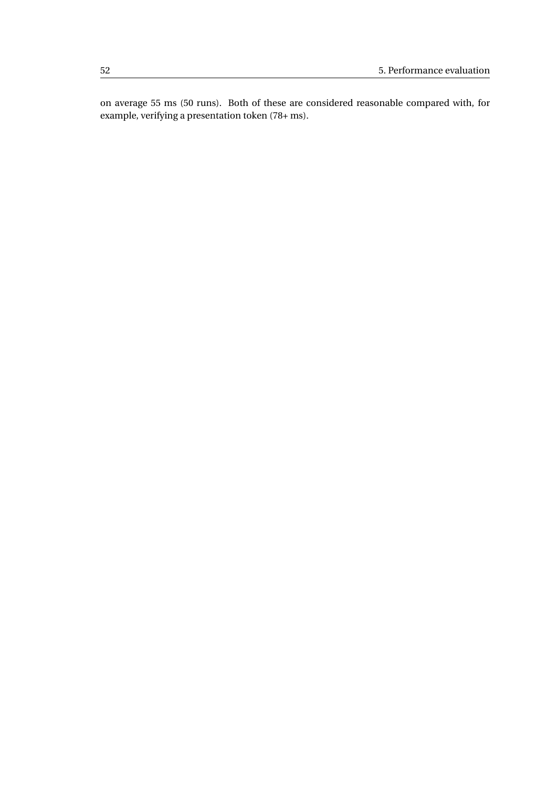on average 55 ms (50 runs). Both of these are considered reasonable compared with, for example, verifying a presentation token (78+ ms).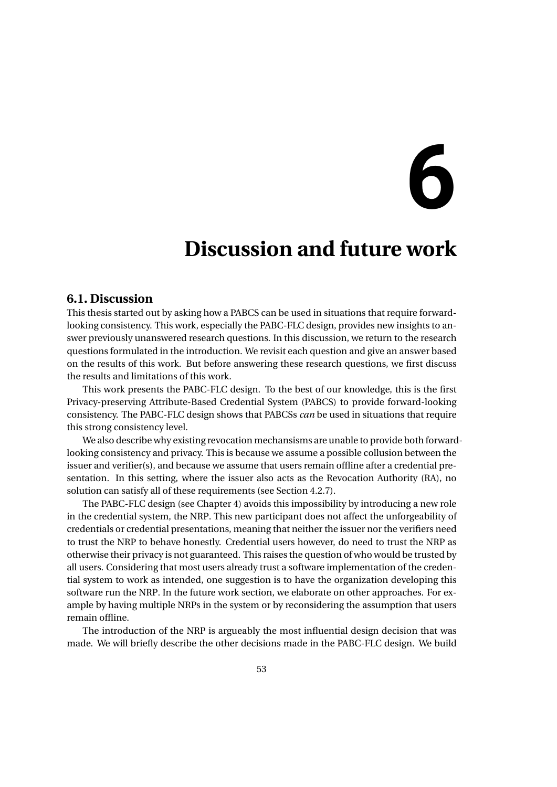# **6**

## **Discussion and future work**

#### **6.1. Discussion**

This thesis started out by asking how a PABCS can be used in situations that require forwardlooking consistency. This work, especially the PABC-FLC design, provides new insights to answer previously unanswered research questions. In this discussion, we return to the research questions formulated in the introduction. We revisit each question and give an answer based on the results of this work. But before answering these research questions, we first discuss the results and limitations of this work.

This work presents the PABC-FLC design. To the best of our knowledge, this is the first Privacy-preserving Attribute-Based Credential System (PABCS) to provide forward-looking consistency. The PABC-FLC design shows that PABCSs *can* be used in situations that require this strong consistency level.

We also describe why existing revocation mechansisms are unable to provide both forwardlooking consistency and privacy. This is because we assume a possible collusion between the issuer and verifier(s), and because we assume that users remain offline after a credential presentation. In this setting, where the issuer also acts as the Revocation Authority (RA), no solution can satisfy all of these requirements (see Section [4.2.7\)](#page-37-1).

The PABC-FLC design (see Chapter 4) avoids this impossibility by introducing a new role in the credential system, the NRP. This new participant does not affect the unforgeability of credentials or credential presentations, meaning that neither the issuer nor the verifiers need to trust the NRP to behave honestly. Credential users however, do need to trust the NRP as otherwise their privacy is not guaranteed. This raises the question of who would be trusted by all users. Considering that most users already trust a software implementation of the credential system to work as intended, one suggestion is to have the organization developing this software run the NRP. In the future work section, we elaborate on other approaches. For example by having multiple NRPs in the system or by reconsidering the assumption that users remain offline.

The introduction of the NRP is argueably the most influential design decision that was made. We will briefly describe the other decisions made in the PABC-FLC design. We build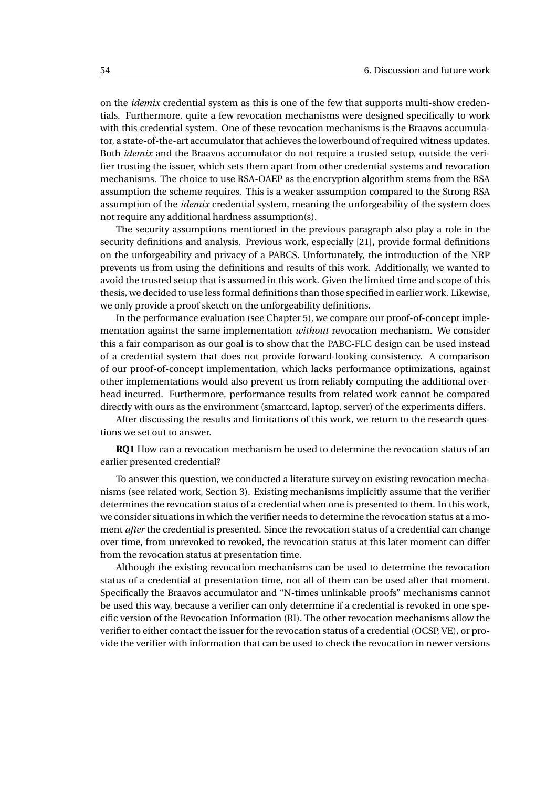on the *idemix* credential system as this is one of the few that supports multi-show credentials. Furthermore, quite a few revocation mechanisms were designed specifically to work with this credential system. One of these revocation mechanisms is the Braavos accumulator, a state-of-the-art accumulator that achieves the lowerbound of required witness updates. Both *idemix* and the Braavos accumulator do not require a trusted setup, outside the verifier trusting the issuer, which sets them apart from other credential systems and revocation mechanisms. The choice to use RSA-OAEP as the encryption algorithm stems from the RSA assumption the scheme requires. This is a weaker assumption compared to the Strong RSA assumption of the *idemix* credential system, meaning the unforgeability of the system does not require any additional hardness assumption(s).

The security assumptions mentioned in the previous paragraph also play a role in the security definitions and analysis. Previous work, especially [\[21\]](#page-75-0), provide formal definitions on the unforgeability and privacy of a PABCS. Unfortunately, the introduction of the NRP prevents us from using the definitions and results of this work. Additionally, we wanted to avoid the trusted setup that is assumed in this work. Given the limited time and scope of this thesis, we decided to use less formal definitions than those specified in earlier work. Likewise, we only provide a proof sketch on the unforgeability definitions.

In the performance evaluation (see Chapter 5), we compare our proof-of-concept implementation against the same implementation *without* revocation mechanism. We consider this a fair comparison as our goal is to show that the PABC-FLC design can be used instead of a credential system that does not provide forward-looking consistency. A comparison of our proof-of-concept implementation, which lacks performance optimizations, against other implementations would also prevent us from reliably computing the additional overhead incurred. Furthermore, performance results from related work cannot be compared directly with ours as the environment (smartcard, laptop, server) of the experiments differs.

After discussing the results and limitations of this work, we return to the research questions we set out to answer.

**RQ1** How can a revocation mechanism be used to determine the revocation status of an earlier presented credential?

To answer this question, we conducted a literature survey on existing revocation mechanisms (see related work, Section [3\)](#page-26-0). Existing mechanisms implicitly assume that the verifier determines the revocation status of a credential when one is presented to them. In this work, we consider situations in which the verifier needs to determine the revocation status at a moment *after* the credential is presented. Since the revocation status of a credential can change over time, from unrevoked to revoked, the revocation status at this later moment can differ from the revocation status at presentation time.

Although the existing revocation mechanisms can be used to determine the revocation status of a credential at presentation time, not all of them can be used after that moment. Specifically the Braavos accumulator and "N-times unlinkable proofs" mechanisms cannot be used this way, because a verifier can only determine if a credential is revoked in one specific version of the Revocation Information (RI). The other revocation mechanisms allow the verifier to either contact the issuer for the revocation status of a credential (OCSP, VE), or provide the verifier with information that can be used to check the revocation in newer versions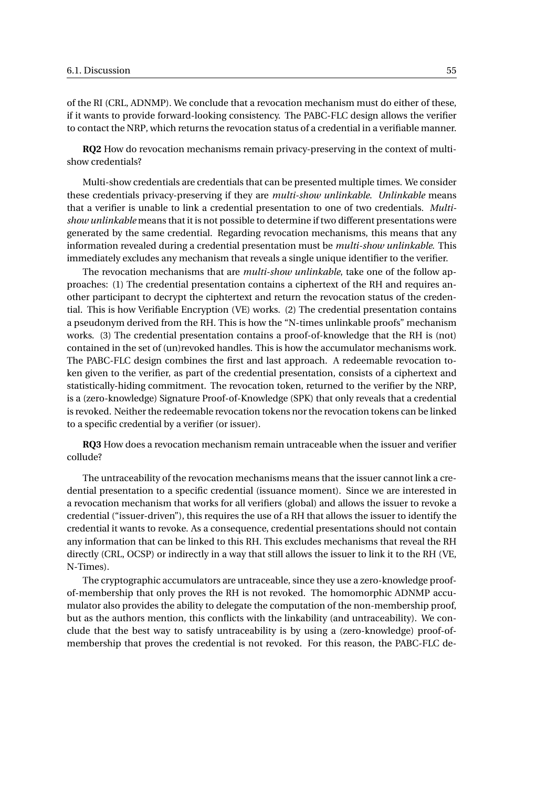of the RI (CRL, ADNMP). We conclude that a revocation mechanism must do either of these, if it wants to provide forward-looking consistency. The PABC-FLC design allows the verifier to contact the NRP, which returns the revocation status of a credential in a verifiable manner.

**RQ2** How do revocation mechanisms remain privacy-preserving in the context of multishow credentials?

Multi-show credentials are credentials that can be presented multiple times. We consider these credentials privacy-preserving if they are *multi-show unlinkable*. *Unlinkable* means that a verifier is unable to link a credential presentation to one of two credentials. *Multishow unlinkable* means that it is not possible to determine if two different presentations were generated by the same credential. Regarding revocation mechanisms, this means that any information revealed during a credential presentation must be *multi-show unlinkable*. This immediately excludes any mechanism that reveals a single unique identifier to the verifier.

The revocation mechanisms that are *multi-show unlinkable*, take one of the follow approaches: (1) The credential presentation contains a ciphertext of the RH and requires another participant to decrypt the ciphtertext and return the revocation status of the credential. This is how Verifiable Encryption (VE) works. (2) The credential presentation contains a pseudonym derived from the RH. This is how the "N-times unlinkable proofs" mechanism works. (3) The credential presentation contains a proof-of-knowledge that the RH is (not) contained in the set of (un)revoked handles. This is how the accumulator mechanisms work. The PABC-FLC design combines the first and last approach. A redeemable revocation token given to the verifier, as part of the credential presentation, consists of a ciphertext and statistically-hiding commitment. The revocation token, returned to the verifier by the NRP, is a (zero-knowledge) Signature Proof-of-Knowledge (SPK) that only reveals that a credential is revoked. Neither the redeemable revocation tokens nor the revocation tokens can be linked to a specific credential by a verifier (or issuer).

**RQ3** How does a revocation mechanism remain untraceable when the issuer and verifier collude?

The untraceability of the revocation mechanisms means that the issuer cannot link a credential presentation to a specific credential (issuance moment). Since we are interested in a revocation mechanism that works for all verifiers (global) and allows the issuer to revoke a credential ("issuer-driven"), this requires the use of a RH that allows the issuer to identify the credential it wants to revoke. As a consequence, credential presentations should not contain any information that can be linked to this RH. This excludes mechanisms that reveal the RH directly (CRL, OCSP) or indirectly in a way that still allows the issuer to link it to the RH (VE, N-Times).

The cryptographic accumulators are untraceable, since they use a zero-knowledge proofof-membership that only proves the RH is not revoked. The homomorphic ADNMP accumulator also provides the ability to delegate the computation of the non-membership proof, but as the authors mention, this conflicts with the linkability (and untraceability). We conclude that the best way to satisfy untraceability is by using a (zero-knowledge) proof-ofmembership that proves the credential is not revoked. For this reason, the PABC-FLC de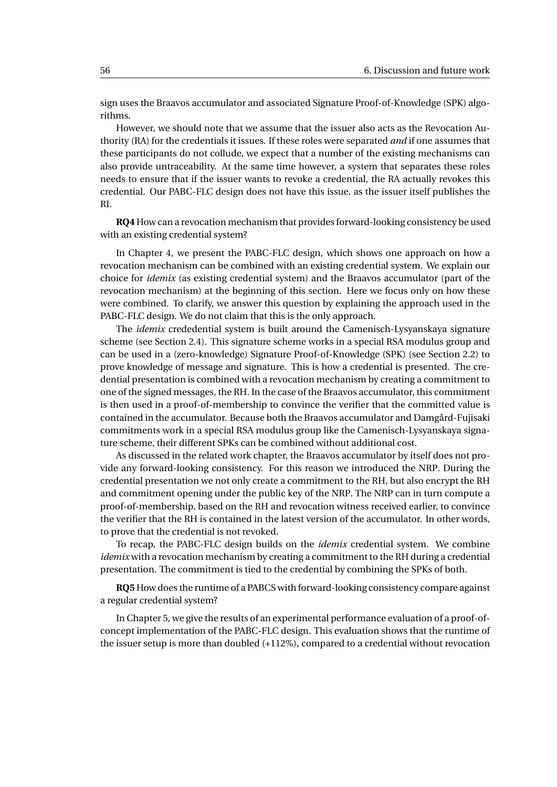sign uses the Braavos accumulator and associated Signature Proof-of-Knowledge (SPK) algorithms.

However, we should note that we assume that the issuer also acts as the Revocation Authority (RA) for the credentials it issues. If these roles were separated *and* if one assumes that these participants do not collude, we expect that a number of the existing mechanisms can also provide untraceability. At the same time however, a system that separates these roles needs to ensure that if the issuer wants to revoke a credential, the RA actually revokes this credential. Our PABC-FLC design does not have this issue, as the issuer itself publishes the RI.

**RQ4** How can a revocation mechanism that provides forward-looking consistency be used with an existing credential system?

In Chapter 4, we present the PABC-FLC design, which shows one approach on how a revocation mechanism can be combined with an existing credential system. We explain our choice for *idemix* (as existing credential system) and the Braavos accumulator (part of the revocation mechanism) at the beginning of this section. Here we focus only on how these were combined. To clarify, we answer this question by explaining the approach used in the PABC-FLC design. We do not claim that this is the only approach.

The *idemix* crededential system is built around the Camenisch-Lysyanskaya signature scheme (see Section [2.4\)](#page-17-0). This signature scheme works in a special RSA modulus group and can be used in a (zero-knowledge) Signature Proof-of-Knowledge (SPK) (see Section [2.2\)](#page-12-0) to prove knowledge of message and signature. This is how a credential is presented. The credential presentation is combined with a revocation mechanism by creating a commitment to one of the signed messages, the RH. In the case of the Braavos accumulator, this commitment is then used in a proof-of-membership to convince the verifier that the committed value is contained in the accumulator. Because both the Braavos accumulator and Damgård-Fujisaki commitments work in a special RSA modulus group like the Camenisch-Lysyanskaya signature scheme, their different SPKs can be combined without additional cost.

As discussed in the related work chapter, the Braavos accumulator by itself does not provide any forward-looking consistency. For this reason we introduced the NRP. During the credential presentation we not only create a commitment to the RH, but also encrypt the RH and commitment opening under the public key of the NRP. The NRP can in turn compute a proof-of-membership, based on the RH and revocation witness received earlier, to convince the verifier that the RH is contained in the latest version of the accumulator. In other words, to prove that the credential is not revoked.

To recap, the PABC-FLC design builds on the *idemix* credential system. We combine *idemix* with a revocation mechanism by creating a commitment to the RH during a credential presentation. The commitment is tied to the credential by combining the SPKs of both.

**RQ5** How does the runtime of a PABCS with forward-looking consistency compare against a regular credential system?

In Chapter 5, we give the results of an experimental performance evaluation of a proof-ofconcept implementation of the PABC-FLC design. This evaluation shows that the runtime of the issuer setup is more than doubled (+112%), compared to a credential without revocation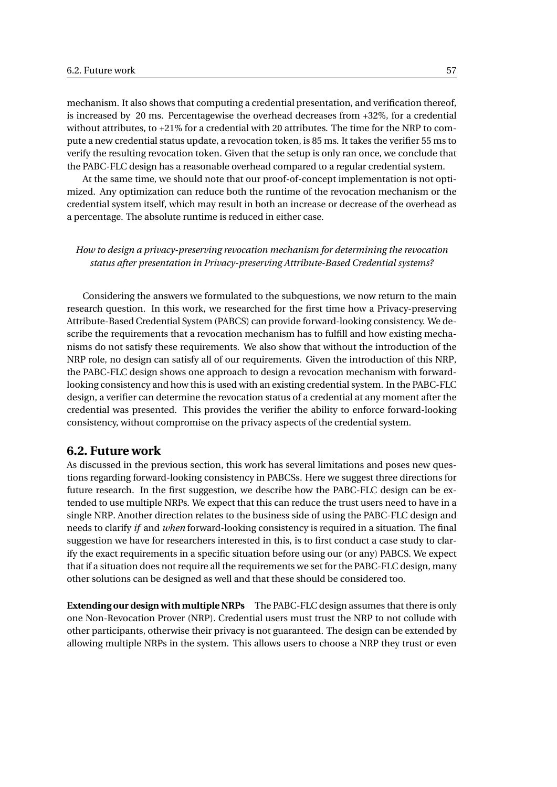mechanism. It also shows that computing a credential presentation, and verification thereof, is increased by 20 ms. Percentagewise the overhead decreases from +32%, for a credential without attributes, to +21% for a credential with 20 attributes. The time for the NRP to compute a new credential status update, a revocation token, is 85 ms. It takes the verifier 55 ms to verify the resulting revocation token. Given that the setup is only ran once, we conclude that the PABC-FLC design has a reasonable overhead compared to a regular credential system.

At the same time, we should note that our proof-of-concept implementation is not optimized. Any optimization can reduce both the runtime of the revocation mechanism or the credential system itself, which may result in both an increase or decrease of the overhead as a percentage. The absolute runtime is reduced in either case.

*How to design a privacy-preserving revocation mechanism for determining the revocation status after presentation in Privacy-preserving Attribute-Based Credential systems?*

Considering the answers we formulated to the subquestions, we now return to the main research question. In this work, we researched for the first time how a Privacy-preserving Attribute-Based Credential System (PABCS) can provide forward-looking consistency. We describe the requirements that a revocation mechanism has to fulfill and how existing mechanisms do not satisfy these requirements. We also show that without the introduction of the NRP role, no design can satisfy all of our requirements. Given the introduction of this NRP, the PABC-FLC design shows one approach to design a revocation mechanism with forwardlooking consistency and how this is used with an existing credential system. In the PABC-FLC design, a verifier can determine the revocation status of a credential at any moment after the credential was presented. This provides the verifier the ability to enforce forward-looking consistency, without compromise on the privacy aspects of the credential system.

#### **6.2. Future work**

As discussed in the previous section, this work has several limitations and poses new questions regarding forward-looking consistency in PABCSs. Here we suggest three directions for future research. In the first suggestion, we describe how the PABC-FLC design can be extended to use multiple NRPs. We expect that this can reduce the trust users need to have in a single NRP. Another direction relates to the business side of using the PABC-FLC design and needs to clarify *if* and *when* forward-looking consistency is required in a situation. The final suggestion we have for researchers interested in this, is to first conduct a case study to clarify the exact requirements in a specific situation before using our (or any) PABCS. We expect that if a situation does not require all the requirements we set for the PABC-FLC design, many other solutions can be designed as well and that these should be considered too.

**Extending our design with multiple NRPs** The PABC-FLC design assumes that there is only one Non-Revocation Prover (NRP). Credential users must trust the NRP to not collude with other participants, otherwise their privacy is not guaranteed. The design can be extended by allowing multiple NRPs in the system. This allows users to choose a NRP they trust or even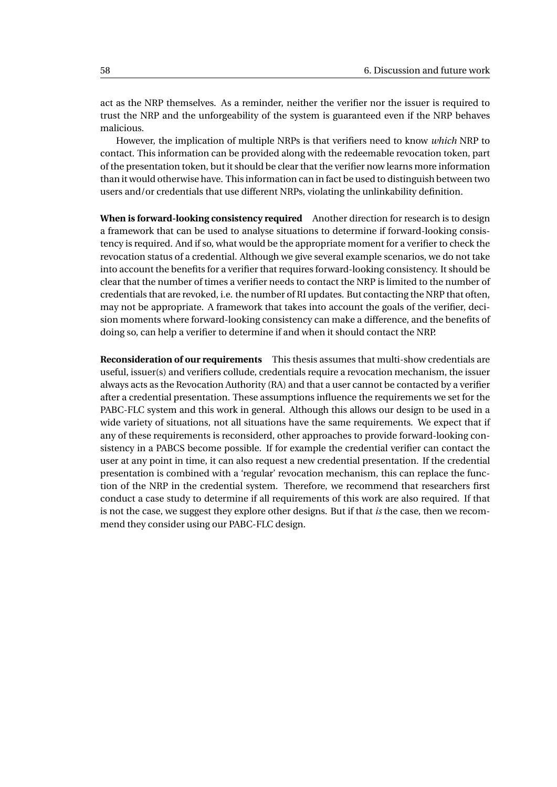act as the NRP themselves. As a reminder, neither the verifier nor the issuer is required to trust the NRP and the unforgeability of the system is guaranteed even if the NRP behaves malicious.

However, the implication of multiple NRPs is that verifiers need to know *which* NRP to contact. This information can be provided along with the redeemable revocation token, part of the presentation token, but it should be clear that the verifier now learns more information than it would otherwise have. This information can in fact be used to distinguish between two users and/or credentials that use different NRPs, violating the unlinkability definition.

**When is forward-looking consistency required** Another direction for research is to design a framework that can be used to analyse situations to determine if forward-looking consistency is required. And if so, what would be the appropriate moment for a verifier to check the revocation status of a credential. Although we give several example scenarios, we do not take into account the benefits for a verifier that requires forward-looking consistency. It should be clear that the number of times a verifier needs to contact the NRP is limited to the number of credentials that are revoked, i.e. the number of RI updates. But contacting the NRP that often, may not be appropriate. A framework that takes into account the goals of the verifier, decision moments where forward-looking consistency can make a difference, and the benefits of doing so, can help a verifier to determine if and when it should contact the NRP.

**Reconsideration of our requirements** This thesis assumes that multi-show credentials are useful, issuer(s) and verifiers collude, credentials require a revocation mechanism, the issuer always acts as the Revocation Authority (RA) and that a user cannot be contacted by a verifier after a credential presentation. These assumptions influence the requirements we set for the PABC-FLC system and this work in general. Although this allows our design to be used in a wide variety of situations, not all situations have the same requirements. We expect that if any of these requirements is reconsiderd, other approaches to provide forward-looking consistency in a PABCS become possible. If for example the credential verifier can contact the user at any point in time, it can also request a new credential presentation. If the credential presentation is combined with a 'regular' revocation mechanism, this can replace the function of the NRP in the credential system. Therefore, we recommend that researchers first conduct a case study to determine if all requirements of this work are also required. If that is not the case, we suggest they explore other designs. But if that *is* the case, then we recommend they consider using our PABC-FLC design.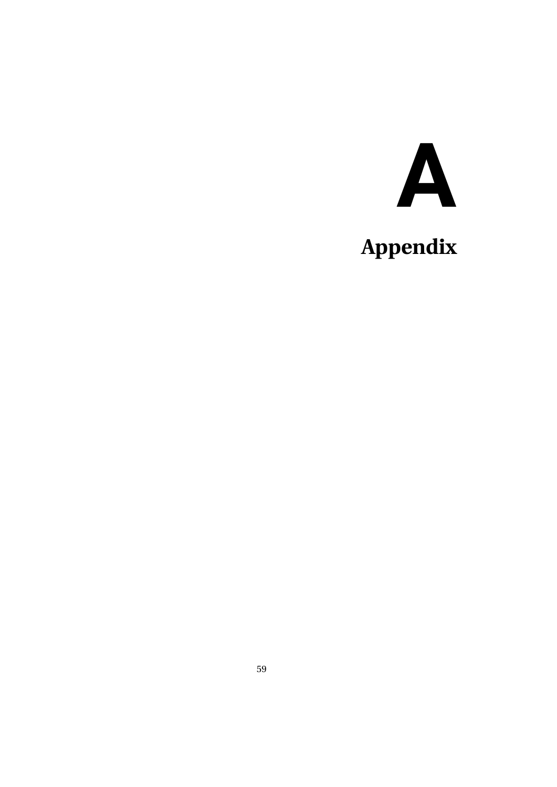# **A**

## **Appendix**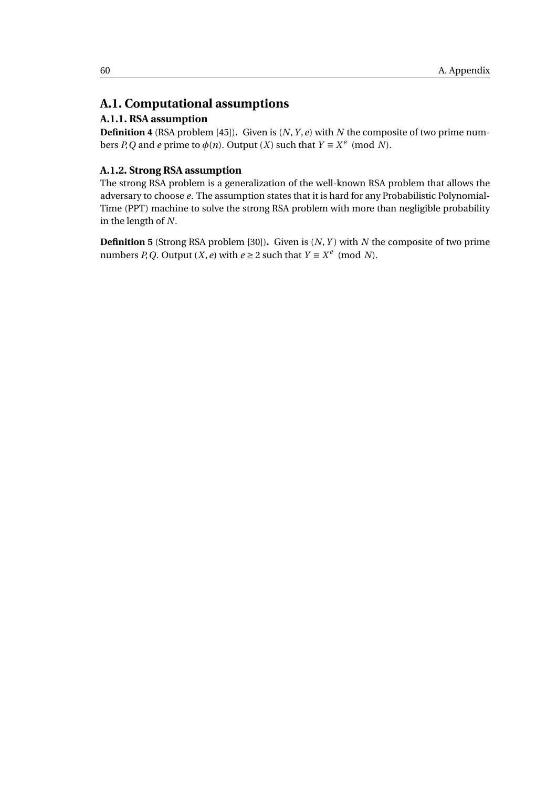#### **A.1. Computational assumptions**

#### **A.1.1. RSA assumption**

**Definition 4** (RSA problem [\[45\]](#page-77-4))**.** Given is (*N*,*Y* ,*e*) with *N* the composite of two prime numbers *P*,*Q* and *e* prime to  $\phi(n)$ . Output (*X*) such that  $Y \equiv X^e \pmod{N}$ .

#### <span id="page-67-0"></span>**A.1.2. Strong RSA assumption**

The strong RSA problem is a generalization of the well-known RSA problem that allows the adversary to choose *e*. The assumption states that it is hard for any Probabilistic Polynomial-Time (PPT) machine to solve the strong RSA problem with more than negligible probability in the length of *N*.

**Definition 5** (Strong RSA problem [\[30\]](#page-76-1))**.** Given is (*N*,*Y* ) with *N* the composite of two prime numbers *P*, *Q*. Output (*X*, *e*) with  $e \geq 2$  such that  $Y \equiv X^e \pmod{N}$ .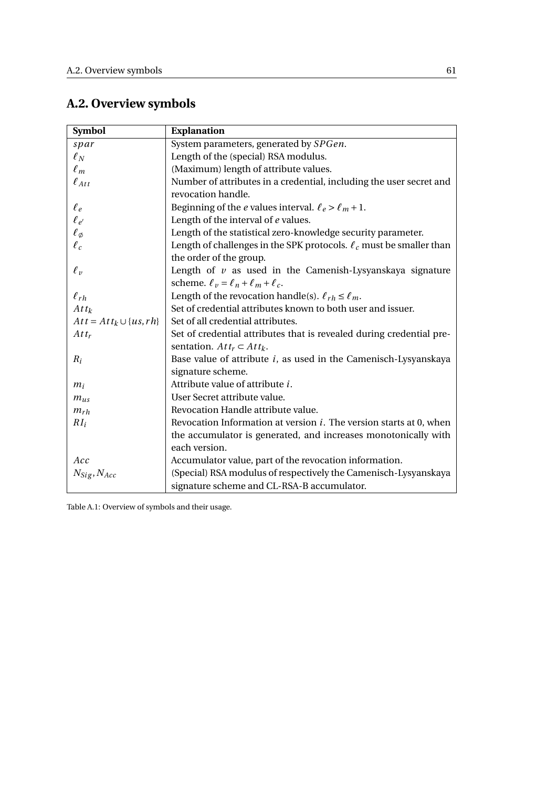### **A.2. Overview symbols**

<span id="page-68-0"></span>

| <b>Symbol</b>                 | <b>Explanation</b>                                                         |  |
|-------------------------------|----------------------------------------------------------------------------|--|
| spar                          | System parameters, generated by SPGen.                                     |  |
| $\ell_N$                      | Length of the (special) RSA modulus.                                       |  |
| $\ell_m$                      | (Maximum) length of attribute values.                                      |  |
| $\ell_{Att}$                  | Number of attributes in a credential, including the user secret and        |  |
|                               | revocation handle.                                                         |  |
| $\ell_e$                      | Beginning of the <i>e</i> values interval. $\ell_e > \ell_m + 1$ .         |  |
| $\ell_{e'}$                   | Length of the interval of e values.                                        |  |
| $\ell_{\emptyset}$            | Length of the statistical zero-knowledge security parameter.               |  |
| $\ell_c$                      | Length of challenges in the SPK protocols. $\ell_c$ must be smaller than   |  |
|                               | the order of the group.                                                    |  |
| $\ell_{v}$                    | Length of $v$ as used in the Camenish-Lysyanskaya signature                |  |
|                               | scheme. $\ell_v = \ell_n + \ell_m + \ell_c$ .                              |  |
| $\ell_{rh}$                   | Length of the revocation handle(s). $\ell_{rh} \leq \ell_m$ .              |  |
| $Att_k$                       | Set of credential attributes known to both user and issuer.                |  |
| $Att = Att_k \cup \{us, rh\}$ | Set of all credential attributes.                                          |  |
| $Att_r$                       | Set of credential attributes that is revealed during credential pre-       |  |
|                               | sentation. $Att_r \subset Att_k$ .                                         |  |
| $R_i$                         | Base value of attribute $i$ , as used in the Camenisch-Lysyanskaya         |  |
|                               | signature scheme.                                                          |  |
| $m_i$                         | Attribute value of attribute <i>i</i> .                                    |  |
| $m_{us}$                      | User Secret attribute value.                                               |  |
| $m_{rh}$                      | Revocation Handle attribute value.                                         |  |
| $RI_i$                        | Revocation Information at version <i>i</i> . The version starts at 0, when |  |
|                               | the accumulator is generated, and increases monotonically with             |  |
|                               | each version.                                                              |  |
| Acc                           | Accumulator value, part of the revocation information.                     |  |
| $N_{Sig}, N_{Acc}$            | (Special) RSA modulus of respectively the Camenisch-Lysyanskaya            |  |
|                               | signature scheme and CL-RSA-B accumulator.                                 |  |

Table A.1: Overview of symbols and their usage.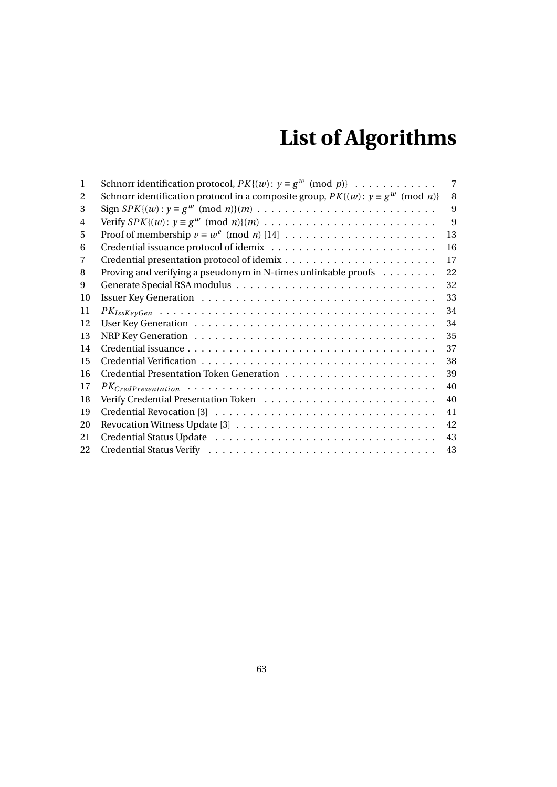## **List of Algorithms**

| 1  | Schnorr identification protocol, $PK{(w)}$ : $y \equiv g^w \pmod{p}$                      | $\overline{7}$ |
|----|-------------------------------------------------------------------------------------------|----------------|
| 2  | Schnorr identification protocol in a composite group, $PK{(w)}$ : $y \equiv g^w \pmod{n}$ | 8              |
| 3  |                                                                                           | 9              |
| 4  |                                                                                           | 9              |
| 5  |                                                                                           | 13             |
| 6  |                                                                                           | 16             |
| 7  |                                                                                           | 17             |
| 8  | Proving and verifying a pseudonym in N-times unlinkable proofs $\dots \dots$              | 22             |
| 9  |                                                                                           | 32             |
| 10 |                                                                                           | 33             |
| 11 |                                                                                           | 34             |
| 12 |                                                                                           | 34             |
| 13 |                                                                                           | 35             |
| 14 |                                                                                           | 37             |
| 15 |                                                                                           | 38             |
| 16 |                                                                                           | 39             |
| 17 |                                                                                           | 40             |
| 18 |                                                                                           | 40             |
| 19 |                                                                                           | 41             |
| 20 |                                                                                           | 42             |
| 21 |                                                                                           | 43             |
| 22 |                                                                                           | 43             |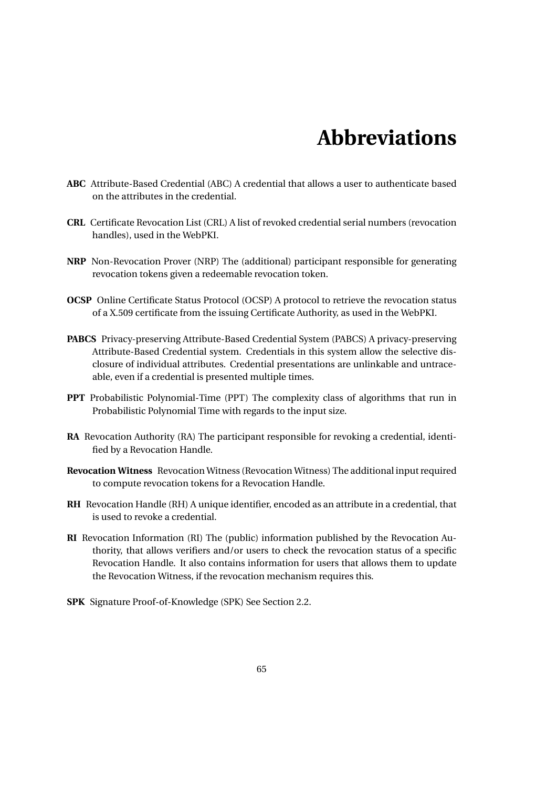## **Abbreviations**

- **ABC** Attribute-Based Credential (ABC) A credential that allows a user to authenticate based on the attributes in the credential.
- **CRL** Certificate Revocation List (CRL) A list of revoked credential serial numbers (revocation handles), used in the WebPKI.
- **NRP** Non-Revocation Prover (NRP) The (additional) participant responsible for generating revocation tokens given a redeemable revocation token.
- **OCSP** Online Certificate Status Protocol (OCSP) A protocol to retrieve the revocation status of a X.509 certificate from the issuing Certificate Authority, as used in the WebPKI.
- **PABCS** Privacy-preserving Attribute-Based Credential System (PABCS) A privacy-preserving Attribute-Based Credential system. Credentials in this system allow the selective disclosure of individual attributes. Credential presentations are unlinkable and untraceable, even if a credential is presented multiple times.
- **PPT** Probabilistic Polynomial-Time (PPT) The complexity class of algorithms that run in Probabilistic Polynomial Time with regards to the input size.
- **RA** Revocation Authority (RA) The participant responsible for revoking a credential, identified by a Revocation Handle.
- **Revocation Witness** Revocation Witness (Revocation Witness) The additional input required to compute revocation tokens for a Revocation Handle.
- **RH** Revocation Handle (RH) A unique identifier, encoded as an attribute in a credential, that is used to revoke a credential.
- **RI** Revocation Information (RI) The (public) information published by the Revocation Authority, that allows verifiers and/or users to check the revocation status of a specific Revocation Handle. It also contains information for users that allows them to update the Revocation Witness, if the revocation mechanism requires this.
- **SPK** Signature Proof-of-Knowledge (SPK) See Section [2.2.](#page-12-0)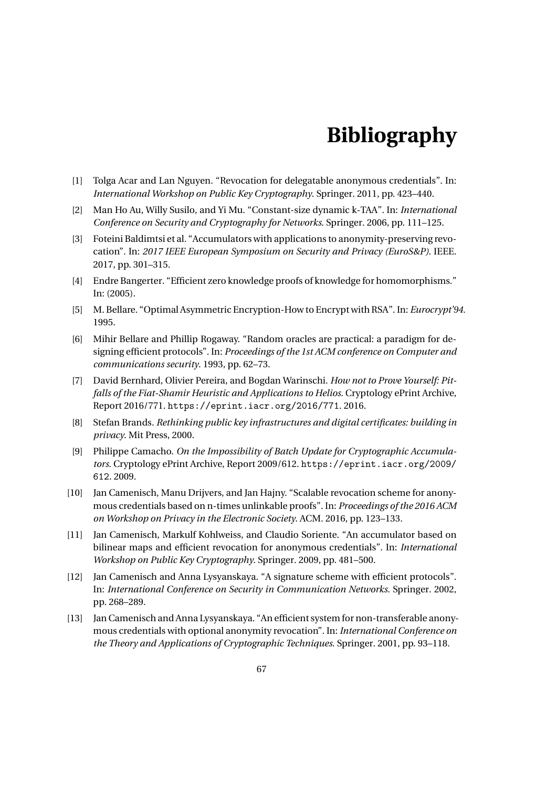## **Bibliography**

- [1] Tolga Acar and Lan Nguyen. "Revocation for delegatable anonymous credentials". In: *International Workshop on Public Key Cryptography*. Springer. 2011, pp. 423–440.
- [2] Man Ho Au, Willy Susilo, and Yi Mu. "Constant-size dynamic k-TAA". In: *International Conference on Security and Cryptography for Networks*. Springer. 2006, pp. 111–125.
- [3] Foteini Baldimtsi et al. "Accumulators with applications to anonymity-preserving revocation". In: *2017 IEEE European Symposium on Security and Privacy (EuroS&P)*. IEEE. 2017, pp. 301–315.
- [4] Endre Bangerter. "Efficient zero knowledge proofs of knowledge for homomorphisms." In: (2005).
- [5] M. Bellare. "Optimal Asymmetric Encryption-How to Encrypt with RSA". In: *Eurocrypt'94*. 1995.
- [6] Mihir Bellare and Phillip Rogaway. "Random oracles are practical: a paradigm for designing efficient protocols". In: *Proceedings of the 1st ACM conference on Computer and communications security*. 1993, pp. 62–73.
- [7] David Bernhard, Olivier Pereira, and Bogdan Warinschi. *How not to Prove Yourself: Pitfalls of the Fiat-Shamir Heuristic and Applications to Helios*. Cryptology ePrint Archive, Report 2016/771. <https://eprint.iacr.org/2016/771>. 2016.
- [8] Stefan Brands. *Rethinking public key infrastructures and digital certificates: building in privacy*. Mit Press, 2000.
- [9] Philippe Camacho. *On the Impossibility of Batch Update for Cryptographic Accumulators*. Cryptology ePrint Archive, Report 2009/612. [https://eprint.iacr.org/2009/](https://eprint.iacr.org/2009/612) [612](https://eprint.iacr.org/2009/612). 2009.
- [10] Jan Camenisch, Manu Drijvers, and Jan Hajny. "Scalable revocation scheme for anonymous credentials based on n-times unlinkable proofs". In: *Proceedings of the 2016 ACM on Workshop on Privacy in the Electronic Society*. ACM. 2016, pp. 123–133.
- [11] Jan Camenisch, Markulf Kohlweiss, and Claudio Soriente. "An accumulator based on bilinear maps and efficient revocation for anonymous credentials". In: *International Workshop on Public Key Cryptography*. Springer. 2009, pp. 481–500.
- [12] Jan Camenisch and Anna Lysyanskaya. "A signature scheme with efficient protocols". In: *International Conference on Security in Communication Networks*. Springer. 2002, pp. 268–289.
- [13] Jan Camenisch and Anna Lysyanskaya. "An efficient system for non-transferable anonymous credentials with optional anonymity revocation". In: *International Conference on the Theory and Applications of Cryptographic Techniques*. Springer. 2001, pp. 93–118.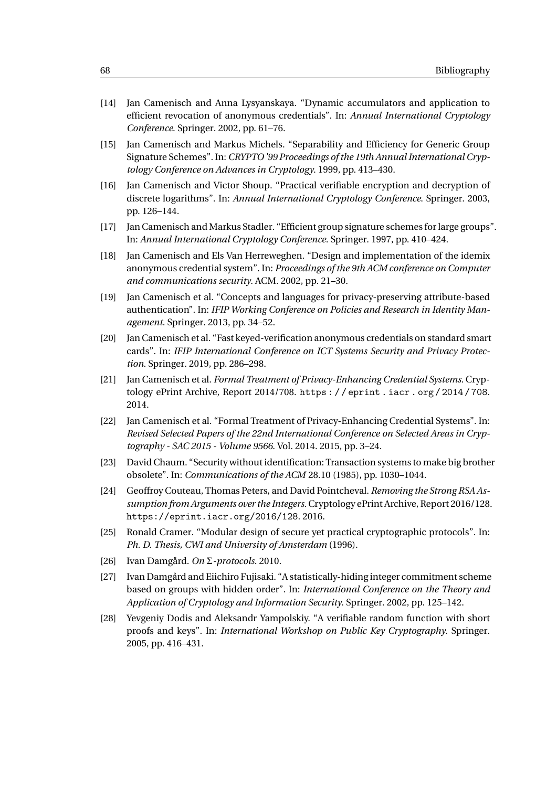- [14] Jan Camenisch and Anna Lysyanskaya. "Dynamic accumulators and application to efficient revocation of anonymous credentials". In: *Annual International Cryptology Conference*. Springer. 2002, pp. 61–76.
- [15] Jan Camenisch and Markus Michels. "Separability and Efficiency for Generic Group Signature Schemes". In: *CRYPTO '99 Proceedings of the 19th Annual International Cryptology Conference on Advances in Cryptology*. 1999, pp. 413–430.
- [16] Jan Camenisch and Victor Shoup. "Practical verifiable encryption and decryption of discrete logarithms". In: *Annual International Cryptology Conference*. Springer. 2003, pp. 126–144.
- [17] Jan Camenisch and Markus Stadler. "Efficient group signature schemes for large groups". In: *Annual International Cryptology Conference*. Springer. 1997, pp. 410–424.
- [18] Jan Camenisch and Els Van Herreweghen. "Design and implementation of the idemix anonymous credential system". In: *Proceedings of the 9th ACM conference on Computer and communications security*. ACM. 2002, pp. 21–30.
- [19] Jan Camenisch et al. "Concepts and languages for privacy-preserving attribute-based authentication". In: *IFIP Working Conference on Policies and Research in Identity Management*. Springer. 2013, pp. 34–52.
- [20] Jan Camenisch et al. "Fast keyed-verification anonymous credentials on standard smart cards". In: *IFIP International Conference on ICT Systems Security and Privacy Protection*. Springer. 2019, pp. 286–298.
- [21] Jan Camenisch et al. *Formal Treatment of Privacy-Enhancing Credential Systems*. Cryptology ePrint Archive, Report 2014/708. [https : / / eprint . iacr . org / 2014 / 708](https://eprint.iacr.org/2014/708). 2014.
- [22] Jan Camenisch et al. "Formal Treatment of Privacy-Enhancing Credential Systems". In: *Revised Selected Papers of the 22nd International Conference on Selected Areas in Cryptography - SAC 2015 - Volume 9566*. Vol. 2014. 2015, pp. 3–24.
- [23] David Chaum. "Security without identification: Transaction systems to make big brother obsolete". In: *Communications of the ACM* 28.10 (1985), pp. 1030–1044.
- [24] Geoffroy Couteau, Thomas Peters, and David Pointcheval. *Removing the Strong RSA Assumption from Arguments over the Integers*. Cryptology ePrint Archive, Report 2016/128. <https://eprint.iacr.org/2016/128>. 2016.
- [25] Ronald Cramer. "Modular design of secure yet practical cryptographic protocols". In: *Ph. D. Thesis, CWI and University of Amsterdam* (1996).
- [26] Ivan Damgård. *On* Σ*-protocols*. 2010.
- [27] Ivan Damgård and Eiichiro Fujisaki. "A statistically-hiding integer commitment scheme based on groups with hidden order". In: *International Conference on the Theory and Application of Cryptology and Information Security*. Springer. 2002, pp. 125–142.
- [28] Yevgeniy Dodis and Aleksandr Yampolskiy. "A verifiable random function with short proofs and keys". In: *International Workshop on Public Key Cryptography*. Springer. 2005, pp. 416–431.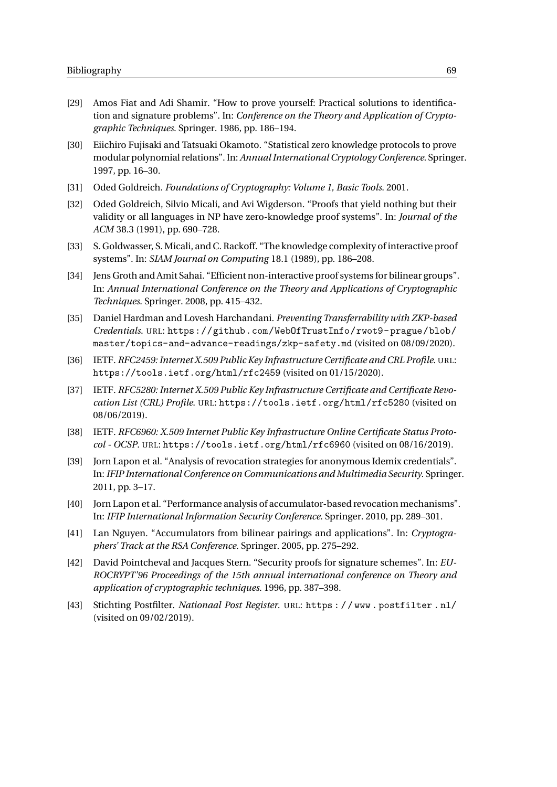- [29] Amos Fiat and Adi Shamir. "How to prove yourself: Practical solutions to identification and signature problems". In: *Conference on the Theory and Application of Cryptographic Techniques*. Springer. 1986, pp. 186–194.
- [30] Eiichiro Fujisaki and Tatsuaki Okamoto. "Statistical zero knowledge protocols to prove modular polynomial relations". In: *Annual International Cryptology Conference*. Springer. 1997, pp. 16–30.
- [31] Oded Goldreich. *Foundations of Cryptography: Volume 1, Basic Tools*. 2001.
- [32] Oded Goldreich, Silvio Micali, and Avi Wigderson. "Proofs that yield nothing but their validity or all languages in NP have zero-knowledge proof systems". In: *Journal of the ACM* 38.3 (1991), pp. 690–728.
- [33] S. Goldwasser, S. Micali, and C. Rackoff. "The knowledge complexity of interactive proof systems". In: *SIAM Journal on Computing* 18.1 (1989), pp. 186–208.
- [34] Jens Groth and Amit Sahai. "Efficient non-interactive proof systems for bilinear groups". In: *Annual International Conference on the Theory and Applications of Cryptographic Techniques*. Springer. 2008, pp. 415–432.
- [35] Daniel Hardman and Lovesh Harchandani. *Preventing Transferrability with ZKP-based Credentials*. URL: [https://github.com/WebOfTrustInfo/rwot9- prague/blob/](https://github.com/WebOfTrustInfo/rwot9-prague/blob/master/topics-and-advance-readings/zkp-safety.md) [master/topics-and-advance-readings/zkp-safety.md](https://github.com/WebOfTrustInfo/rwot9-prague/blob/master/topics-and-advance-readings/zkp-safety.md) (visited on 08/09/2020).
- [36] IETF. *RFC2459: Internet X.509 Public Key Infrastructure Certificate and CRL Profile*. URL: <https://tools.ietf.org/html/rfc2459> (visited on 01/15/2020).
- [37] IETF. *RFC5280: Internet X.509 Public Key Infrastructure Certificate and Certificate Revocation List (CRL) Profile*. URL: <https://tools.ietf.org/html/rfc5280> (visited on 08/06/2019).
- [38] IETF. *RFC6960: X.509 Internet Public Key Infrastructure Online Certificate Status Protocol - OCSP*. URL: <https://tools.ietf.org/html/rfc6960> (visited on 08/16/2019).
- [39] Jorn Lapon et al. "Analysis of revocation strategies for anonymous Idemix credentials". In:*IFIP International Conference on Communications and Multimedia Security*. Springer. 2011, pp. 3–17.
- [40] Jorn Lapon et al. "Performance analysis of accumulator-based revocation mechanisms". In: *IFIP International Information Security Conference*. Springer. 2010, pp. 289–301.
- [41] Lan Nguyen. "Accumulators from bilinear pairings and applications". In: *Cryptographers' Track at the RSA Conference*. Springer. 2005, pp. 275–292.
- [42] David Pointcheval and Jacques Stern. "Security proofs for signature schemes". In: *EU-ROCRYPT'96 Proceedings of the 15th annual international conference on Theory and application of cryptographic techniques*. 1996, pp. 387–398.
- [43] Stichting Postfilter. *Nationaal Post Register*. URL: [https : / / www . postfilter . nl/](https://www.postfilter.nl/) (visited on 09/02/2019).